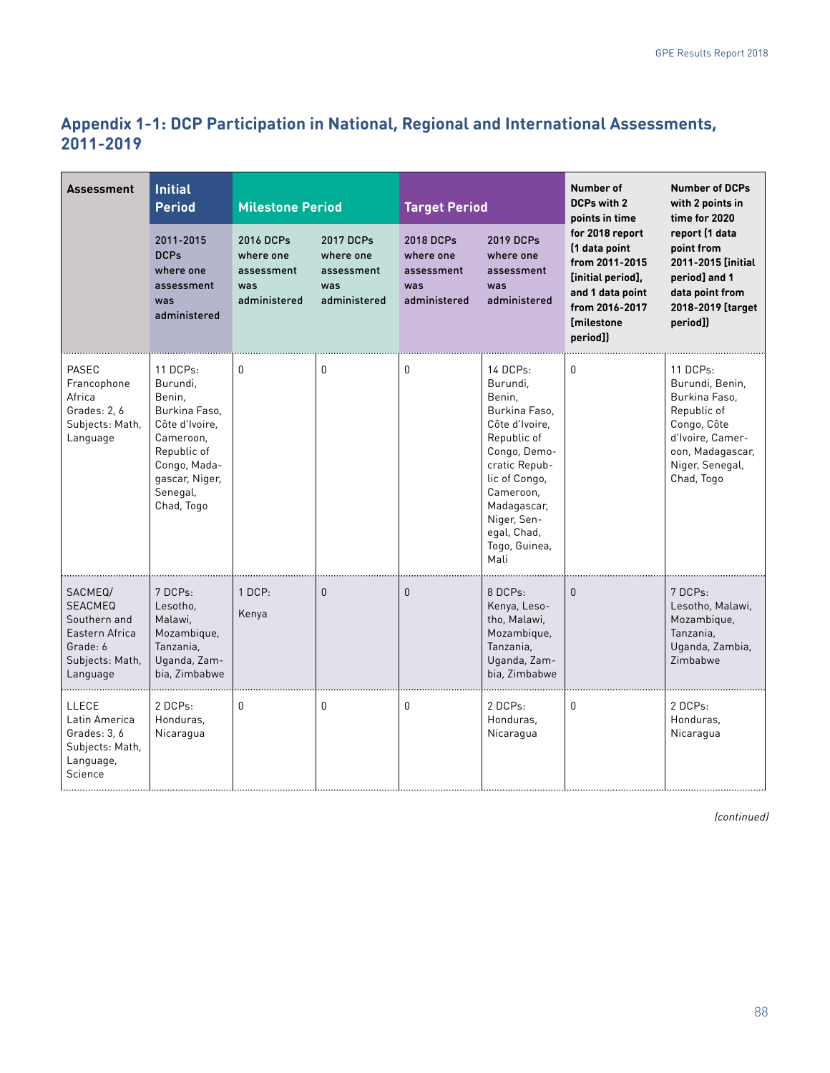# **Appendix 1-1: DCP Participation in National, Regional and International Assessments, 2011-2019**

| <b>Assessment</b>                                                                                      | <b>Initial</b><br><b>Milestone Period</b><br><b>Period</b>                                                                                                |                                                             | <b>Target Period</b>                                        |                                                             | Number of<br>DCPs with 2<br>points in time                                                                                                                                                                            | <b>Number of DCPs</b><br>with 2 points in<br>time for 2020                                                                                     |                                                                                                                                                     |
|--------------------------------------------------------------------------------------------------------|-----------------------------------------------------------------------------------------------------------------------------------------------------------|-------------------------------------------------------------|-------------------------------------------------------------|-------------------------------------------------------------|-----------------------------------------------------------------------------------------------------------------------------------------------------------------------------------------------------------------------|------------------------------------------------------------------------------------------------------------------------------------------------|-----------------------------------------------------------------------------------------------------------------------------------------------------|
|                                                                                                        | 2011-2015<br><b>DCPs</b><br>where one<br>assessment<br>was<br>administered                                                                                | 2016 DCPs<br>where one<br>assessment<br>was<br>administered | 2017 DCPs<br>where one<br>assessment<br>was<br>administered | 2018 DCPs<br>where one<br>assessment<br>was<br>administered | 2019 DCPs<br>where one<br>assessment<br>was<br>administered                                                                                                                                                           | for 2018 report<br>(1 data point<br>from 2011-2015<br>[initial period],<br>and 1 data point<br>from 2016-2017<br><b>Imilestone</b><br>period]) | report (1 data<br>point from<br>2011-2015 [initial<br>period] and 1<br>data point from<br>2018-2019 [target<br>period])                             |
| PASEC<br>Francophone<br>Africa<br>Grades: 2, 6<br>Subjects: Math,<br>Language                          | 11 DCPs:<br>Burundi,<br>Benin,<br>Burkina Faso,<br>Côte d'Ivoire.<br>Cameroon,<br>Republic of<br>Congo, Mada-<br>gascar, Niger,<br>Senegal,<br>Chad, Togo | 0                                                           | 0                                                           | $\mathbf{0}$                                                | 14 DCPs:<br>Burundi,<br>Benin,<br>Burkina Faso,<br>Côte d'Ivoire.<br>Republic of<br>Congo, Demo-<br>cratic Repub-<br>lic of Congo,<br>Cameroon,<br>Madagascar,<br>Niger, Sen-<br>egal, Chad,<br>Togo, Guinea,<br>Mali | 0                                                                                                                                              | 11 DCPs:<br>Burundi, Benin,<br>Burkina Faso,<br>Republic of<br>Congo, Côte<br>d'Ivoire, Camer-<br>oon, Madagascar,<br>Niger, Senegal,<br>Chad, Togo |
| SACMEQ/<br><b>SEACMEQ</b><br>Southern and<br>Eastern Africa<br>Grade: 6<br>Subjects: Math,<br>Language | 7 DCPs:<br>Lesotho,<br>Malawi.<br>Mozambique,<br>Tanzania,<br>Uganda, Zam-<br>bia, Zimbabwe                                                               | 1 DCP:<br>Kenya                                             | 0                                                           | $\Omega$                                                    | 8 DCPs:<br>Kenya, Leso-<br>tho, Malawi,<br>Mozambique,<br>Tanzania,<br>Uganda, Zam-<br>bia, Zimbabwe                                                                                                                  | $\overline{0}$                                                                                                                                 | 7 DCPs:<br>Lesotho, Malawi,<br>Mozambique,<br>Tanzania,<br>Uganda, Zambia,<br>Zimbabwe                                                              |
| LLECE<br>Latin America<br>Grades: 3, 6<br>Subjects: Math,<br>Language,<br>Science                      | 2 DCPs:<br>Honduras,<br>Nicaragua                                                                                                                         | 0                                                           | 0                                                           | $\mathbf{0}$                                                | 2 DCPs:<br>Honduras,<br>Nicaragua                                                                                                                                                                                     | 0                                                                                                                                              | 2 DCPs:<br>Honduras,<br>Nicaragua                                                                                                                   |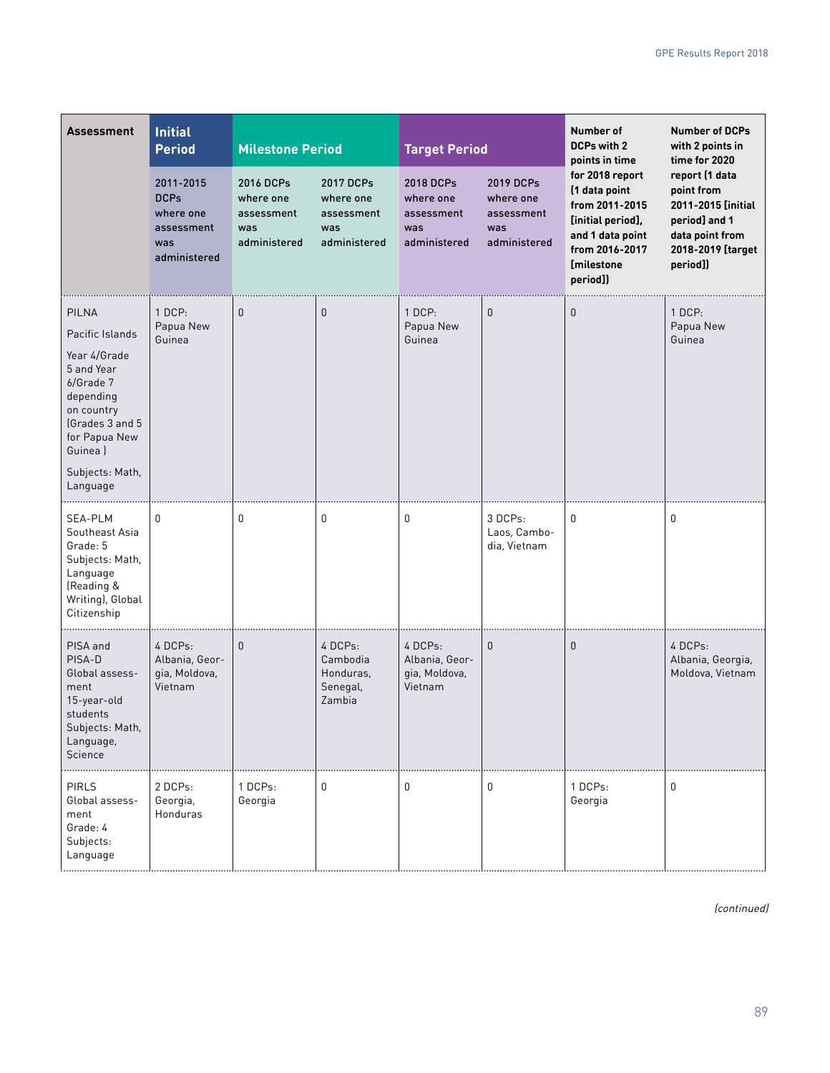| <b>Assessment</b>                                                                                                                                                                   | <b>Initial</b><br><b>Period</b>                                            | <b>Milestone Period</b>                                     |                                                             | <b>Target Period</b>                                        |                                                             | Number of<br><b>DCPs with 2</b><br>points in time                                                                                              | <b>Number of DCPs</b><br>with 2 points in<br>time for 2020                                                              |
|-------------------------------------------------------------------------------------------------------------------------------------------------------------------------------------|----------------------------------------------------------------------------|-------------------------------------------------------------|-------------------------------------------------------------|-------------------------------------------------------------|-------------------------------------------------------------|------------------------------------------------------------------------------------------------------------------------------------------------|-------------------------------------------------------------------------------------------------------------------------|
|                                                                                                                                                                                     | 2011-2015<br><b>DCPs</b><br>where one<br>assessment<br>was<br>administered | 2016 DCPs<br>where one<br>assessment<br>was<br>administered | 2017 DCPs<br>where one<br>assessment<br>was<br>administered | 2018 DCPs<br>where one<br>assessment<br>was<br>administered | 2019 DCPs<br>where one<br>assessment<br>was<br>administered | for 2018 report<br>(1 data point<br>from 2011-2015<br>[initial period],<br>and 1 data point<br>from 2016-2017<br><b>[milestone</b><br>period]) | report (1 data<br>point from<br>2011-2015 [initial<br>period] and 1<br>data point from<br>2018-2019 [target<br>period]) |
| <b>PILNA</b><br>Pacific Islands<br>Year 4/Grade<br>5 and Year<br>6/Grade 7<br>depending<br>on country<br>(Grades 3 and 5<br>for Papua New<br>Guinea)<br>Subjects: Math,<br>Language | 1 DCP:<br>Papua New<br>Guinea                                              | $\mathbf{0}$                                                | $\theta$                                                    | 1 DCP:<br>Papua New<br>Guinea                               | $\mathbf{0}$                                                | $\mathbf{0}$                                                                                                                                   | $1$ DCP:<br>Papua New<br>Guinea                                                                                         |
| <b>SEA-PLM</b><br>Southeast Asia<br>Grade: 5<br>Subjects: Math,<br>Language<br>(Reading &<br>Writing), Global<br>Citizenship                                                        | 0                                                                          | 0                                                           | 0                                                           | 0                                                           | 3 DCPs:<br>Laos, Cambo-<br>dia, Vietnam                     | 0                                                                                                                                              | 0                                                                                                                       |
| PISA and<br>PISA-D<br>Global assess-<br>ment<br>15-year-old<br>students<br>Subjects: Math,<br>Language,<br>Science                                                                  | 4 DCPs:<br>Albania, Geor-<br>gia, Moldova,<br>Vietnam                      | $\mathbf{0}$                                                | 4 DCPs:<br>Cambodia<br>Honduras,<br>Senegal,<br>Zambia      | 4 DCPs:<br>Albania, Geor-<br>gia, Moldova,<br>Vietnam       | $\mathbf{0}$                                                | $\mathbf{0}$                                                                                                                                   | 4 DCPs:<br>Albania, Georgia,<br>Moldova, Vietnam                                                                        |
| <b>PIRLS</b><br>Global assess-<br>ment<br>Grade: 4<br>Subjects:<br>Language                                                                                                         | 2 DCPs:<br>Georgia,<br><b>Honduras</b>                                     | 1 DCPs:<br>Georgia                                          | 0                                                           | 0                                                           | 0                                                           | 1 DCPs:<br>Georgia                                                                                                                             | 0                                                                                                                       |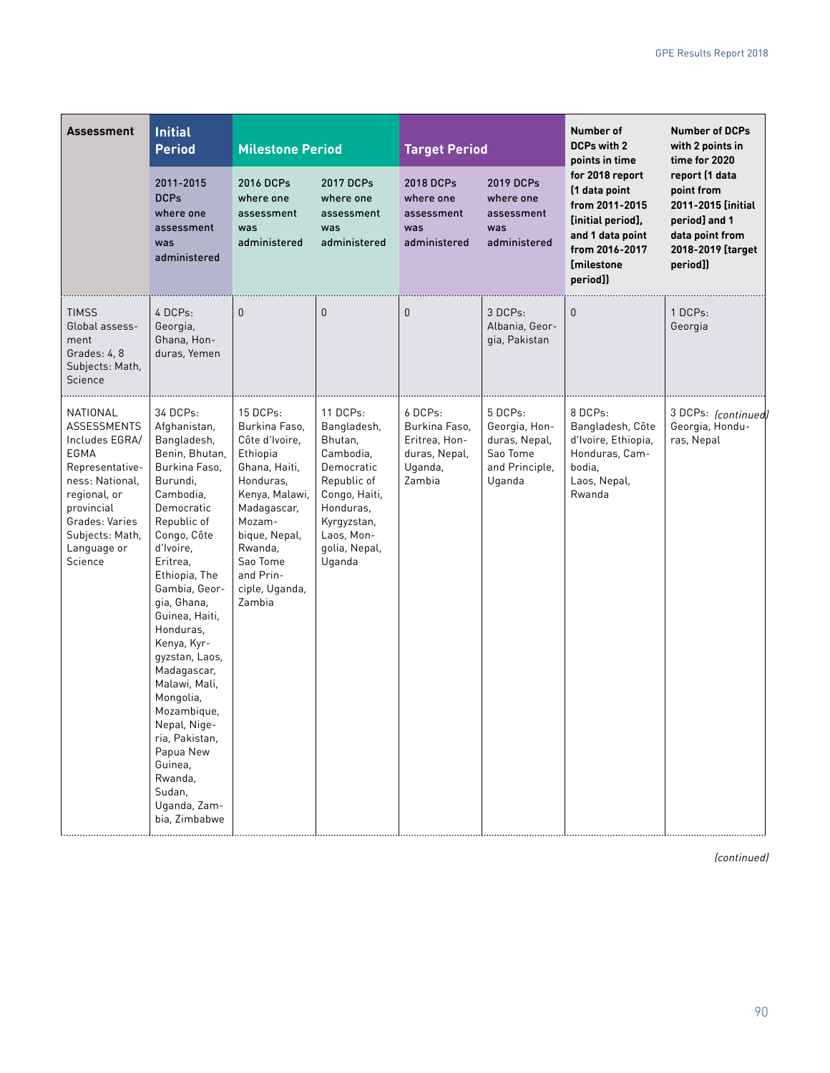| <b>Assessment</b>                                                                                                                                                                           | <b>Initial</b><br><b>Period</b>                                                                                                                                                                                                                                                                                                                                                                                                                                       |                                                                                                                                                                                                                   | <b>Milestone Period</b>                                                                                                                                            |                                                                                 | <b>Target Period</b>                                                              | Number of<br><b>DCPs with 2</b><br>points in time                                                                                              | <b>Number of DCPs</b><br>with 2 points in<br>time for 2020                                                              |
|---------------------------------------------------------------------------------------------------------------------------------------------------------------------------------------------|-----------------------------------------------------------------------------------------------------------------------------------------------------------------------------------------------------------------------------------------------------------------------------------------------------------------------------------------------------------------------------------------------------------------------------------------------------------------------|-------------------------------------------------------------------------------------------------------------------------------------------------------------------------------------------------------------------|--------------------------------------------------------------------------------------------------------------------------------------------------------------------|---------------------------------------------------------------------------------|-----------------------------------------------------------------------------------|------------------------------------------------------------------------------------------------------------------------------------------------|-------------------------------------------------------------------------------------------------------------------------|
|                                                                                                                                                                                             | 2011-2015<br><b>DCPs</b><br>where one<br>assessment<br>was<br>administered                                                                                                                                                                                                                                                                                                                                                                                            | 2016 DCPs<br>where one<br>assessment<br>was<br>administered                                                                                                                                                       | 2017 DCPs<br>where one<br>assessment<br>was<br>administered                                                                                                        | 2018 DCPs<br>where one<br>assessment<br>was<br>administered                     | 2019 DCPs<br>where one<br>assessment<br>was<br>administered                       | for 2018 report<br>(1 data point<br>from 2011-2015<br>[initial period],<br>and 1 data point<br>from 2016-2017<br><b>[milestone</b><br>period]) | report (1 data<br>point from<br>2011-2015 linitial<br>period] and 1<br>data point from<br>2018-2019 [target<br>period]) |
| <b>TIMSS</b><br>Global assess-<br>ment<br>Grades: 4, 8<br>Subjects: Math,<br>Science                                                                                                        | 4 DCPs:<br>Georgia,<br>Ghana, Hon-<br>duras, Yemen                                                                                                                                                                                                                                                                                                                                                                                                                    | $\mathbf{0}$                                                                                                                                                                                                      | $\mathbf{0}$                                                                                                                                                       | $\mathbf{0}$                                                                    | 3 DCPs:<br>Albania, Geor-<br>gia, Pakistan                                        | 0                                                                                                                                              | 1 DCPs:<br>Georgia                                                                                                      |
| NATIONAL<br><b>ASSESSMENTS</b><br>Includes EGRA/<br>EGMA<br>Representative-<br>ness: National,<br>regional, or<br>provincial<br>Grades: Varies<br>Subjects: Math,<br>Language or<br>Science | 34 DCPs:<br>Afghanistan,<br>Bangladesh,<br>Benin, Bhutan,<br>Burkina Faso,<br>Burundi.<br>Cambodia,<br>Democratic<br>Republic of<br>Congo, Côte<br>d'Ivoire,<br>Eritrea,<br>Ethiopia, The<br>Gambia, Geor-<br>gia, Ghana,<br>Guinea, Haiti,<br>Honduras,<br>Kenya, Kyr-<br>gyzstan, Laos,<br>Madagascar,<br>Malawi, Mali,<br>Mongolia,<br>Mozambique,<br>Nepal, Nige-<br>ria, Pakistan,<br>Papua New<br>Guinea,<br>Rwanda,<br>Sudan,<br>Uganda, Zam-<br>bia, Zimbabwe | 15 DCPs:<br>Burkina Faso,<br>Côte d'Ivoire,<br>Ethiopia<br>Ghana, Haiti,<br>Honduras,<br>Kenya, Malawi,<br>Madagascar,<br>Mozam-<br>bique, Nepal,<br>Rwanda,<br>Sao Tome<br>and Prin-<br>ciple, Uganda,<br>Zambia | 11 DCPs:<br>Bangladesh,<br>Bhutan,<br>Cambodia.<br>Democratic<br>Republic of<br>Congo, Haiti,<br>Honduras,<br>Kyrgyzstan,<br>Laos, Mon-<br>golia, Nepal,<br>Uganda | 6 DCPs:<br>Burkina Faso,<br>Eritrea, Hon-<br>duras, Nepal,<br>Uganda,<br>Zambia | 5 DCPs:<br>Georgia, Hon-<br>duras, Nepal,<br>Sao Tome<br>and Principle,<br>Uganda | 8 DCPs:<br>Bangladesh, Côte<br>d'Ivoire, Ethiopia,<br>Honduras, Cam-<br>bodia,<br>Laos, Nepal,<br>Rwanda                                       | 3 DCPs: (continued)<br>Georgia, Hondu-<br>ras, Nepal                                                                    |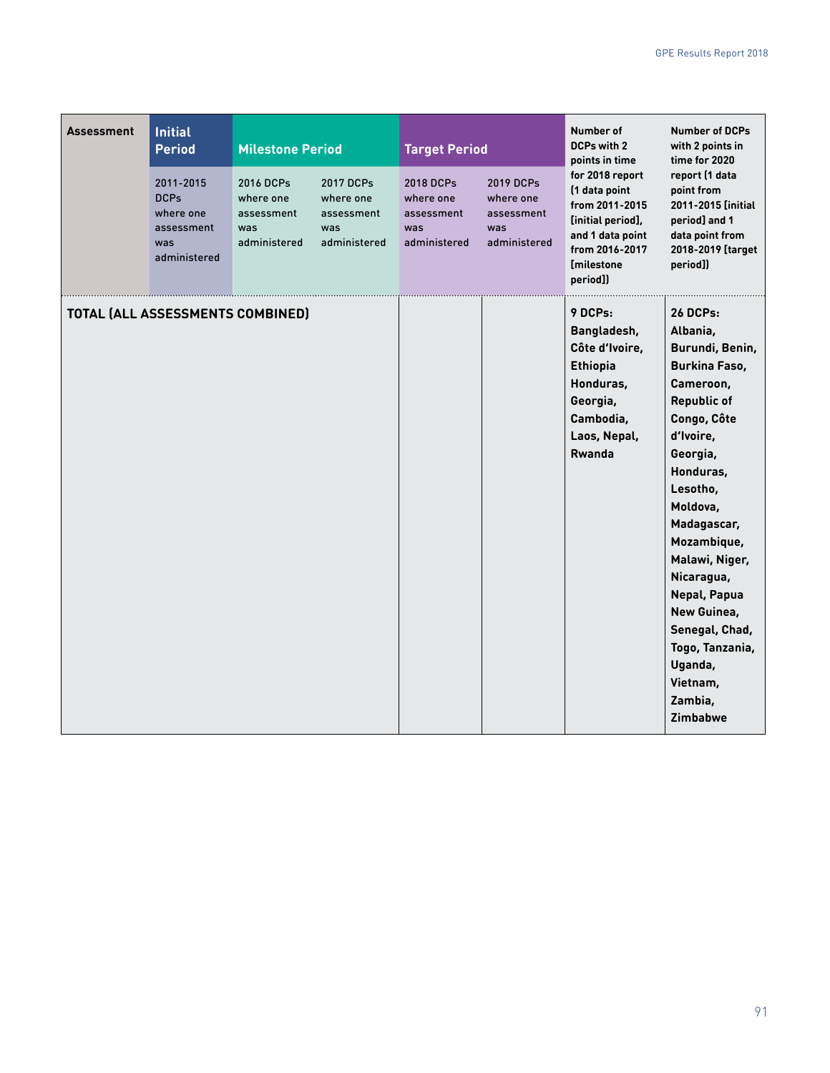| <b>Assessment</b> | <b>Initial</b><br><b>Period</b><br>2011-2015<br><b>DCPs</b><br>where one<br>assessment<br>was<br>administered | <b>Milestone Period</b><br>2016 DCPs<br>where one<br>assessment<br>was<br>administered | 2017 DCPs<br>where one<br>assessment<br>was<br>administered | <b>Target Period</b><br>2018 DCPs<br>where one<br>assessment<br>was<br>administered | 2019 DCPs<br>where one<br>assessment<br>was<br>administered | Number of<br><b>DCPs with 2</b><br>points in time<br>for 2018 report<br>(1 data point<br>from 2011-2015<br>[initial period],<br>and 1 data point<br>from 2016-2017<br><b>Imilestone</b><br>period]) | <b>Number of DCPs</b><br>with 2 points in<br>time for 2020<br>report (1 data<br>point from<br>2011-2015 [initial<br>period] and 1<br>data point from<br>2018-2019 [target<br>period])                                                                                                                                                                           |
|-------------------|---------------------------------------------------------------------------------------------------------------|----------------------------------------------------------------------------------------|-------------------------------------------------------------|-------------------------------------------------------------------------------------|-------------------------------------------------------------|-----------------------------------------------------------------------------------------------------------------------------------------------------------------------------------------------------|-----------------------------------------------------------------------------------------------------------------------------------------------------------------------------------------------------------------------------------------------------------------------------------------------------------------------------------------------------------------|
|                   | TOTAL (ALL ASSESSMENTS COMBINED)                                                                              |                                                                                        |                                                             |                                                                                     |                                                             | 9 DCPs:<br>Bangladesh,<br>Côte d'Ivoire,<br><b>Ethiopia</b><br>Honduras,<br>Georgia,<br>Cambodia,<br>Laos, Nepal,<br>Rwanda                                                                         | <b>26 DCPs:</b><br>Albania,<br>Burundi, Benin,<br>Burkina Faso,<br>Cameroon,<br><b>Republic of</b><br>Congo, Côte<br>d'Ivoire,<br>Georgia,<br>Honduras,<br>Lesotho,<br>Moldova,<br>Madagascar,<br>Mozambique,<br>Malawi, Niger,<br>Nicaragua,<br>Nepal, Papua<br>New Guinea,<br>Senegal, Chad,<br>Togo, Tanzania,<br>Uganda,<br>Vietnam,<br>Zambia,<br>Zimbabwe |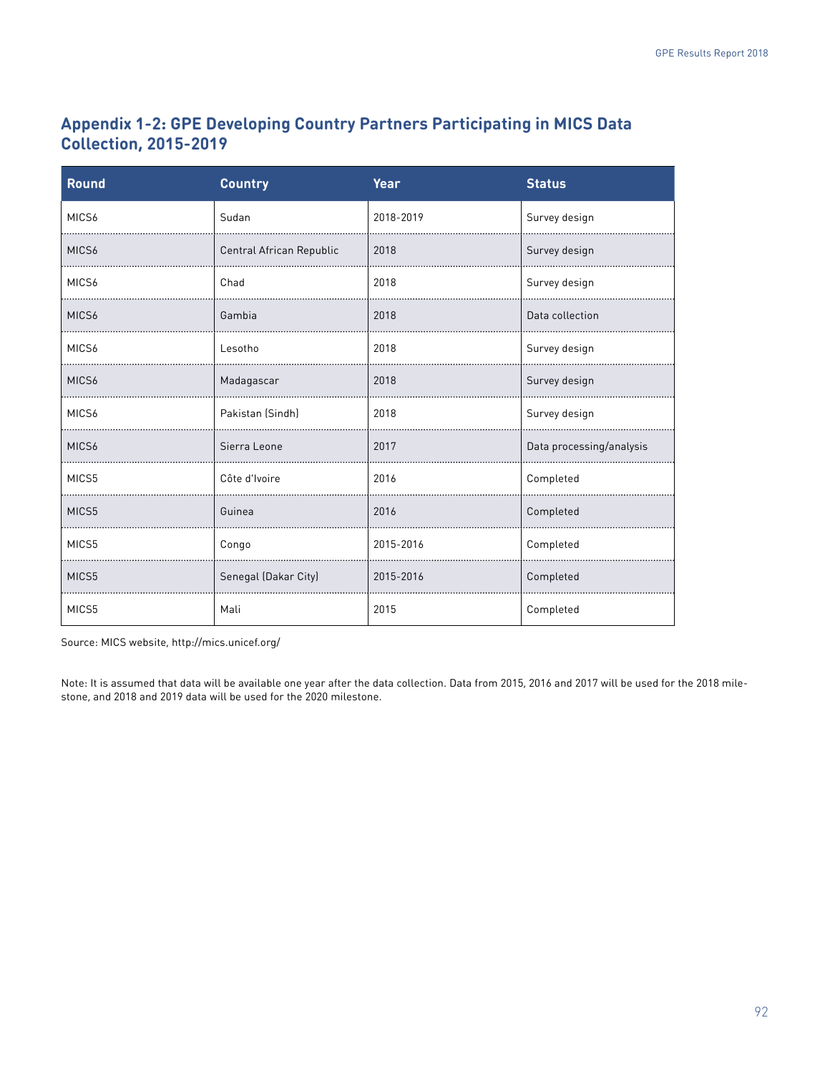# **Appendix 1-2: GPE Developing Country Partners Participating in MICS Data Collection, 2015-2019**

| <b>Round</b> | <b>Country</b>           | Year      | <b>Status</b>            |  |
|--------------|--------------------------|-----------|--------------------------|--|
| MICS6        | Sudan                    | 2018-2019 | Survey design            |  |
| MICS6        | Central African Republic | 2018      | Survey design            |  |
| MICS6        | Chad                     | 2018      | Survey design            |  |
| MICS6        | Gambia                   | 2018      | Data collection          |  |
| MICS6        | Lesotho                  | 2018      | Survey design            |  |
| MICS6        | Madagascar               | 2018      | Survey design            |  |
| MICS6        | Pakistan (Sindh)         | 2018      | Survey design            |  |
| MICS6        | Sierra Leone             | 2017      | Data processing/analysis |  |
| MICS5        | Côte d'Ivoire            | 2016      | Completed                |  |
| MICS5        | Guinea                   | 2016      | Completed                |  |
| MICS5        | Congo                    | 2015-2016 | Completed                |  |
| MICS5        | Senegal (Dakar City)     | 2015-2016 | Completed                |  |
| MICS5        | Mali                     | 2015      | Completed                |  |

Source: MICS website, <http://mics.unicef.org/>

Note: It is assumed that data will be available one year after the data collection. Data from 2015, 2016 and 2017 will be used for the 2018 milestone, and 2018 and 2019 data will be used for the 2020 milestone.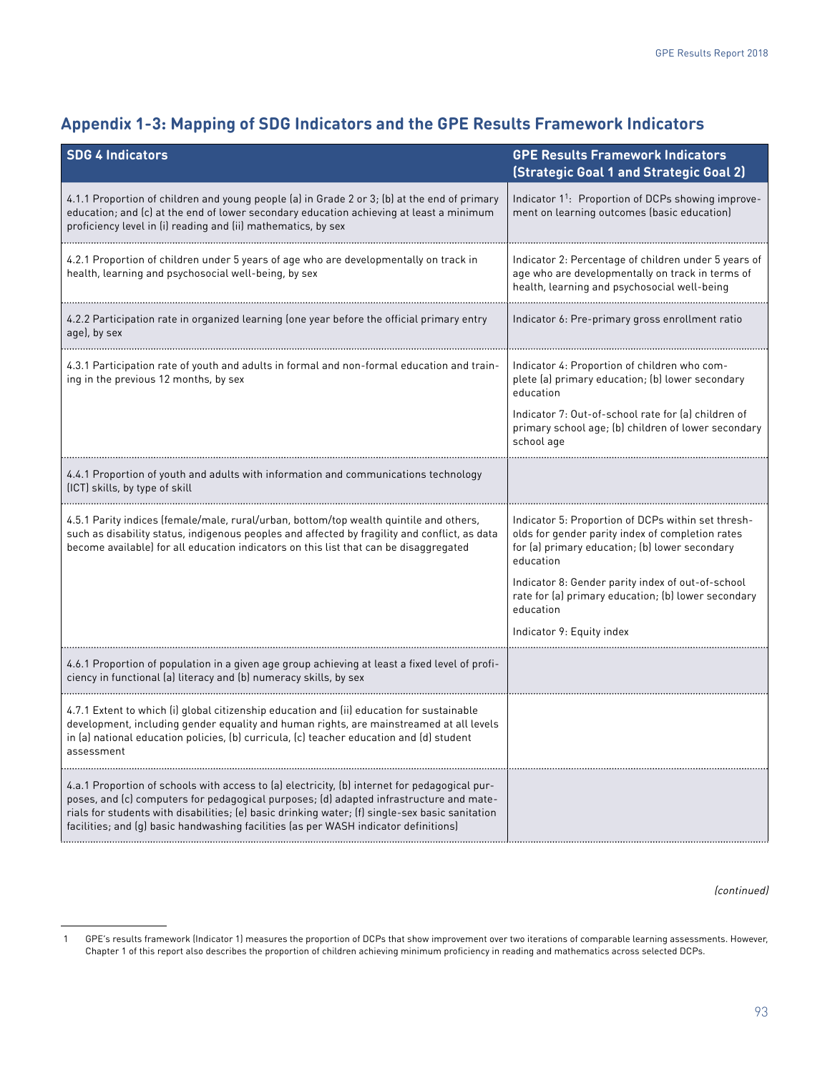# **Appendix 1-3: Mapping of SDG Indicators and the GPE Results Framework Indicators**

| <b>SDG 4 Indicators</b>                                                                                                                                                                                                                                                                                                                                                             | <b>GPE Results Framework Indicators</b><br><b>(Strategic Goal 1 and Strategic Goal 2)</b>                                                                             |
|-------------------------------------------------------------------------------------------------------------------------------------------------------------------------------------------------------------------------------------------------------------------------------------------------------------------------------------------------------------------------------------|-----------------------------------------------------------------------------------------------------------------------------------------------------------------------|
| 4.1.1 Proportion of children and young people (a) in Grade 2 or 3; (b) at the end of primary<br>education; and (c) at the end of lower secondary education achieving at least a minimum<br>proficiency level in (i) reading and (ii) mathematics, by sex                                                                                                                            | Indicator 1 <sup>1</sup> : Proportion of DCPs showing improve-<br>ment on learning outcomes (basic education)                                                         |
| 4.2.1 Proportion of children under 5 years of age who are developmentally on track in<br>health, learning and psychosocial well-being, by sex                                                                                                                                                                                                                                       | Indicator 2: Percentage of children under 5 years of<br>age who are developmentally on track in terms of<br>health, learning and psychosocial well-being              |
| 4.2.2 Participation rate in organized learning (one year before the official primary entry<br>age), by sex                                                                                                                                                                                                                                                                          | Indicator 6: Pre-primary gross enrollment ratio                                                                                                                       |
| 4.3.1 Participation rate of youth and adults in formal and non-formal education and train-<br>ing in the previous 12 months, by sex                                                                                                                                                                                                                                                 | Indicator 4: Proportion of children who com-<br>plete (a) primary education; (b) lower secondary<br>education                                                         |
|                                                                                                                                                                                                                                                                                                                                                                                     | Indicator 7: Out-of-school rate for (a) children of<br>primary school age; (b) children of lower secondary<br>school age                                              |
| 4.4.1 Proportion of youth and adults with information and communications technology<br>(ICT) skills, by type of skill                                                                                                                                                                                                                                                               |                                                                                                                                                                       |
| 4.5.1 Parity indices (female/male, rural/urban, bottom/top wealth quintile and others,<br>such as disability status, indigenous peoples and affected by fragility and conflict, as data<br>become available) for all education indicators on this list that can be disaggregated                                                                                                    | Indicator 5: Proportion of DCPs within set thresh-<br>olds for gender parity index of completion rates<br>for (a) primary education; (b) lower secondary<br>education |
|                                                                                                                                                                                                                                                                                                                                                                                     | Indicator 8: Gender parity index of out-of-school<br>rate for (a) primary education; (b) lower secondary<br>education                                                 |
|                                                                                                                                                                                                                                                                                                                                                                                     | Indicator 9: Equity index                                                                                                                                             |
| 4.6.1 Proportion of population in a given age group achieving at least a fixed level of profi-<br>ciency in functional (a) literacy and (b) numeracy skills, by sex                                                                                                                                                                                                                 |                                                                                                                                                                       |
| 4.7.1 Extent to which (i) global citizenship education and (ii) education for sustainable<br>development, including gender equality and human rights, are mainstreamed at all levels<br>in (a) national education policies, (b) curricula, (c) teacher education and (d) student<br>assessment                                                                                      |                                                                                                                                                                       |
| 4.a.1 Proportion of schools with access to (a) electricity, (b) internet for pedagogical pur-<br>poses, and (c) computers for pedagogical purposes; (d) adapted infrastructure and mate-<br>rials for students with disabilities; (e) basic drinking water; (f) single-sex basic sanitation<br>facilities; and (g) basic handwashing facilities (as per WASH indicator definitions) |                                                                                                                                                                       |

 <sup>1</sup> GPE's results framework (Indicator 1) measures the proportion of DCPs that show improvement over two iterations of comparable learning assessments. However, Chapter 1 of this report also describes the proportion of children achieving minimum proficiency in reading and mathematics across selected DCPs.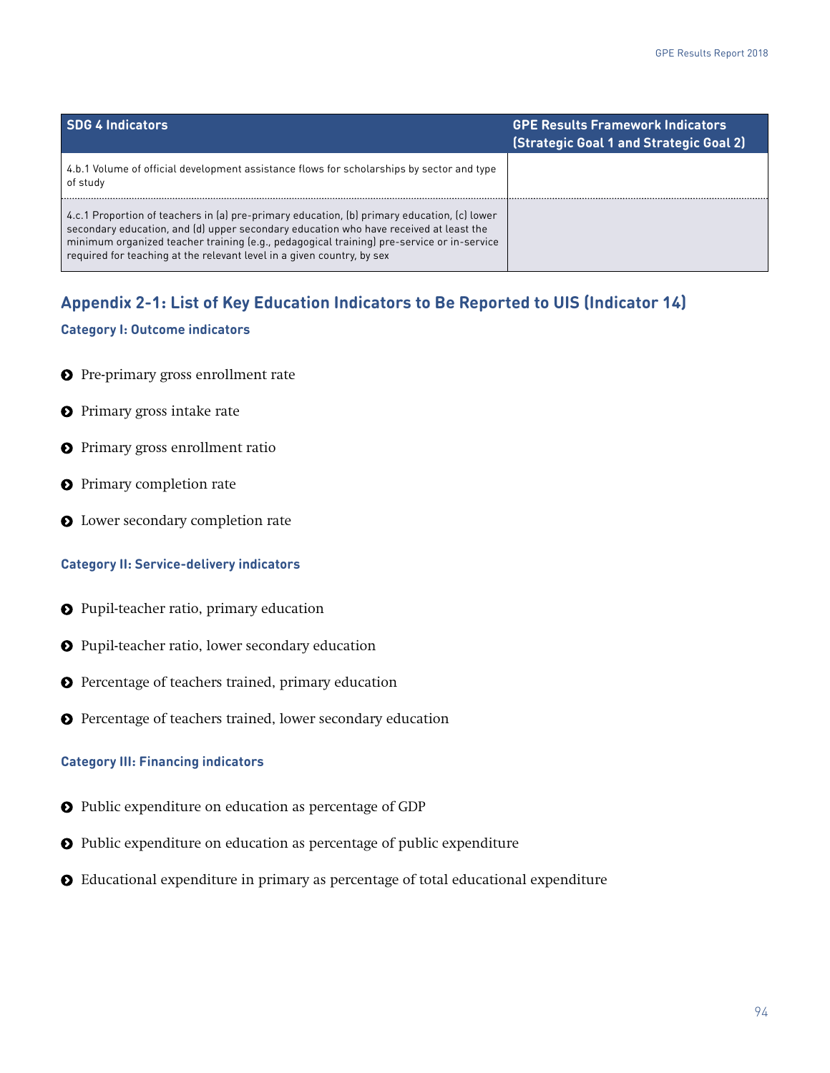| <b>SDG 4 Indicators</b>                                                                                                                                                                                                                                                                                                                                     | <b>GPE Results Framework Indicators</b><br>(Strategic Goal 1 and Strategic Goal 2) |
|-------------------------------------------------------------------------------------------------------------------------------------------------------------------------------------------------------------------------------------------------------------------------------------------------------------------------------------------------------------|------------------------------------------------------------------------------------|
| 4.b.1 Volume of official development assistance flows for scholarships by sector and type<br>of study                                                                                                                                                                                                                                                       |                                                                                    |
| 4.c.1 Proportion of teachers in (a) pre-primary education, (b) primary education, (c) lower<br>secondary education, and (d) upper secondary education who have received at least the<br>minimum organized teacher training (e.g., pedagogical training) pre-service or in-service<br>required for teaching at the relevant level in a given country, by sex |                                                                                    |

# **Appendix 2-1: List of Key Education Indicators to Be Reported to UIS (Indicator 14)**

#### **Category I: Outcome indicators**

- **O** Pre-primary gross enrollment rate
- **O** Primary gross intake rate
- **O** Primary gross enrollment ratio
- **O** Primary completion rate
- **O** Lower secondary completion rate

#### **Category II: Service-delivery indicators**

- **O** Pupil-teacher ratio, primary education
- Pupil-teacher ratio, lower secondary education
- Percentage of teachers trained, primary education
- **O** Percentage of teachers trained, lower secondary education

#### **Category III: Financing indicators**

- Public expenditure on education as percentage of GDP
- Public expenditure on education as percentage of public expenditure
- Educational expenditure in primary as percentage of total educational expenditure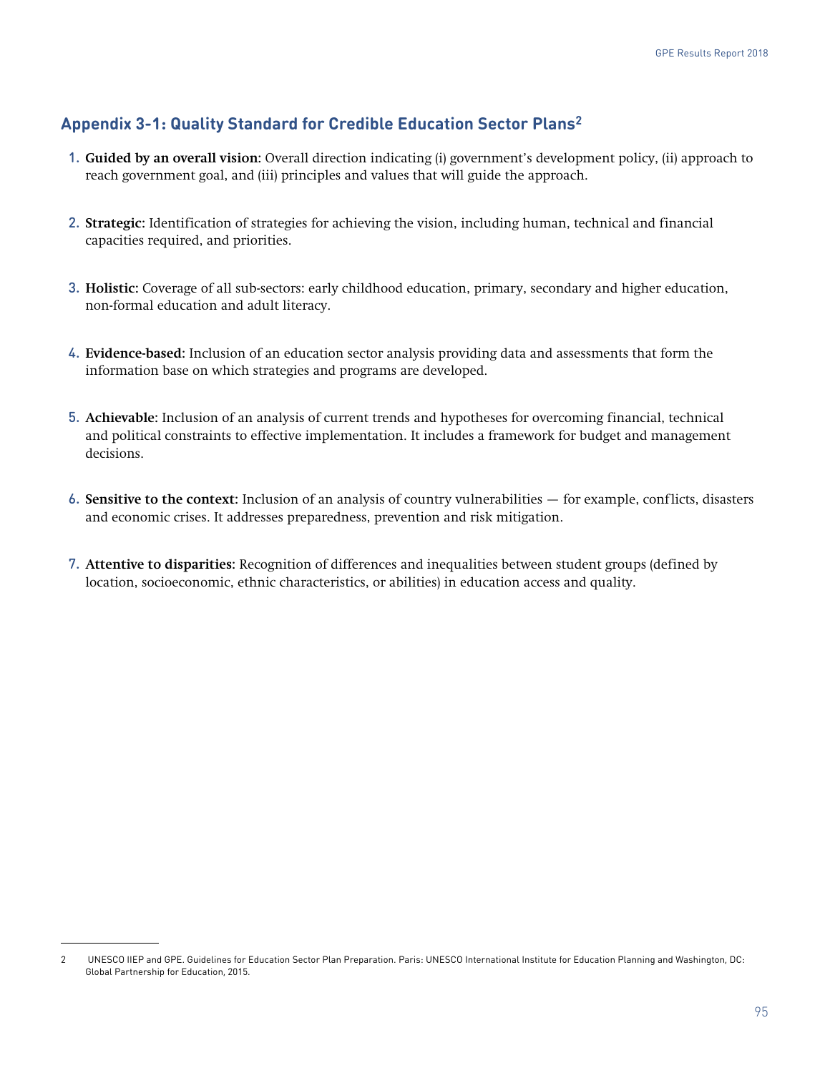# **Appendix 3-1: Quality Standard for Credible Education Sector Plans2**

- 1. **Guided by an overall vision:** Overall direction indicating (i) government's development policy, (ii) approach to reach government goal, and (iii) principles and values that will guide the approach.
- 2. **Strategic:** Identification of strategies for achieving the vision, including human, technical and financial capacities required, and priorities.
- 3. **Holistic:** Coverage of all sub-sectors: early childhood education, primary, secondary and higher education, non-formal education and adult literacy.
- 4. **Evidence-based:** Inclusion of an education sector analysis providing data and assessments that form the information base on which strategies and programs are developed.
- 5. **Achievable:** Inclusion of an analysis of current trends and hypotheses for overcoming financial, technical and political constraints to effective implementation. It includes a framework for budget and management decisions.
- 6. **Sensitive to the context:** Inclusion of an analysis of country vulnerabilities for example, conflicts, disasters and economic crises. It addresses preparedness, prevention and risk mitigation.
- 7. **Attentive to disparities:** Recognition of differences and inequalities between student groups (defined by location, socioeconomic, ethnic characteristics, or abilities) in education access and quality.

<sup>2</sup> UNESCO IIEP and GPE. Guidelines for Education Sector Plan Preparation. Paris: UNESCO International Institute for Education Planning and Washington, DC: Global Partnership for Education, 2015.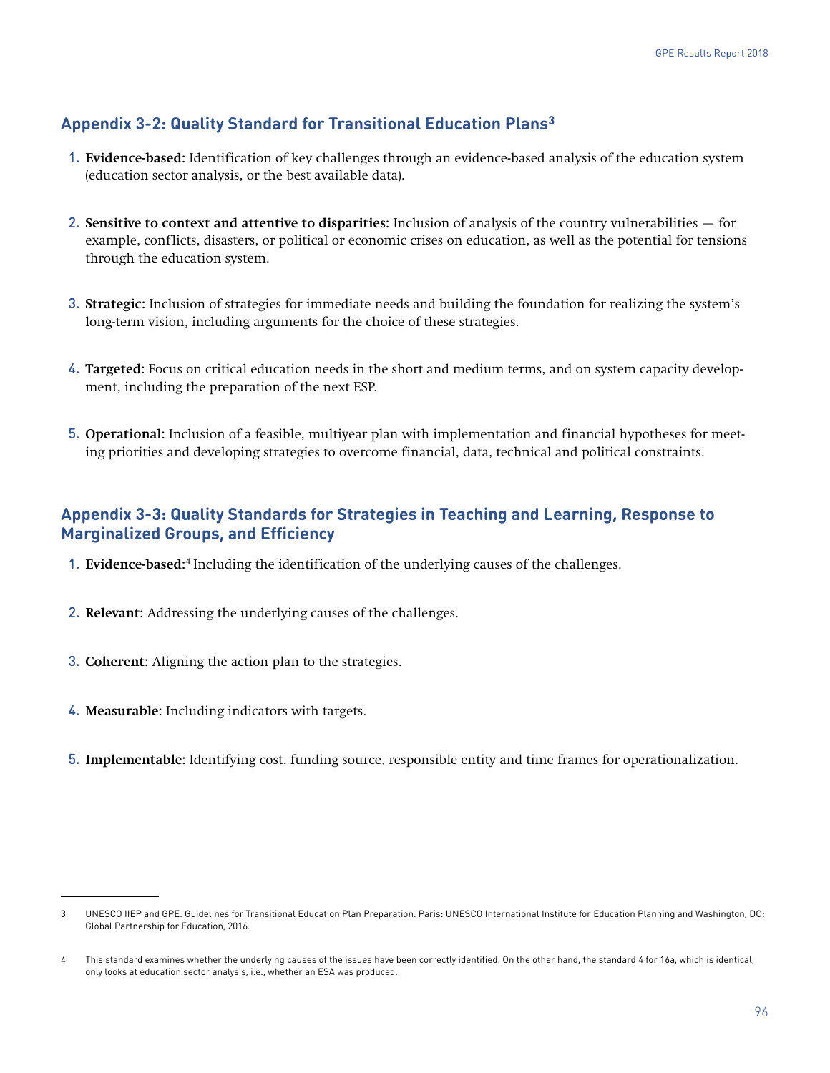# **Appendix 3-2: Quality Standard for Transitional Education Plans3**

- 1. **Evidence-based:** Identification of key challenges through an evidence-based analysis of the education system (education sector analysis, or the best available data).
- 2. **Sensitive to context and attentive to disparities:** Inclusion of analysis of the country vulnerabilities for example, conflicts, disasters, or political or economic crises on education, as well as the potential for tensions through the education system.
- 3. **Strategic:** Inclusion of strategies for immediate needs and building the foundation for realizing the system's long-term vision, including arguments for the choice of these strategies.
- 4. **Targeted:** Focus on critical education needs in the short and medium terms, and on system capacity development, including the preparation of the next ESP.
- 5. **Operational:** Inclusion of a feasible, multiyear plan with implementation and financial hypotheses for meeting priorities and developing strategies to overcome financial, data, technical and political constraints.

# **Appendix 3-3: Quality Standards for Strategies in Teaching and Learning, Response to Marginalized Groups, and Efficiency**

- 1. **Evidence-based:**<sup>4</sup> Including the identification of the underlying causes of the challenges.
- 2. **Relevant:** Addressing the underlying causes of the challenges.
- 3. **Coherent:** Aligning the action plan to the strategies.
- 4. **Measurable:** Including indicators with targets.
- 5. **Implementable:** Identifying cost, funding source, responsible entity and time frames for operationalization.

<sup>3</sup> UNESCO IIEP and GPE. Guidelines for Transitional Education Plan Preparation. Paris: UNESCO International Institute for Education Planning and Washington, DC: Global Partnership for Education, 2016.

<sup>4</sup> This standard examines whether the underlying causes of the issues have been correctly identified. On the other hand, the standard 4 for 16a, which is identical, only looks at education sector analysis, i.e., whether an ESA was produced.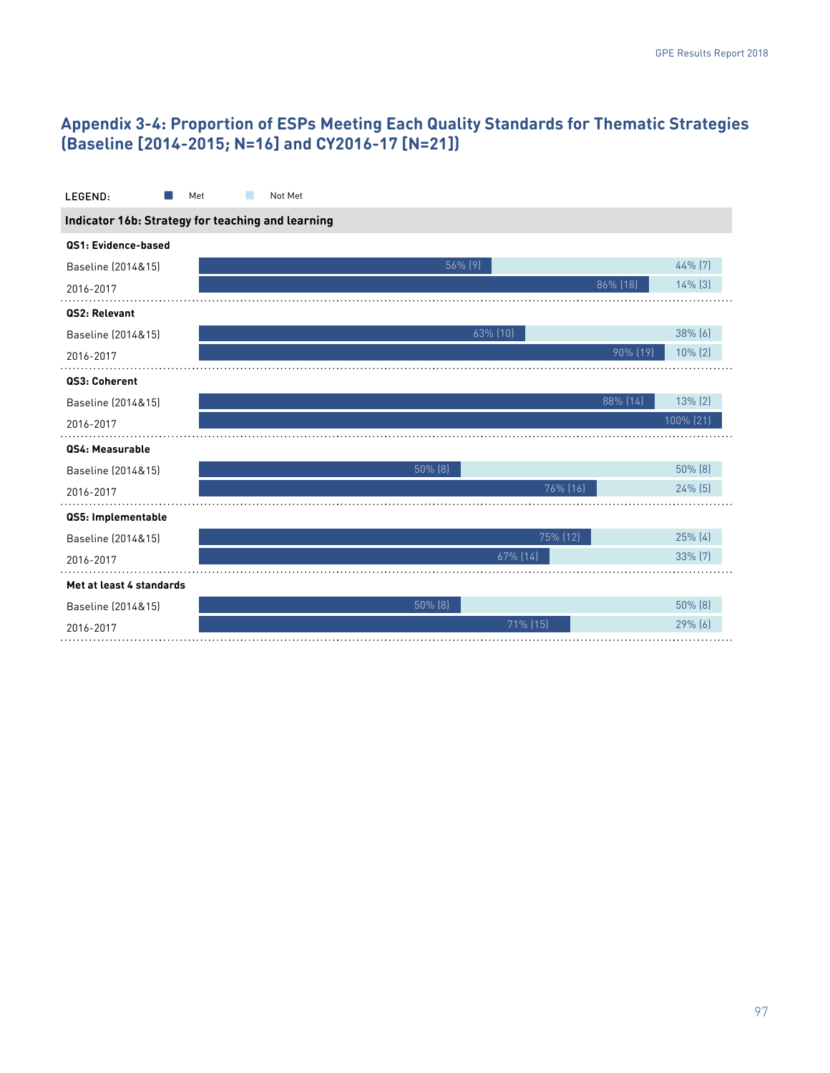# **Appendix 3-4: Proportion of ESPs Meeting Each Quality Standards for Thematic Strategies (Baseline [2014-2015; N=16] and CY2016-17 [N=21])**

| LEGEND:                                           | Not Met<br>Met |           |  |  |  |  |
|---------------------------------------------------|----------------|-----------|--|--|--|--|
| Indicator 16b: Strategy for teaching and learning |                |           |  |  |  |  |
| QS1: Evidence-based                               |                |           |  |  |  |  |
| Baseline (2014&15)                                | $56\%$ (9)     | 44% [7]   |  |  |  |  |
| 2016-2017                                         | 86% [18]       | 14% [3]   |  |  |  |  |
| QS2: Relevant                                     |                |           |  |  |  |  |
| Baseline (2014&15)                                | $63\%$ $(10)$  | 38% (6)   |  |  |  |  |
| 2016-2017                                         | 90% (19)       | 10% (2)   |  |  |  |  |
| QS3: Coherent                                     |                |           |  |  |  |  |
| Baseline (2014&15)                                | 88% (14)       | 13% (2)   |  |  |  |  |
| 2016-2017                                         |                | 100% (21) |  |  |  |  |
| QS4: Measurable                                   |                |           |  |  |  |  |
| Baseline (2014&15)                                | 50% (8)        | 50% (8)   |  |  |  |  |
| 2016-2017                                         | 76% (16)       | 24% [5]   |  |  |  |  |
| QS5: Implementable                                |                |           |  |  |  |  |
| Baseline (2014&15)                                | 75% (12)       | 25% (4)   |  |  |  |  |
| 2016-2017                                         | $67\%$ (14)    | 33% [7]   |  |  |  |  |
| Met at least 4 standards                          |                |           |  |  |  |  |
| Baseline (2014&15)                                | $50\%$ (8)     | 50% (8)   |  |  |  |  |
| 2016-2017                                         | $71\%$ (15)    | $29%$ (6) |  |  |  |  |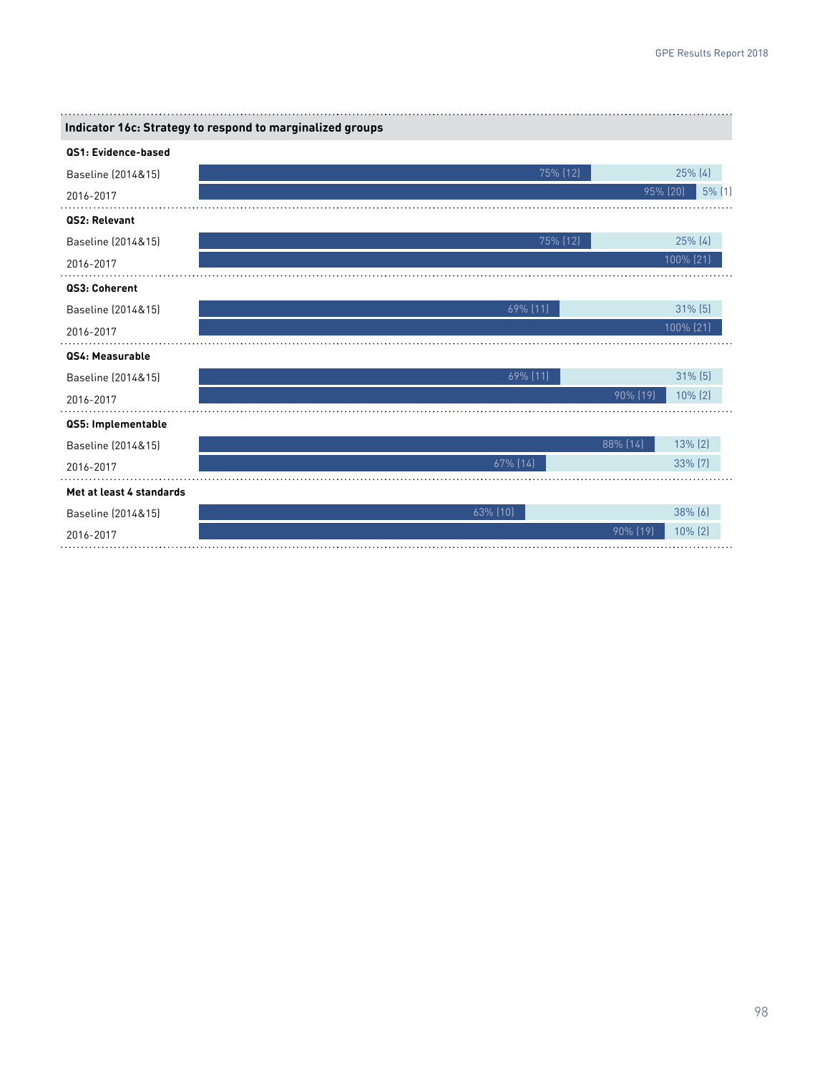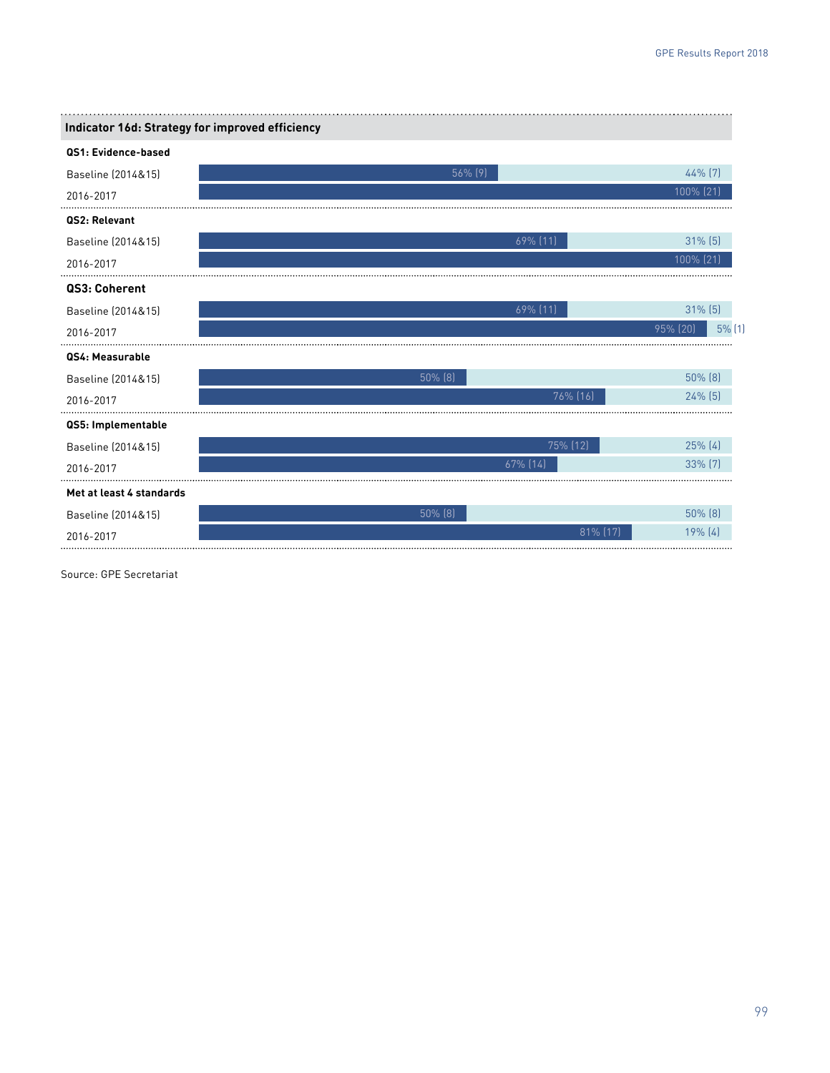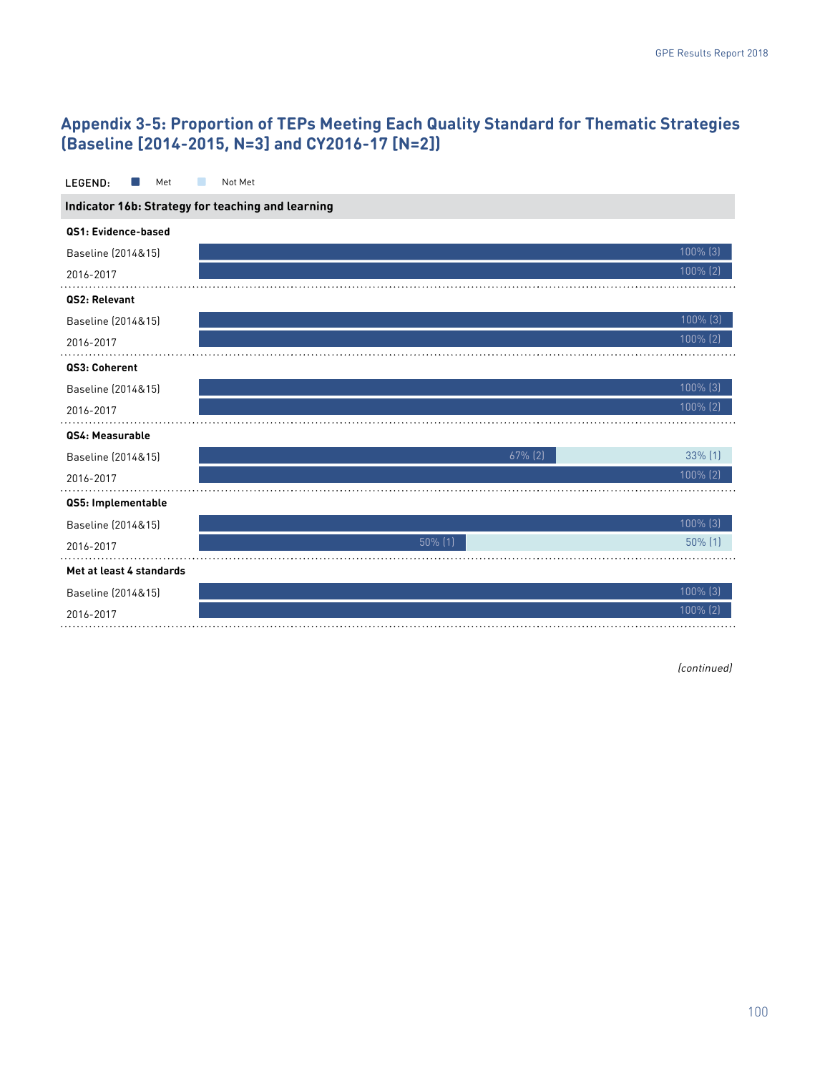# **Appendix 3-5: Proportion of TEPs Meeting Each Quality Standard for Thematic Strategies (Baseline [2014-2015, N=3] and CY2016-17 [N=2])**

| LEGEND:<br>Met                                    | Not Met    |             |  |  |  |  |
|---------------------------------------------------|------------|-------------|--|--|--|--|
| Indicator 16b: Strategy for teaching and learning |            |             |  |  |  |  |
| QS1: Evidence-based                               |            |             |  |  |  |  |
| Baseline (2014&15)                                |            | 100% (3)    |  |  |  |  |
| 2016-2017                                         |            | 100% (2)    |  |  |  |  |
| QS2: Relevant                                     |            |             |  |  |  |  |
| Baseline (2014&15)                                |            | 100% (3)    |  |  |  |  |
| 2016-2017                                         |            | 100% (2)    |  |  |  |  |
| QS3: Coherent                                     |            |             |  |  |  |  |
| Baseline (2014&15)                                |            | 100% [3]    |  |  |  |  |
| 2016-2017                                         |            | 100% (2)    |  |  |  |  |
| QS4: Measurable                                   |            |             |  |  |  |  |
| Baseline (2014&15)                                | $67\%$ (2) | 33% (1)     |  |  |  |  |
| 2016-2017                                         |            | 100% (2)    |  |  |  |  |
| QS5: Implementable                                |            |             |  |  |  |  |
| Baseline (2014&15)                                |            | 100% (3)    |  |  |  |  |
| 2016-2017                                         | $50\%$ (1) | $50\%$ (1)  |  |  |  |  |
| Met at least 4 standards                          |            |             |  |  |  |  |
| Baseline (2014&15)                                |            | $100\%$ (3) |  |  |  |  |
| 2016-2017                                         |            | $100\%$ (2) |  |  |  |  |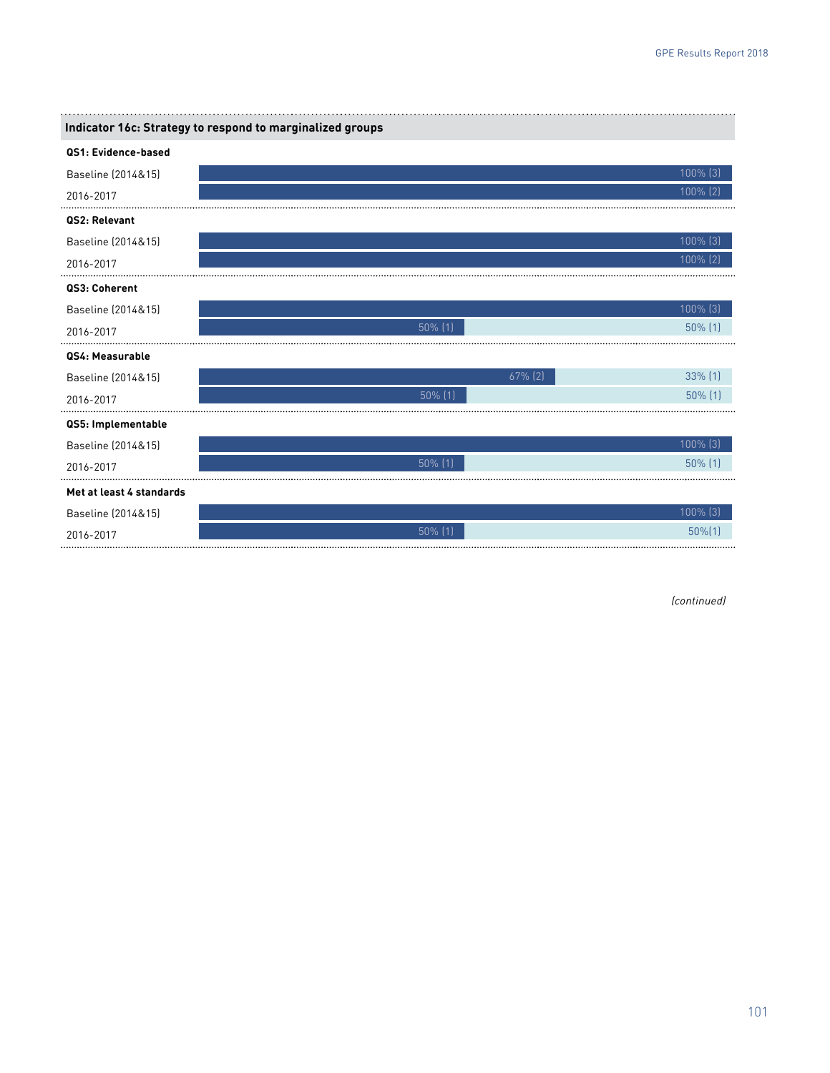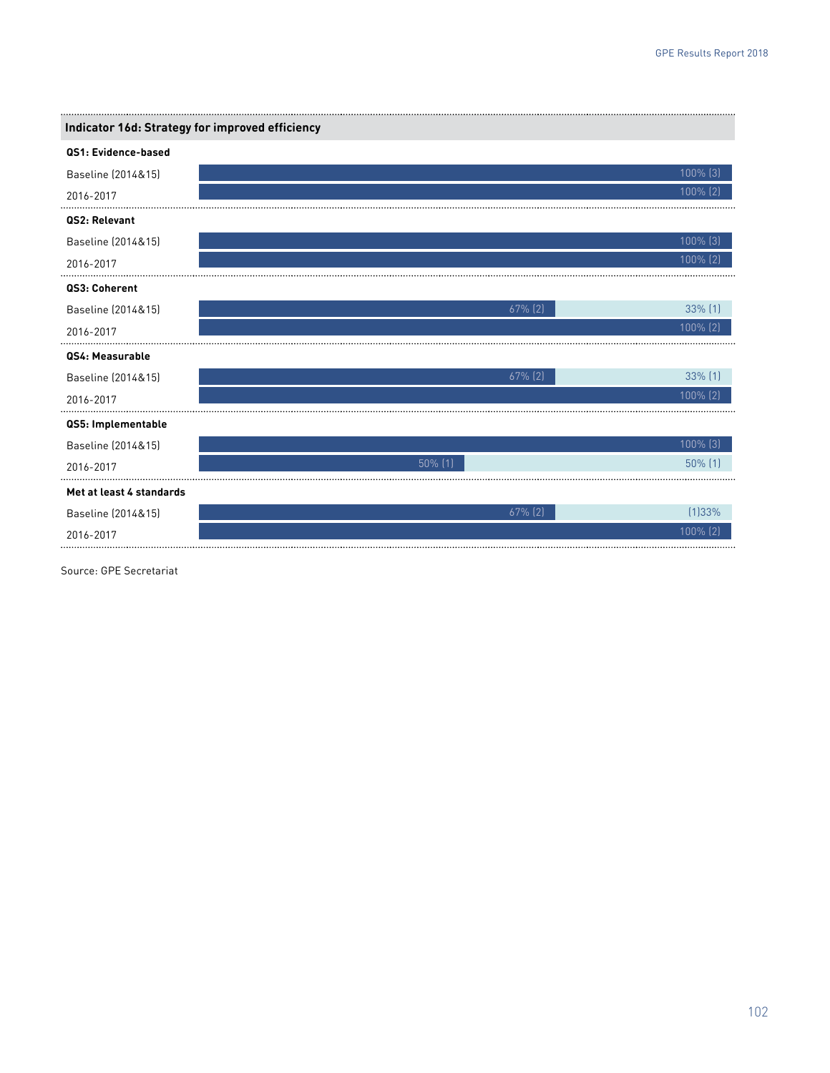| Indicator 16d: Strategy for improved efficiency |                       |  |
|-------------------------------------------------|-----------------------|--|
| QS1: Evidence-based                             |                       |  |
| Baseline (2014&15)                              | 100% (3)              |  |
| 2016-2017                                       | 100% (2)              |  |
| QS2: Relevant                                   |                       |  |
| Baseline (2014&15)                              | 100% (3)              |  |
| 2016-2017                                       | 100% (2)              |  |
| QS3: Coherent                                   |                       |  |
| Baseline (2014&15)                              | 33% (1)<br>67% (2)    |  |
| 2016-2017                                       | 100% (2)              |  |
| QS4: Measurable                                 |                       |  |
| Baseline (2014&15)                              | 33% (1)<br>$67\%$ (2) |  |
| 2016-2017                                       | 100% (2)              |  |
| QS5: Implementable                              |                       |  |
| Baseline (2014&15)                              | 100% [3]              |  |
| 2016-2017                                       | 50% (1)<br>50% (1)    |  |
| Met at least 4 standards                        |                       |  |
| Baseline (2014&15)                              | 67% (2)<br>(1)33%     |  |
| 2016-2017                                       | 100% (2)              |  |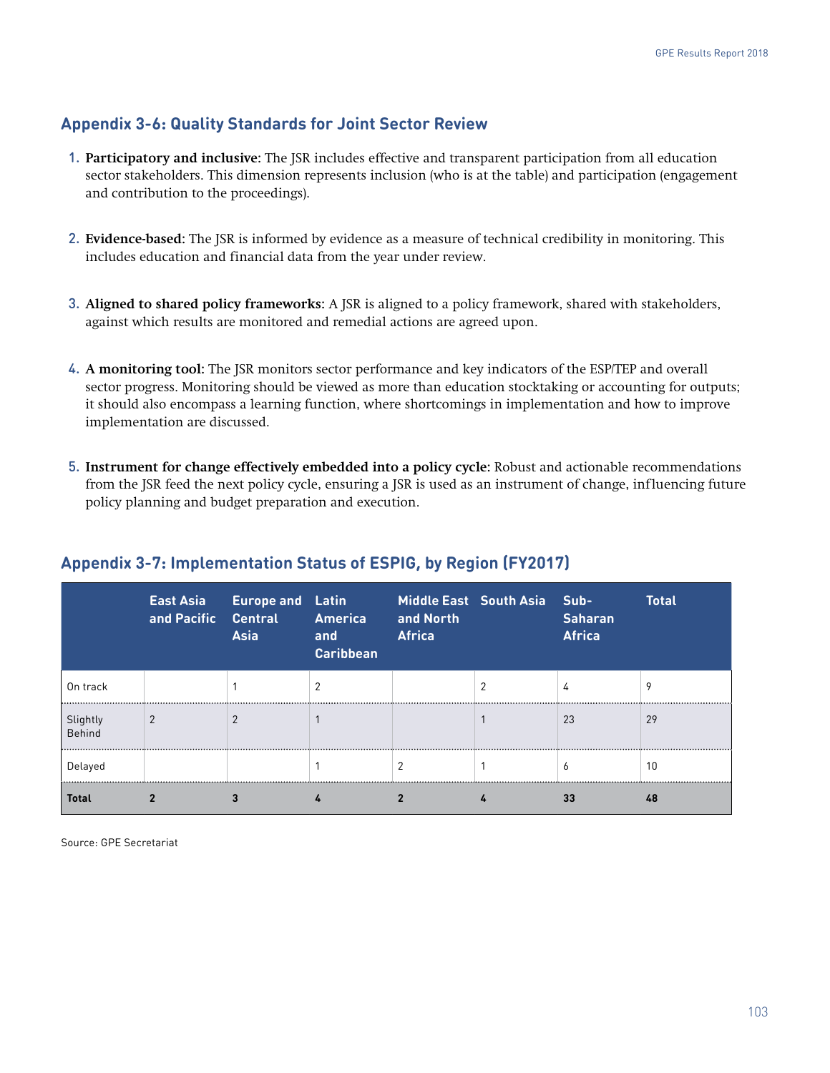# **Appendix 3-6: Quality Standards for Joint Sector Review**

- 1. **Participatory and inclusive:** The JSR includes effective and transparent participation from all education sector stakeholders. This dimension represents inclusion (who is at the table) and participation (engagement and contribution to the proceedings).
- 2. **Evidence-based:** The JSR is informed by evidence as a measure of technical credibility in monitoring. This includes education and financial data from the year under review.
- 3. **Aligned to shared policy frameworks:** A JSR is aligned to a policy framework, shared with stakeholders, against which results are monitored and remedial actions are agreed upon.
- 4. **A monitoring tool:** The JSR monitors sector performance and key indicators of the ESP/TEP and overall sector progress. Monitoring should be viewed as more than education stocktaking or accounting for outputs; it should also encompass a learning function, where shortcomings in implementation and how to improve implementation are discussed.
- 5. **Instrument for change effectively embedded into a policy cycle:** Robust and actionable recommendations from the JSR feed the next policy cycle, ensuring a JSR is used as an instrument of change, influencing future policy planning and budget preparation and execution.

|                    | East Asia<br>and Pacific Central | <b>Europe and Latin</b><br><b>Asia</b> | America<br>and<br><b>Caribbean</b> | and North<br><b>Africa</b> | Middle East South Asia | Sub-<br><b>Saharan</b><br><b>Africa</b> | <b>Total</b> |
|--------------------|----------------------------------|----------------------------------------|------------------------------------|----------------------------|------------------------|-----------------------------------------|--------------|
| On track           |                                  |                                        |                                    |                            |                        | 4                                       |              |
| Slightly<br>Behind |                                  |                                        |                                    |                            |                        | 23                                      | 29           |
| Delayed            |                                  |                                        |                                    |                            |                        | b                                       | 10           |
| Total              |                                  |                                        |                                    |                            |                        | 33                                      | 48           |

# **Appendix 3-7: Implementation Status of ESPIG, by Region (FY2017)**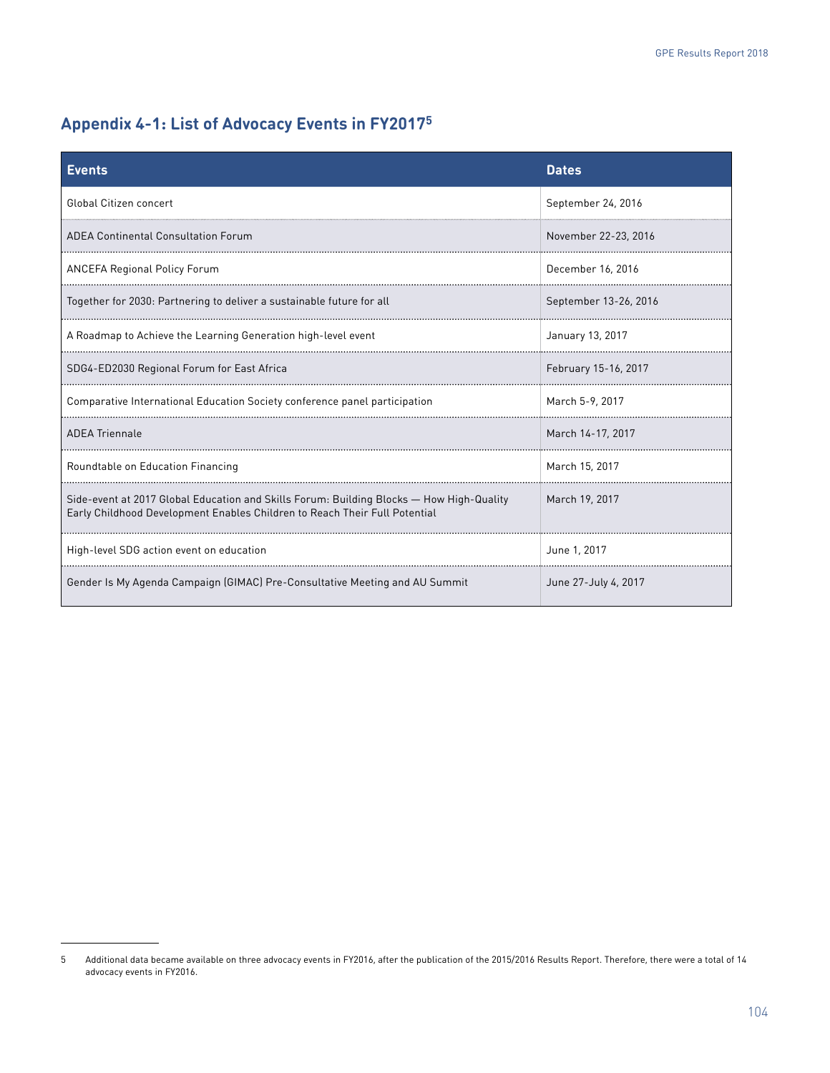# **Appendix 4-1: List of Advocacy Events in FY20175**

| <b>Events</b>                                                                                                                                                          | <b>Dates</b>          |
|------------------------------------------------------------------------------------------------------------------------------------------------------------------------|-----------------------|
| <b>Global Citizen concert</b>                                                                                                                                          | September 24, 2016    |
| <b>ADEA Continental Consultation Forum</b>                                                                                                                             | November 22-23, 2016  |
| <b>ANCEFA Regional Policy Forum</b>                                                                                                                                    | December 16, 2016     |
| Together for 2030: Partnering to deliver a sustainable future for all                                                                                                  | September 13-26, 2016 |
| A Roadmap to Achieve the Learning Generation high-level event                                                                                                          | January 13, 2017      |
| SDG4-ED2030 Regional Forum for East Africa                                                                                                                             | February 15-16, 2017  |
| Comparative International Education Society conference panel participation                                                                                             | March 5-9, 2017       |
| <b>ADEA Triennale</b>                                                                                                                                                  | March 14-17, 2017     |
| Roundtable on Education Financing                                                                                                                                      | March 15, 2017        |
| Side-event at 2017 Global Education and Skills Forum: Building Blocks - How High-Quality<br>Early Childhood Development Enables Children to Reach Their Full Potential | March 19, 2017        |
| High-level SDG action event on education                                                                                                                               | June 1, 2017          |
| Gender Is My Agenda Campaign (GIMAC) Pre-Consultative Meeting and AU Summit                                                                                            | June 27-July 4, 2017  |

<sup>5</sup> Additional data became available on three advocacy events in FY2016, after the publication of the 2015/2016 Results Report. Therefore, there were a total of 14 advocacy events in FY2016.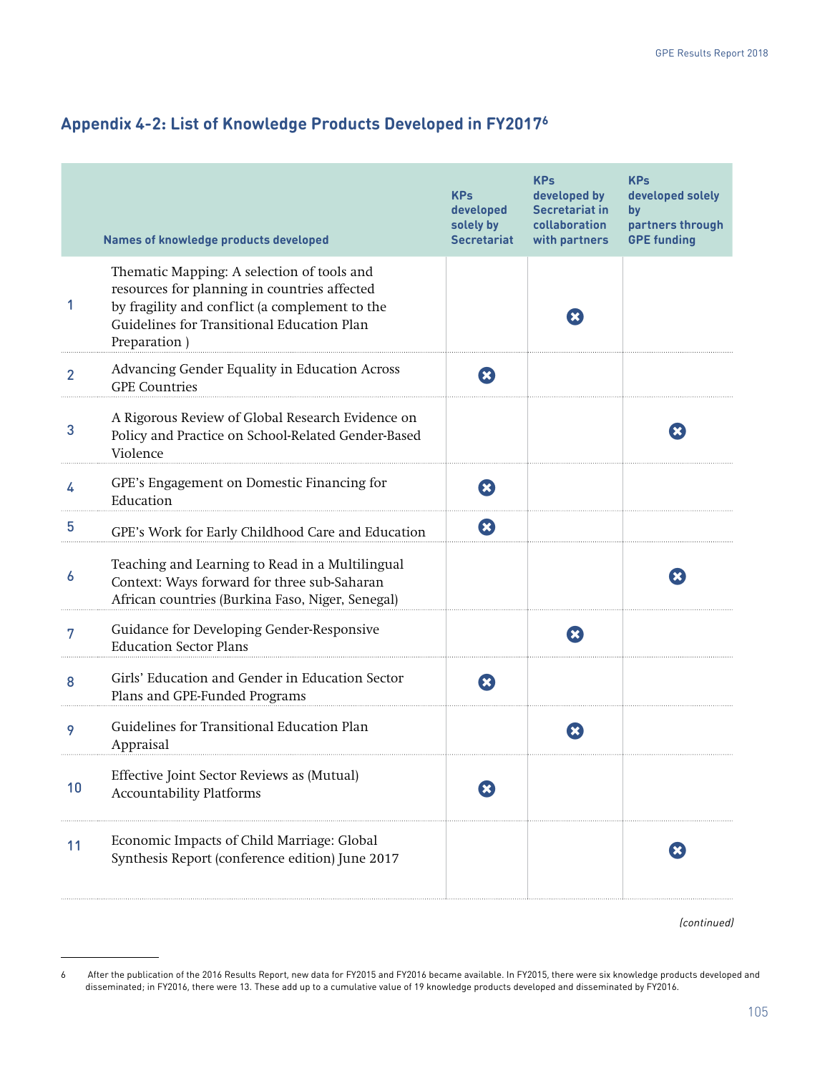|  | Appendix 4-2: List of Knowledge Products Developed in FY2017 <sup>6</sup> |
|--|---------------------------------------------------------------------------|
|--|---------------------------------------------------------------------------|

|    | Names of knowledge products developed                                                                                                                                                                      | <b>KPs</b><br>developed<br>solely by<br><b>Secretariat</b> | <b>KPs</b><br>developed by<br><b>Secretariat in</b><br>collaboration<br>with partners | <b>KPs</b><br>developed solely<br>by<br>partners through<br><b>GPE funding</b> |
|----|------------------------------------------------------------------------------------------------------------------------------------------------------------------------------------------------------------|------------------------------------------------------------|---------------------------------------------------------------------------------------|--------------------------------------------------------------------------------|
| 1  | Thematic Mapping: A selection of tools and<br>resources for planning in countries affected<br>by fragility and conflict (a complement to the<br>Guidelines for Transitional Education Plan<br>Preparation) |                                                            | $\mathbf x$                                                                           |                                                                                |
| 2  | Advancing Gender Equality in Education Across<br><b>GPE</b> Countries                                                                                                                                      | Ø                                                          |                                                                                       |                                                                                |
| 3  | A Rigorous Review of Global Research Evidence on<br>Policy and Practice on School-Related Gender-Based<br>Violence                                                                                         |                                                            |                                                                                       | $\mathbf{x}$                                                                   |
| 4  | GPE's Engagement on Domestic Financing for<br>Education                                                                                                                                                    | Ø                                                          |                                                                                       |                                                                                |
| 5  | GPE's Work for Early Childhood Care and Education                                                                                                                                                          | Ø                                                          |                                                                                       |                                                                                |
| 6  | Teaching and Learning to Read in a Multilingual<br>Context: Ways forward for three sub-Saharan<br>African countries (Burkina Faso, Niger, Senegal)                                                         |                                                            |                                                                                       | $\mathbf{x}$                                                                   |
| 7  | Guidance for Developing Gender-Responsive<br><b>Education Sector Plans</b>                                                                                                                                 |                                                            | ∞                                                                                     |                                                                                |
| 8  | Girls' Education and Gender in Education Sector<br>Plans and GPE-Funded Programs                                                                                                                           | B                                                          |                                                                                       |                                                                                |
| 9  | Guidelines for Transitional Education Plan<br>Appraisal                                                                                                                                                    |                                                            | $\mathbf{x}$                                                                          |                                                                                |
| 10 | Effective Joint Sector Reviews as (Mutual)<br><b>Accountability Platforms</b>                                                                                                                              |                                                            |                                                                                       |                                                                                |
| 11 | Economic Impacts of Child Marriage: Global<br>Synthesis Report (conference edition) June 2017                                                                                                              |                                                            |                                                                                       | $\mathbf x$                                                                    |

<sup>6</sup> After the publication of the 2016 Results Report, new data for FY2015 and FY2016 became available. In FY2015, there were six knowledge products developed and disseminated; in FY2016, there were 13. These add up to a cumulative value of 19 knowledge products developed and disseminated by FY2016.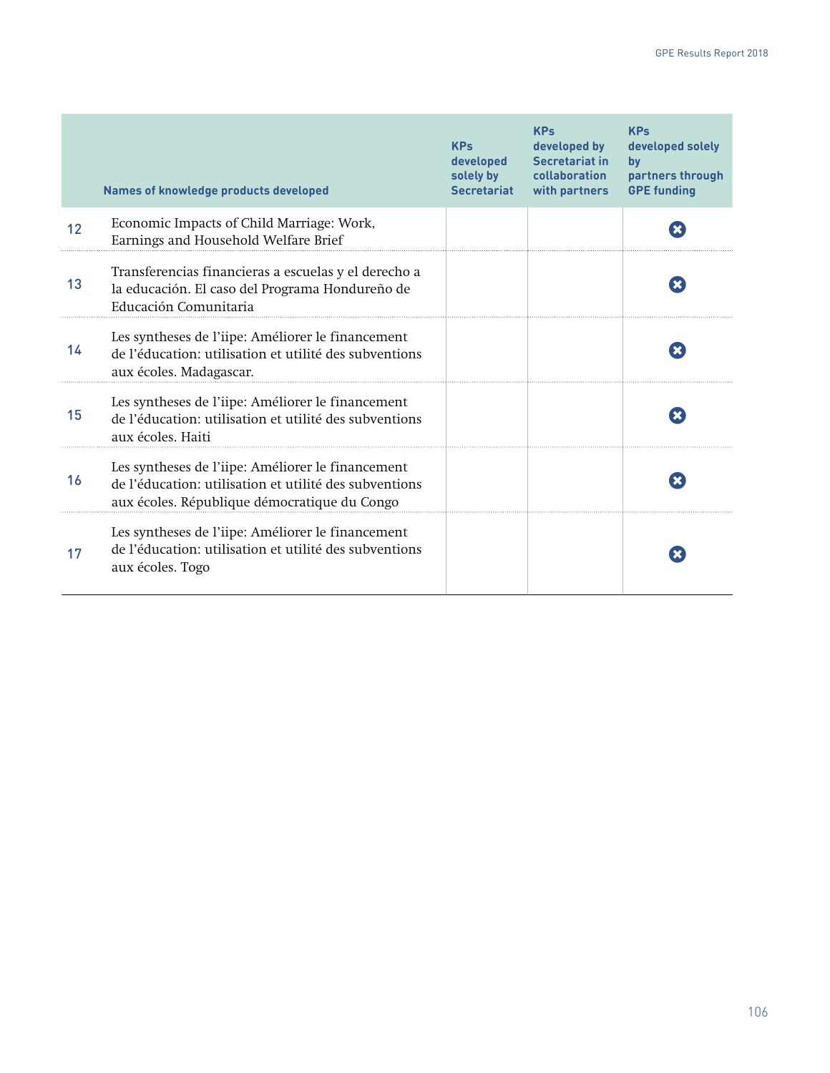|    | <b>Names of knowledge products developed</b>                                                                                                                | <b>KPs</b><br>developed<br>solely by<br><b>Secretariat</b> | <b>KPs</b><br>developed by<br><b>Secretariat in</b><br>collaboration<br>with partners | <b>KPs</b><br>developed solely<br>by<br>partners through<br><b>GPE funding</b> |
|----|-------------------------------------------------------------------------------------------------------------------------------------------------------------|------------------------------------------------------------|---------------------------------------------------------------------------------------|--------------------------------------------------------------------------------|
| 12 | Economic Impacts of Child Marriage: Work,<br>Earnings and Household Welfare Brief                                                                           |                                                            |                                                                                       |                                                                                |
| 13 | Transferencias financieras a escuelas y el derecho a<br>la educación. El caso del Programa Hondureño de<br>Educación Comunitaria                            |                                                            |                                                                                       |                                                                                |
| 14 | Les syntheses de l'iipe: Améliorer le financement<br>de l'éducation: utilisation et utilité des subventions<br>aux écoles. Madagascar.                      |                                                            |                                                                                       |                                                                                |
| 15 | Les syntheses de l'iipe: Améliorer le financement<br>de l'éducation: utilisation et utilité des subventions<br>aux écoles. Haiti                            |                                                            |                                                                                       |                                                                                |
| 16 | Les syntheses de l'iipe: Améliorer le financement<br>de l'éducation: utilisation et utilité des subventions<br>aux écoles. République démocratique du Congo |                                                            |                                                                                       |                                                                                |
| 17 | Les syntheses de l'iipe: Améliorer le financement<br>de l'éducation: utilisation et utilité des subventions<br>aux écoles. Togo                             |                                                            |                                                                                       |                                                                                |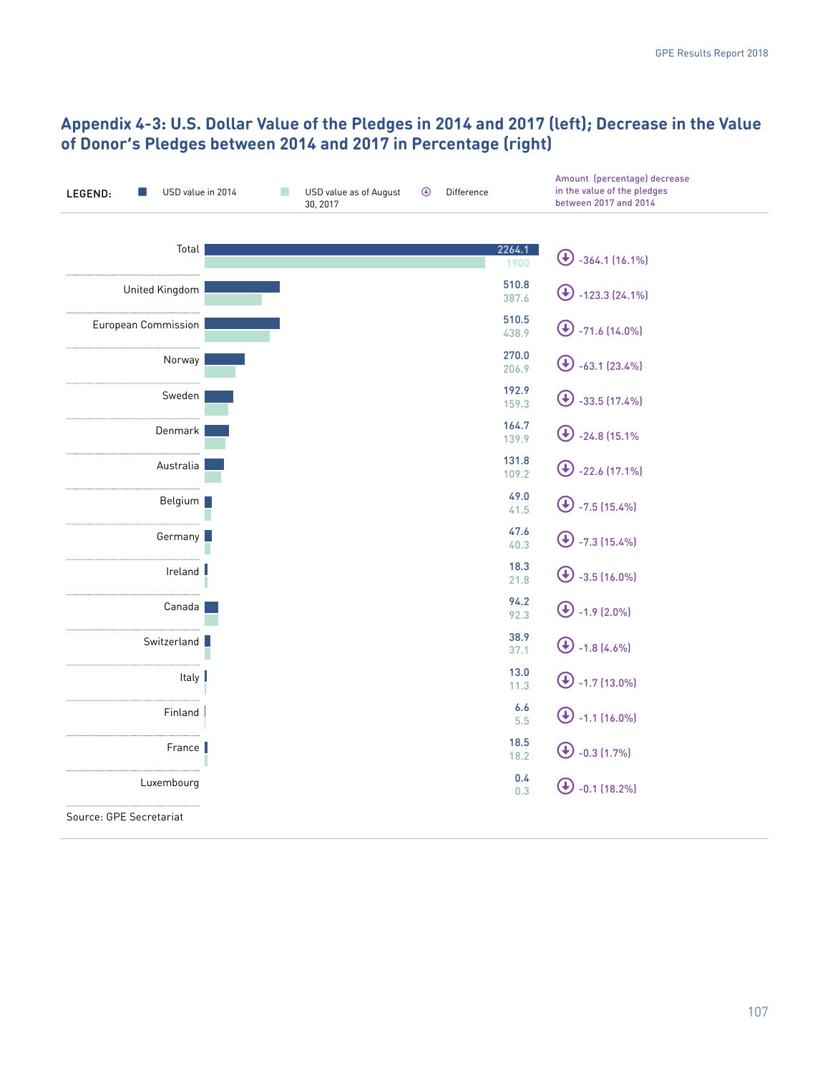# **Appendix 4-3: U.S. Dollar Value of the Pledges in 2014 and 2017 (left); Decrease in the Value of Donor's Pledges between 2014 and 2017 in Percentage (right)**

| USD value in 2014<br>LEGEND: | r. | USD value as of August<br>30, 2017 | $\bigcirc$ | Difference |                | Amount (percentage) decrease<br>in the value of the pledges<br>between 2017 and 2014 |
|------------------------------|----|------------------------------------|------------|------------|----------------|--------------------------------------------------------------------------------------|
| Total                        |    |                                    |            |            | 2264.1<br>1900 | $\bigcirc$<br>$-364.1(16.1\%)$                                                       |
| United Kingdom               |    |                                    |            |            | 510.8<br>387.6 | Œ<br>$-123.3$ (24.1%)                                                                |
| <b>European Commission</b>   |    |                                    |            |            | 510.5<br>438.9 | $\mathbf \Theta$<br>$-71.6$ (14.0%)                                                  |
| Norway                       |    |                                    |            |            | 270.0<br>206.9 | Œ<br>$-63.1$ (23.4%)                                                                 |
| Sweden                       |    |                                    |            |            | 192.9<br>159.3 | $-33.5(17.4%)$<br>Œ                                                                  |
| Denmark                      |    |                                    |            |            | 164.7<br>139.9 | Œ<br>$-24.8(15.1%$                                                                   |
| Australia                    |    |                                    |            |            | 131.8<br>109.2 | $\mathbf \Theta$<br>$-22.6$ (17.1%)                                                  |
| Belgium                      |    |                                    |            |            | 49.0<br>41.5   | $\left( \mathbf{t}\right)$<br>$-7.5(15.4%)$                                          |
| Germany                      |    |                                    |            |            | 47.6<br>40.3   | $\left( \mathbf{t}\right)$<br>$-7.3(15.4%)$                                          |
| Ireland I                    |    |                                    |            |            | 18.3<br>21.8   | $\bigoplus$ -3.5 (16.0%)                                                             |
| Canada                       |    |                                    |            |            | 94.2<br>92.3   | $\bigoplus$ -1.9 (2.0%)                                                              |
| Switzerland                  |    |                                    |            |            | 38.9<br>37.1   | $\bigoplus$ -1.8 (4.6%)                                                              |
| Italy                        |    |                                    |            |            | 13.0<br>11.3   | $\bigoplus$ -1.7 (13.0%)                                                             |
| Finland                      |    |                                    |            |            | 6.6<br>5.5     | $\bigoplus$ -1.1 (16.0%)                                                             |
| France                       |    |                                    |            |            | 18.5<br>18.2   | $\bigoplus$ -0.3 (1.7%)                                                              |
| Luxembourg                   |    |                                    |            |            | 0.4<br>0.3     | $\bigoplus$ -0.1 (18.2%)                                                             |
| Source: GPE Secretariat      |    |                                    |            |            |                |                                                                                      |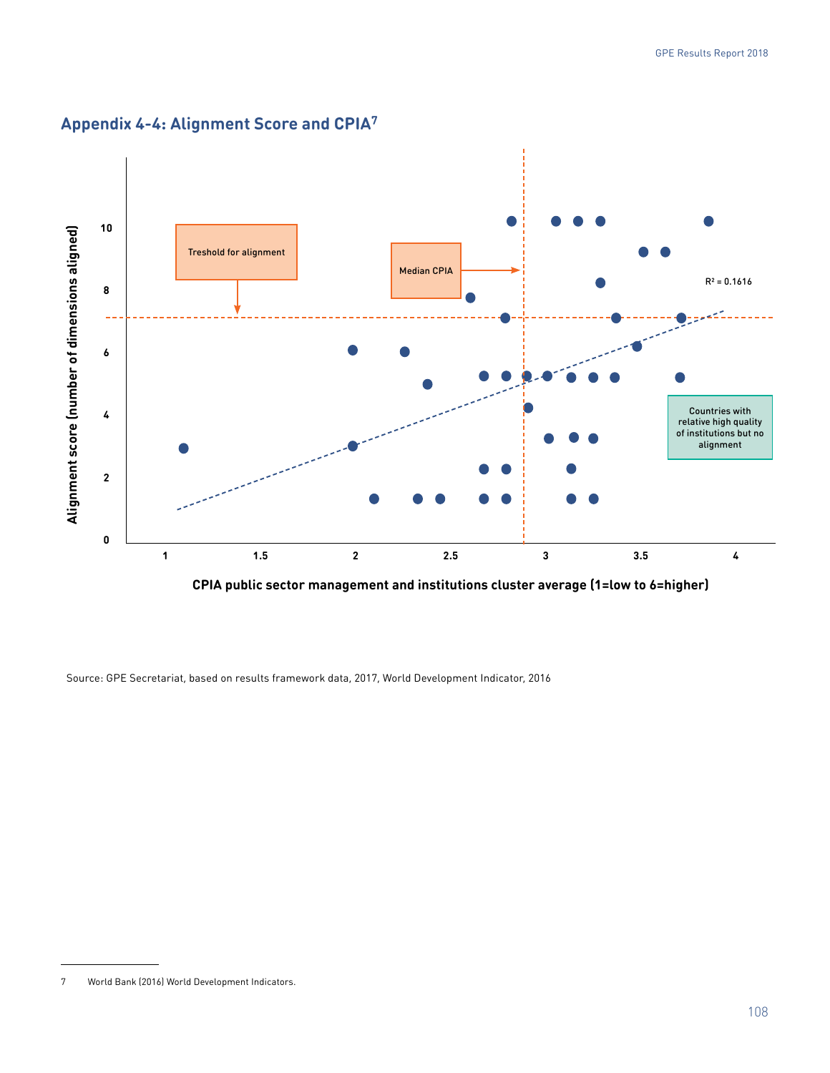

# **Appendix 4-4: Alignment Score and CPIA7**

Source: GPE Secretariat, based on results framework data, 2017, World Development Indicator, 2016

<sup>7</sup> World Bank (2016) World Development Indicators.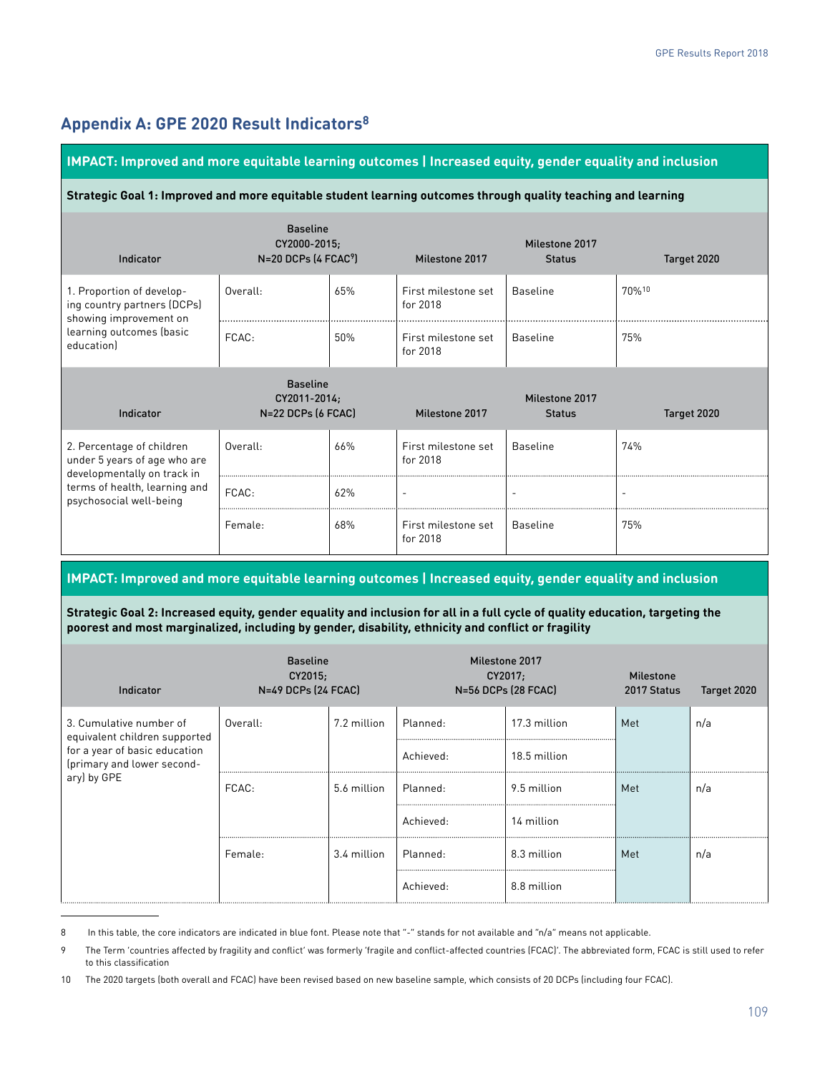# **Appendix A: GPE 2020 Result Indicators8**

#### **IMPACT: Improved and more equitable learning outcomes | Increased equity, gender equality and inclusion**

#### **Strategic Goal 1: Improved and more equitable student learning outcomes through quality teaching and learning**

| Indicator                                                                               | <b>Baseline</b><br>CY2000-2015;<br>$N=20$ DCPs $(4$ FCAC <sup>9</sup> ) |     | Milestone 2017                  | Milestone 2017<br><b>Status</b> | Target 2020              |
|-----------------------------------------------------------------------------------------|-------------------------------------------------------------------------|-----|---------------------------------|---------------------------------|--------------------------|
| 1. Proportion of develop-<br>ing country partners (DCPs)<br>showing improvement on      | Overall:                                                                | 65% | First milestone set<br>for 2018 | <b>Baseline</b>                 | 70%10                    |
| learning outcomes (basic<br>education)                                                  | FCAC:                                                                   | 50% | First milestone set<br>for 2018 | <b>Baseline</b>                 | 75%                      |
| Indicator                                                                               | <b>Baseline</b><br>CY2011-2014;<br>N=22 DCPs (6 FCAC)                   |     |                                 | Milestone 2017                  |                          |
| 2. Percentage of children<br>under 5 years of age who are                               |                                                                         |     | Milestone 2017                  | <b>Status</b>                   | Target 2020              |
|                                                                                         | Overall:                                                                | 66% | First milestone set<br>for 2018 | <b>Baseline</b>                 | 74%                      |
| developmentally on track in<br>terms of health, learning and<br>psychosocial well-being | FCAC:                                                                   | 62% | $\overline{\phantom{a}}$        | $\overline{\phantom{a}}$        | $\overline{\phantom{0}}$ |

#### **IMPACT: Improved and more equitable learning outcomes | Increased equity, gender equality and inclusion**

**Strategic Goal 2: Increased equity, gender equality and inclusion for all in a full cycle of quality education, targeting the poorest and most marginalized, including by gender, disability, ethnicity and conflict or fragility**

| Indicator                                                   | <b>Baseline</b><br>CY2015;<br>N=49 DCPs (24 FCAC) |             |           | Milestone 2017<br>CY2017;<br>N=56 DCPs (28 FCAC) | <b>Milestone</b><br>2017 Status | Target 2020 |
|-------------------------------------------------------------|---------------------------------------------------|-------------|-----------|--------------------------------------------------|---------------------------------|-------------|
| 3. Cumulative number of<br>equivalent children supported    | Overall:                                          | 7.2 million | Planned:  | 17.3 million                                     | Met                             | n/a         |
| for a year of basic education<br>(primary and lower second- |                                                   |             | Achieved: | 18.5 million                                     |                                 |             |
| ary) by GPE                                                 | FCAC:                                             | 5.6 million | Planned:  | 9.5 million                                      | Met                             | n/a         |
|                                                             |                                                   |             | Achieved: | 14 million                                       |                                 |             |
|                                                             | Female:                                           | 3.4 million | Planned:  | 8.3 million                                      | Met                             | n/a         |
|                                                             |                                                   |             | Achieved: | 8.8 million                                      |                                 |             |

<sup>8</sup> In this table, the core indicators are indicated in blue font. Please note that "-" stands for not available and "n/a" means not applicable.

<sup>9</sup> The Term 'countries affected by fragility and conflict' was formerly 'fragile and conflict-affected countries (FCAC)'. The abbreviated form, FCAC is still used to refer to this classification

<sup>10</sup> The 2020 targets (both overall and FCAC) have been revised based on new baseline sample, which consists of 20 DCPs (including four FCAC).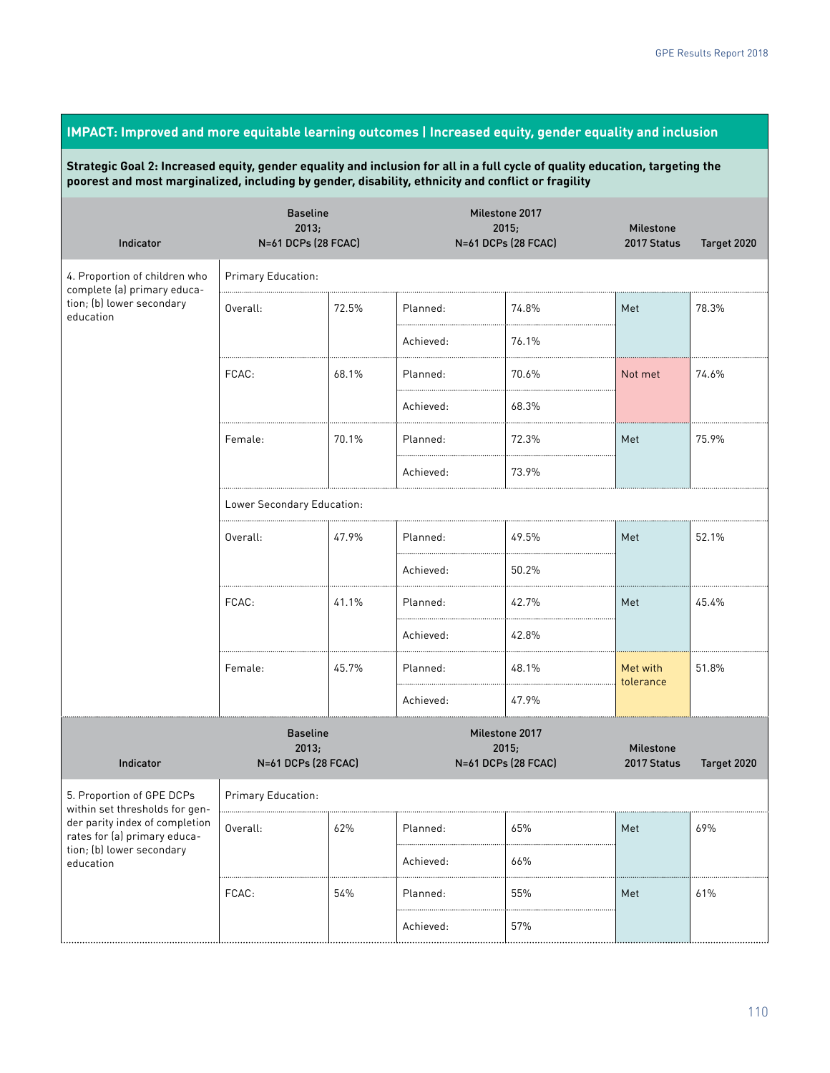# **IMPACT: Improved and more equitable learning outcomes | Increased equity, gender equality and inclusion**

**Strategic Goal 2: Increased equity, gender equality and inclusion for all in a full cycle of quality education, targeting the poorest and most marginalized, including by gender, disability, ethnicity and conflict or fragility**

| Indicator                                                      | <b>Baseline</b><br>2013;<br>N=61 DCPs (28 FCAC) |       |           | Milestone 2017<br>2015;<br>N=61 DCPs (28 FCAC) | Milestone<br>2017 Status        | Target 2020 |  |  |  |
|----------------------------------------------------------------|-------------------------------------------------|-------|-----------|------------------------------------------------|---------------------------------|-------------|--|--|--|
| 4. Proportion of children who<br>complete (a) primary educa-   | Primary Education:                              |       |           |                                                |                                 |             |  |  |  |
| tion; (b) lower secondary<br>education                         | Overall:                                        | 72.5% | Planned:  | 74.8%                                          | Met                             | 78.3%       |  |  |  |
|                                                                |                                                 |       | Achieved: | 76.1%                                          |                                 |             |  |  |  |
|                                                                | FCAC:                                           | 68.1% | Planned:  | 70.6%                                          | Not met                         | 74.6%       |  |  |  |
|                                                                |                                                 |       | Achieved: | 68.3%                                          |                                 |             |  |  |  |
|                                                                | Female:                                         | 70.1% | Planned:  | 72.3%                                          | Met                             | 75.9%       |  |  |  |
|                                                                |                                                 |       | Achieved: | 73.9%                                          |                                 |             |  |  |  |
|                                                                | Lower Secondary Education:                      |       |           |                                                |                                 |             |  |  |  |
|                                                                | Overall:                                        | 47.9% | Planned:  | 49.5%                                          | Met                             | 52.1%       |  |  |  |
|                                                                |                                                 |       | Achieved: | 50.2%                                          |                                 |             |  |  |  |
|                                                                | FCAC:                                           | 41.1% | Planned:  | 42.7%                                          | Met                             | 45.4%       |  |  |  |
|                                                                |                                                 |       | Achieved: | 42.8%                                          |                                 |             |  |  |  |
|                                                                | Female:                                         | 45.7% | Planned:  | 48.1%                                          | Met with<br>tolerance           | 51.8%       |  |  |  |
|                                                                |                                                 |       | Achieved: | 47.9%                                          |                                 |             |  |  |  |
| Indicator                                                      | <b>Baseline</b><br>2013;<br>N=61 DCPs (28 FCAC) |       |           | Milestone 2017<br>2015;<br>N=61 DCPs (28 FCAC) | <b>Milestone</b><br>2017 Status | Target 2020 |  |  |  |
| 5. Proportion of GPE DCPs<br>within set thresholds for gen-    | Primary Education:                              |       |           |                                                |                                 |             |  |  |  |
| der parity index of completion<br>rates for (a) primary educa- | Overall:                                        | 62%   | Planned:  | 65%                                            | Met                             | 69%         |  |  |  |
| tion; (b) lower secondary<br>education                         |                                                 |       | Achieved: | 66%                                            |                                 |             |  |  |  |
|                                                                | FCAC:                                           | 54%   | Planned:  | 55%                                            | Met                             | 61%         |  |  |  |
|                                                                |                                                 |       | Achieved: | 57%                                            |                                 |             |  |  |  |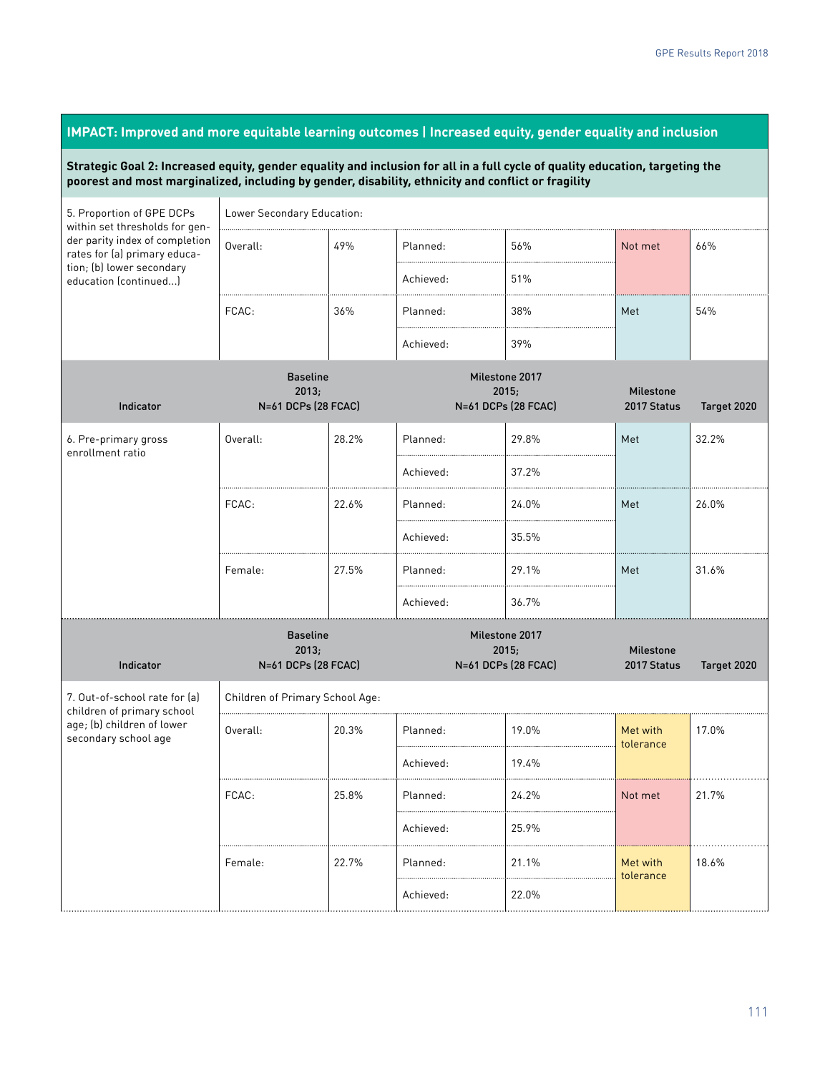#### **Strategic Goal 2: Increased equity, gender equality and inclusion for all in a full cycle of quality education, targeting the poorest and most marginalized, including by gender, disability, ethnicity and conflict or fragility** 5. Proportion of GPE DCPs within set thresholds for gender parity index of completion rates for (a) primary education; (b) lower secondary education (continued...) Lower Secondary Education: Overall:  $\begin{array}{|c|c|c|c|c|}\n\hline\n\end{array}$  49% Planned:  $\begin{array}{|c|c|c|c|}\n\hline\n\end{array}$  56% Not met  $\begin{array}{|c|c|c|}\n\hline\n\end{array}$ 66% Achieved: 151% FCAC: 36% Planned: 38% Met 54% Achieved: 39% Indicator Baseline 2013; N=61 DCPs (28 FCAC) Milestone 2017  $2015.$ N=61 DCPs (28 FCAC) Milestone 2017 Status Target 2020 6. Pre-primary gross enrollment ratio Overall: 28.2% Planned: 29.8% Met 32.2% Achieved: 37.2% FCAC: 22.6% Planned: 24.0% Met 26.0% Achieved: 35.5% Female: 27.5% Planned: 29.1% Met 31.6% Achieved: 36.7% Indicator Baseline 2013; N=61 DCPs (28 FCAC) Milestone 2017 2015; N=61 DCPs (28 FCAC) Milestone 2017 Status Target 2020 7. Out-of-school rate for (a) children of primary school age; (b) children of lower secondary school age Children of Primary School Age: Overall: 20.3% Planned: 19.0% Met with tolerance 17.0% Achieved: 19.4% FCAC: 25.8% Planned: 24.2% Not met 21.7% Achieved: 25.9% Female: 22.7% Planned: 21.1% Met with tolerance 18.6% Achieved: 22.0%

**IMPACT: Improved and more equitable learning outcomes | Increased equity, gender equality and inclusion**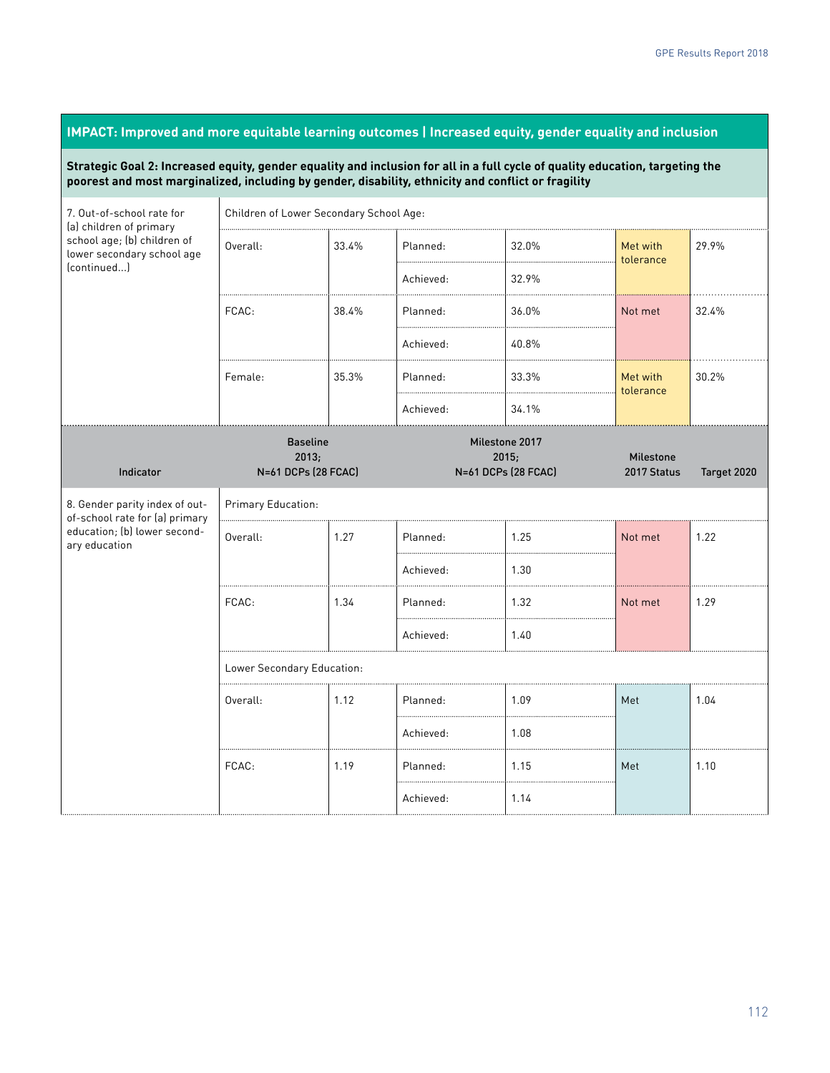#### **Strategic Goal 2: Increased equity, gender equality and inclusion for all in a full cycle of quality education, targeting the poorest and most marginalized, including by gender, disability, ethnicity and conflict or fragility** 7. Out-of-school rate for (a) children of primary school age; (b) children of lower secondary school age (continued...) Children of Lower Secondary School Age: Overall: 33.4% Planned: 32.0% Met with tolerance 29.9% Achieved: 32.9% FCAC: 38.4% Planned: 36.0% Not met 32.4% Achieved: 40.8% Female:  $\begin{array}{|c|c|c|c|c|}\n\hline\n35.3\% & \text{Planned:} & \begin{array}{|c|c|c|}\n\hline\n33.3\% & \text{Met with}\n\end{array}\n\hline\n\end{array}$ tolerance 30.2% Achieved: 34.1% Indicator Baseline 2013; N=61 DCPs (28 FCAC) Milestone 2017 2015; N=61 DCPs (28 FCAC) Milestone 2017 Status Target 2020 8. Gender parity index of outof-school rate for (a) primary education; (b) lower secondary education Primary Education: Overall: 1.27 Planned: 1.25 Not met 1.22 Achieved: 1.30

**IMPACT: Improved and more equitable learning outcomes | Increased equity, gender equality and inclusion**

|                                |      | Achieved: | 1.30 |         |      |  |  |  |
|--------------------------------|------|-----------|------|---------|------|--|--|--|
| FCAC:                          | 1.34 | Planned:  | 1.32 | Not met | 1.29 |  |  |  |
|                                |      | Achieved: | 1.40 |         |      |  |  |  |
| <br>Lower Secondary Education: |      |           |      |         |      |  |  |  |
| Overall:                       | 1.12 | Planned:  | 1.09 | Met     | 1.04 |  |  |  |
|                                |      | Achieved: | 1.08 |         |      |  |  |  |
| <br>FCAC:                      | 1.19 | Planned:  | 1.15 | Met     | 1.10 |  |  |  |
|                                |      | Achieved: | 1.14 |         |      |  |  |  |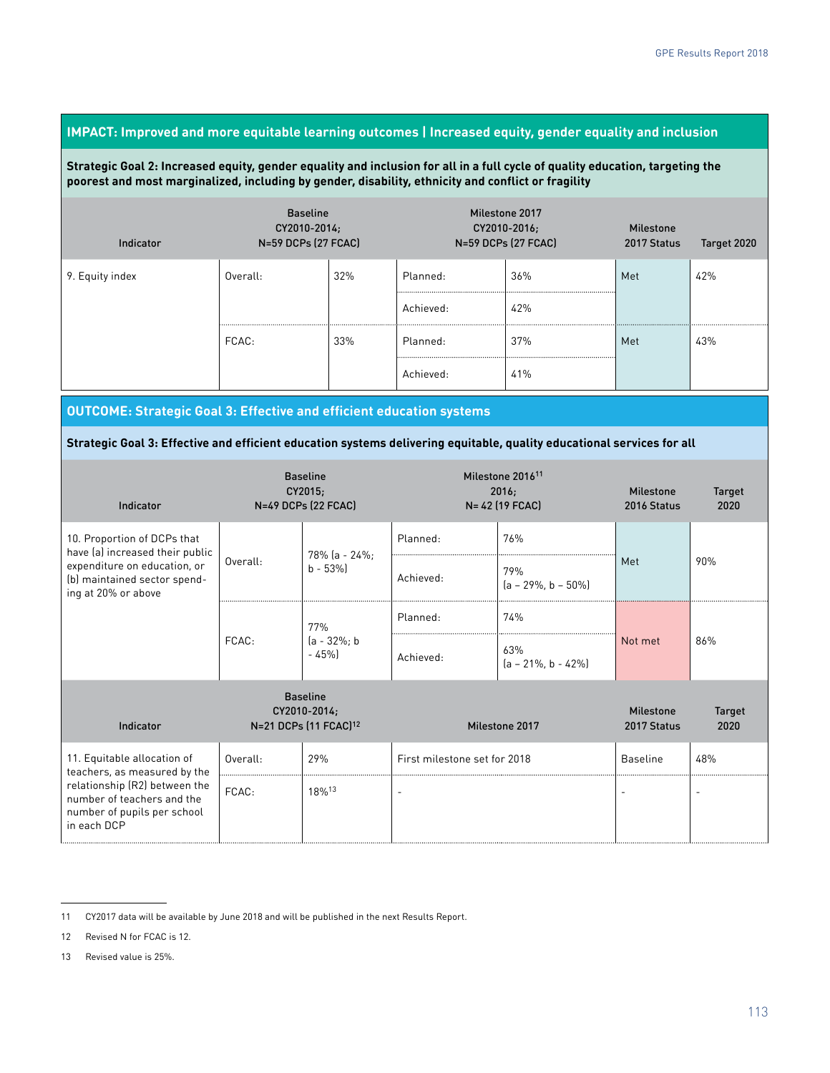#### **IMPACT: Improved and more equitable learning outcomes | Increased equity, gender equality and inclusion**

#### **Strategic Goal 2: Increased equity, gender equality and inclusion for all in a full cycle of quality education, targeting the poorest and most marginalized, including by gender, disability, ethnicity and conflict or fragility**

| Indicator       | <b>Baseline</b><br>CY2010-2014;<br>N=59 DCPs (27 FCAC) |         | Milestone 2017 | CY2010-2016;<br>N=59 DCPs (27 FCAC) | <b>Milestone</b><br>2017 Status | Target 2020 |
|-----------------|--------------------------------------------------------|---------|----------------|-------------------------------------|---------------------------------|-------------|
| 9. Equity index | Overall:                                               | 32%     | Planned:       | 36%                                 | Met                             | 42%         |
|                 |                                                        |         | Achieved:      | 42%                                 |                                 |             |
|                 | FCAC:                                                  | <br>33% | Planned:       | .<br>37%                            | <br>Met                         | 43%         |
|                 |                                                        |         | Achieved:      | <br><br>41%                         |                                 |             |

**OUTCOME: Strategic Goal 3: Effective and efficient education systems**

**Strategic Goal 3: Effective and efficient education systems delivering equitable, quality educational services for all**

| Indicator                                                                                                                                             |          | <b>Baseline</b><br>CY2015;<br>N=49 DCPs (22 FCAC) |                              | Milestone 2016 <sup>11</sup><br>2016;<br>N= 42 (19 FCAC) | <b>Milestone</b><br>2016 Status | <b>Target</b><br>2020 |
|-------------------------------------------------------------------------------------------------------------------------------------------------------|----------|---------------------------------------------------|------------------------------|----------------------------------------------------------|---------------------------------|-----------------------|
| 10. Proportion of DCPs that<br>have (a) increased their public<br>expenditure on education, or<br>(b) maintained sector spend-<br>ing at 20% or above | Overall: | 78% (a - 24%;<br>$b - 53%$                        | Planned:<br>Achieved:        | 76%<br>79%<br>$[a - 29\%, b - 50\%]$                     | Met                             | 90%                   |
|                                                                                                                                                       | FCAC:    | 77%<br>$(a - 32\%; b)$<br>$-45%$                  | Planned:<br>Achieved:        | 74%<br>63%<br>$[a - 21\%, b - 42\%]$                     | Not met                         | 86%                   |
| <b>Baseline</b><br>CY2010-2014;<br>N=21 DCPs (11 FCAC) <sup>12</sup><br>Indicator                                                                     |          |                                                   | Milestone 2017               | <b>Milestone</b><br>2017 Status                          | <b>Target</b><br>2020           |                       |
| 11. Equitable allocation of                                                                                                                           | Overall: | 29%                                               | First milestone set for 2018 |                                                          | <b>Baseline</b>                 | 48%                   |
| teachers, as measured by the<br>relationship (R2) between the<br>number of teachers and the<br>number of pupils per school<br>in each DCP             | FCAC:    | 18%13                                             | $\overline{\phantom{a}}$     |                                                          |                                 | $\overline{a}$        |

<sup>11</sup> CY2017 data will be available by June 2018 and will be published in the next Results Report.

<sup>12</sup> Revised N for FCAC is 12.

<sup>13</sup> Revised value is 25%.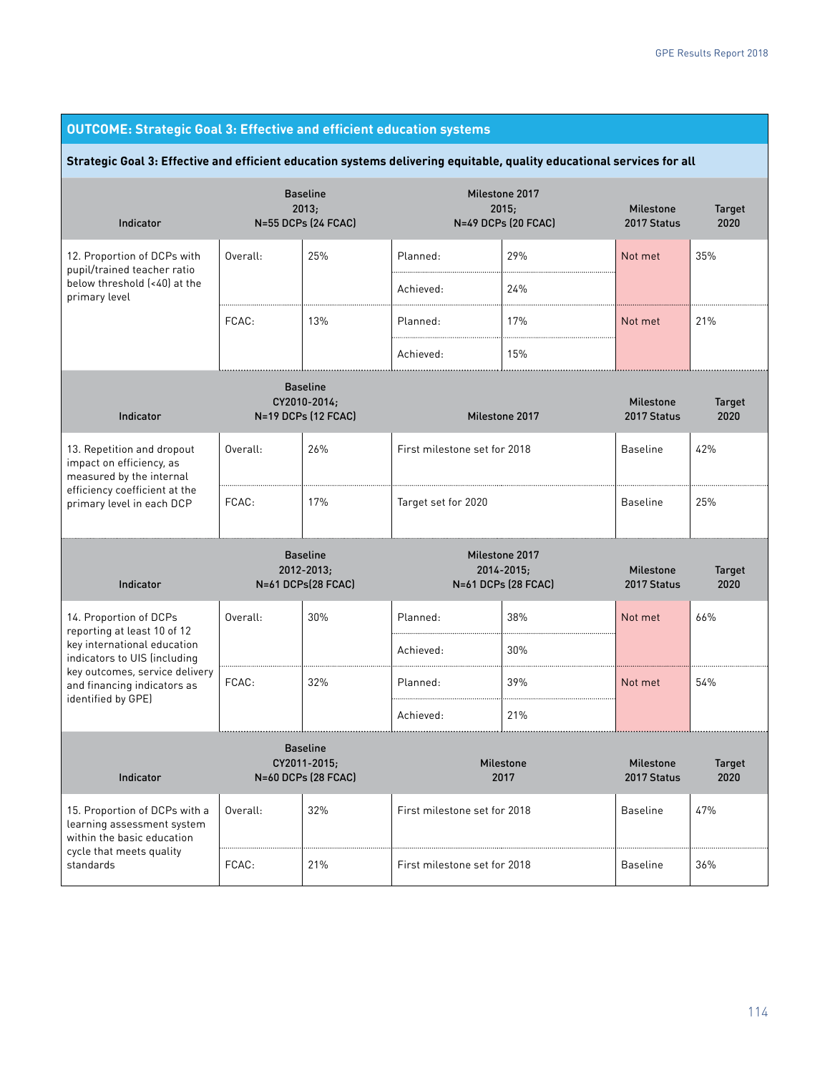| <b>OUTCOME: Strategic Goal 3: Effective and efficient education systems</b>                                                                      |          |                                                        |                              |                                                       |                                 |                       |  |  |  |
|--------------------------------------------------------------------------------------------------------------------------------------------------|----------|--------------------------------------------------------|------------------------------|-------------------------------------------------------|---------------------------------|-----------------------|--|--|--|
| Strategic Goal 3: Effective and efficient education systems delivering equitable, quality educational services for all                           |          |                                                        |                              |                                                       |                                 |                       |  |  |  |
| Indicator                                                                                                                                        |          | <b>Baseline</b><br>2013;<br>N=55 DCPs (24 FCAC)        |                              | Milestone 2017<br>2015;<br><b>N=49 DCPs (20 FCAC)</b> | <b>Milestone</b><br>2017 Status | <b>Target</b><br>2020 |  |  |  |
| 12. Proportion of DCPs with<br>pupil/trained teacher ratio<br>below threshold [<40] at the<br>primary level                                      | Overall: | 25%                                                    | Planned:                     | 29%                                                   | Not met                         | 35%                   |  |  |  |
|                                                                                                                                                  |          |                                                        | Achieved:                    | 24%                                                   |                                 |                       |  |  |  |
|                                                                                                                                                  | FCAC:    | 13%                                                    | Planned:                     | 17%                                                   | Not met                         | 21%                   |  |  |  |
|                                                                                                                                                  |          |                                                        | Achieved:                    | 15%                                                   |                                 |                       |  |  |  |
| Indicator                                                                                                                                        |          | <b>Baseline</b><br>CY2010-2014;<br>N=19 DCPs (12 FCAC) |                              | Milestone 2017                                        | <b>Milestone</b><br>2017 Status | <b>Target</b><br>2020 |  |  |  |
| 13. Repetition and dropout<br>impact on efficiency, as<br>measured by the internal<br>efficiency coefficient at the<br>primary level in each DCP | Overall: | 26%                                                    | First milestone set for 2018 |                                                       | <b>Baseline</b>                 | 42%                   |  |  |  |
|                                                                                                                                                  | FCAC:    | 17%                                                    | Target set for 2020          | <b>Baseline</b>                                       | 25%                             |                       |  |  |  |
| Indicator                                                                                                                                        |          | <b>Baseline</b><br>2012-2013;<br>N=61 DCPs(28 FCAC)    |                              | Milestone 2017<br>2014-2015;<br>N=61 DCPs (28 FCAC)   | <b>Milestone</b><br>2017 Status | <b>Target</b><br>2020 |  |  |  |
| 14. Proportion of DCPs<br>reporting at least 10 of 12                                                                                            | Overall: | 30%                                                    | Planned:                     | 38%                                                   | Not met                         | 66%                   |  |  |  |
| key international education<br>indicators to UIS (including                                                                                      |          |                                                        | Achieved:                    | 30%                                                   |                                 |                       |  |  |  |
| key outcomes, service delivery<br>and financing indicators as<br>identified by GPE)                                                              | FCAC:    | 32%                                                    | Planned:                     | 39%                                                   | Not met                         | 54%                   |  |  |  |
|                                                                                                                                                  |          |                                                        | Achieved:                    | 21%                                                   |                                 |                       |  |  |  |
| Indicator                                                                                                                                        |          | <b>Baseline</b><br>CY2011-2015;<br>N=60 DCPs (28 FCAC) |                              | <b>Milestone</b><br>2017                              | <b>Milestone</b><br>2017 Status | <b>Target</b><br>2020 |  |  |  |
| 15. Proportion of DCPs with a<br>learning assessment system<br>within the basic education                                                        | Overall: | 32%                                                    | First milestone set for 2018 |                                                       | <b>Baseline</b>                 | 47%                   |  |  |  |
| cycle that meets quality<br>standards                                                                                                            | FCAC:    | 21%                                                    | First milestone set for 2018 |                                                       | <b>Baseline</b>                 | 36%                   |  |  |  |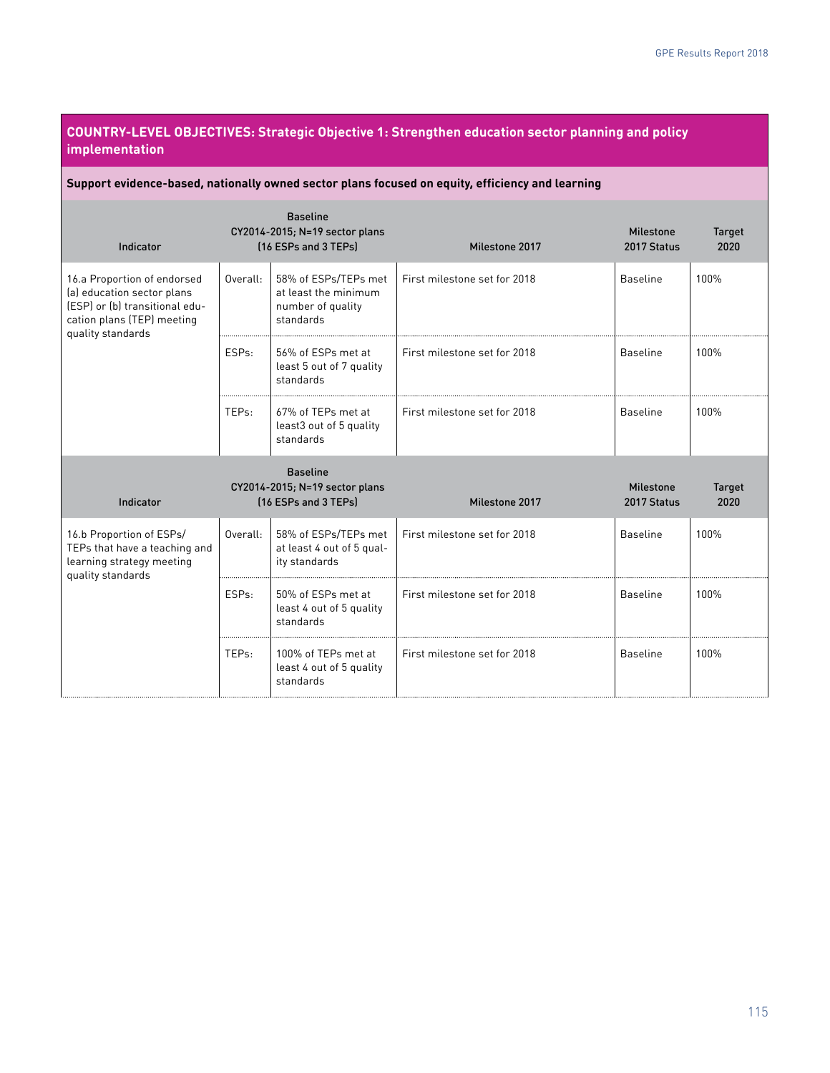### **COUNTRY-LEVEL OBJECTIVES: Strategic Objective 1: Strengthen education sector planning and policy implementation**

#### **Support evidence-based, nationally owned sector plans focused on equity, efficiency and learning**

| Indicator                                                                                                                                      |          | <b>Baseline</b><br>CY2014-2015; N=19 sector plans<br>[16 ESPs and 3 TEPs]      | Milestone 2017               | <b>Milestone</b><br>2017 Status | Target<br>2020        |
|------------------------------------------------------------------------------------------------------------------------------------------------|----------|--------------------------------------------------------------------------------|------------------------------|---------------------------------|-----------------------|
| 16.a Proportion of endorsed<br>(a) education sector plans<br>(ESP) or (b) transitional edu-<br>cation plans (TEP) meeting<br>quality standards | Overall: | 58% of ESPs/TEPs met<br>at least the minimum<br>number of quality<br>standards | First milestone set for 2018 | <b>Baseline</b>                 | 100%                  |
|                                                                                                                                                | ESPs:    | 56% of ESPs met at<br>least 5 out of 7 quality<br>standards                    | First milestone set for 2018 | <b>Baseline</b>                 | 100%                  |
|                                                                                                                                                | TEPs:    | 67% of TEPs met at<br>least3 out of 5 quality<br>standards                     | First milestone set for 2018 | <b>Baseline</b>                 | 100%                  |
| Indicator                                                                                                                                      |          | <b>Baseline</b><br>CY2014-2015; N=19 sector plans<br>[16 ESPs and 3 TEPs]      | Milestone 2017               | <b>Milestone</b><br>2017 Status | <b>Target</b><br>2020 |
| 16.b Proportion of ESPs/<br>TEPs that have a teaching and<br>learning strategy meeting                                                         | Overall: | 58% of ESPs/TEPs met<br>at least 4 out of 5 qual-<br>ity standards             | First milestone set for 2018 | <b>Baseline</b>                 | 100%                  |
| quality standards                                                                                                                              | ESPs:    | 50% of ESPs met at<br>least 4 out of 5 quality<br>standards                    | First milestone set for 2018 | <b>Baseline</b>                 | 100%                  |
|                                                                                                                                                | TEPs:    | 100% of TEPs met at<br>least 4 out of 5 quality<br>standards                   | First milestone set for 2018 | <b>Baseline</b>                 | 100%                  |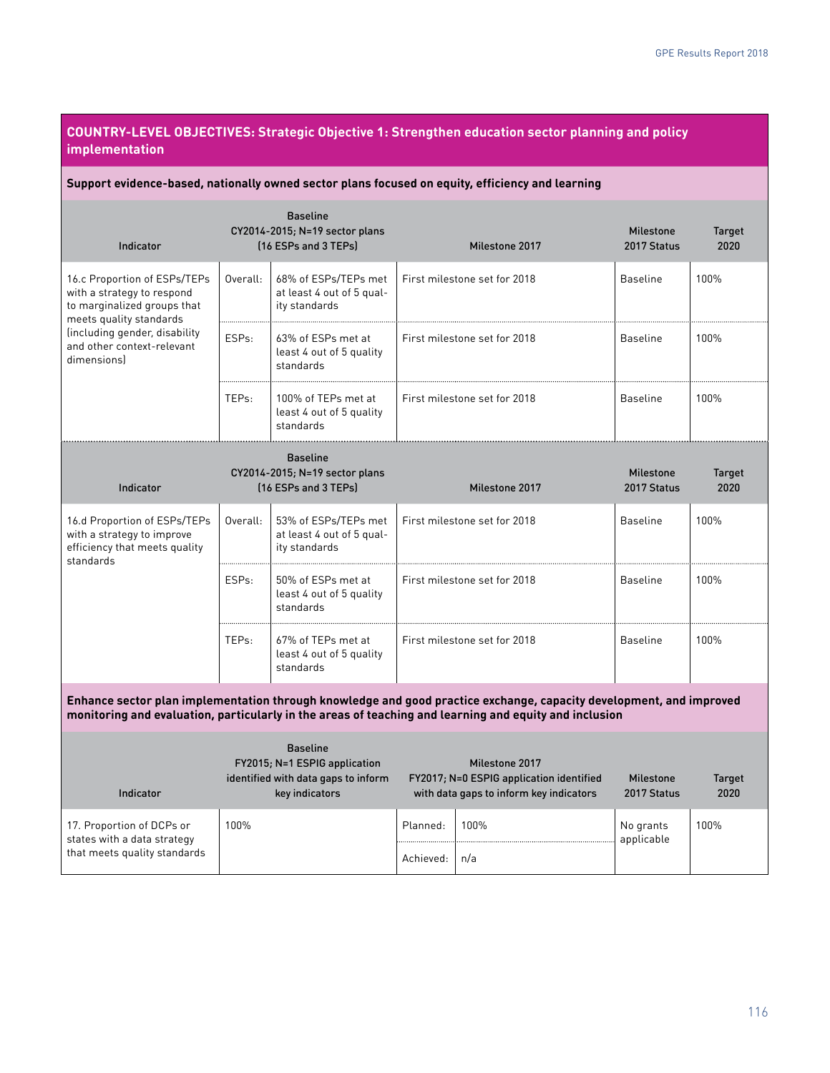### **COUNTRY-LEVEL OBJECTIVES: Strategic Objective 1: Strengthen education sector planning and policy implementation**

#### **Support evidence-based, nationally owned sector plans focused on equity, efficiency and learning**

| <b>Baseline</b><br>CY2014-2015; N=19 sector plans<br>[16 ESPs and 3 TEPs]<br>Indicator                               |                    |                                                                                                           |                              | Milestone 2017                                                                                                                                                                                                                | <b>Milestone</b><br>2017 Status | <b>Target</b><br>2020 |
|----------------------------------------------------------------------------------------------------------------------|--------------------|-----------------------------------------------------------------------------------------------------------|------------------------------|-------------------------------------------------------------------------------------------------------------------------------------------------------------------------------------------------------------------------------|---------------------------------|-----------------------|
| 16.c Proportion of ESPs/TEPs<br>with a strategy to respond<br>to marginalized groups that<br>meets quality standards | Overall:           | 68% of ESPs/TEPs met<br>at least 4 out of 5 qual-<br>ity standards                                        | First milestone set for 2018 |                                                                                                                                                                                                                               | <b>Baseline</b>                 | 100%                  |
| (including gender, disability<br>and other context-relevant<br>dimensionsl                                           | ESP <sub>s</sub> : | 63% of ESPs met at<br>least 4 out of 5 quality<br>standards                                               |                              | First milestone set for 2018                                                                                                                                                                                                  | <b>Baseline</b>                 | 100%                  |
|                                                                                                                      | TEP <sub>s:</sub>  | 100% of TEPs met at<br>least 4 out of 5 quality<br>standards                                              | First milestone set for 2018 |                                                                                                                                                                                                                               | <b>Baseline</b>                 | 100%                  |
|                                                                                                                      |                    | <b>Baseline</b><br>CY2014-2015; N=19 sector plans                                                         |                              |                                                                                                                                                                                                                               | <b>Milestone</b>                | <b>Target</b>         |
| Indicator                                                                                                            |                    | [16 ESPs and 3 TEPs]                                                                                      |                              | Milestone 2017                                                                                                                                                                                                                | 2017 Status                     | 2020                  |
| 16.d Proportion of ESPs/TEPs<br>with a strategy to improve<br>efficiency that meets quality<br>standards             | Overall:           | 53% of ESPs/TEPs met<br>at least 4 out of 5 qual-<br>ity standards                                        | First milestone set for 2018 |                                                                                                                                                                                                                               | <b>Baseline</b>                 | 100%                  |
|                                                                                                                      | ESPs:              | 50% of ESPs met at<br>least 4 out of 5 quality<br>standards                                               | First milestone set for 2018 |                                                                                                                                                                                                                               | <b>Baseline</b>                 | 100%                  |
|                                                                                                                      | TEPs:              | 67% of TEPs met at<br>least 4 out of 5 quality<br>standards                                               |                              | First milestone set for 2018                                                                                                                                                                                                  | <b>Baseline</b>                 | 100%                  |
|                                                                                                                      |                    |                                                                                                           |                              | Enhance sector plan implementation through knowledge and good practice exchange, capacity development, and improved<br>monitoring and evaluation, particularly in the areas of teaching and learning and equity and inclusion |                                 |                       |
| Indicator                                                                                                            |                    | <b>Baseline</b><br>FY2015; N=1 ESPIG application<br>identified with data gaps to inform<br>key indicators |                              | Milestone 2017<br>FY2017; N=0 ESPIG application identified<br>with data gaps to inform key indicators                                                                                                                         | <b>Milestone</b><br>2017 Status | <b>Target</b><br>2020 |
| 17. Proportion of DCPs or<br>states with a data strategy                                                             | 100%               |                                                                                                           | Planned:                     | 100%                                                                                                                                                                                                                          | No grants<br>applicable         | 100%                  |
| that meets quality standards                                                                                         |                    |                                                                                                           | Achieved:                    | n/a                                                                                                                                                                                                                           |                                 |                       |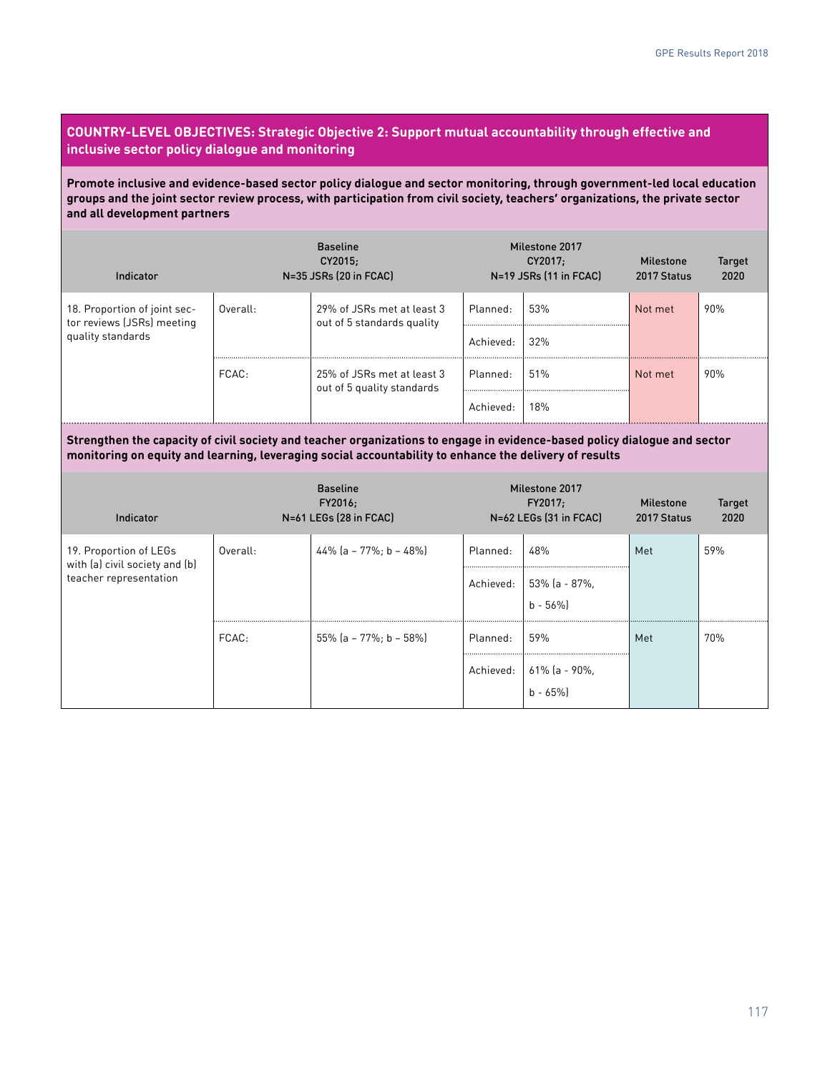#### **COUNTRY-LEVEL OBJECTIVES: Strategic Objective 2: Support mutual accountability through effective and inclusive sector policy dialogue and monitoring**

**Promote inclusive and evidence-based sector policy dialogue and sector monitoring, through government-led local education groups and the joint sector review process, with participation from civil society, teachers' organizations, the private sector and all development partners**

| Indicator                                                  |          | <b>Baseline</b><br>CY2015;<br>N=35 JSRs (20 in FCAC)     |           | Milestone 2017<br>CY2017:<br>N=19 JSRs (11 in FCAC) | Milestone<br>2017 Status | Target<br>2020 |
|------------------------------------------------------------|----------|----------------------------------------------------------|-----------|-----------------------------------------------------|--------------------------|----------------|
| 18. Proportion of joint sec-<br>tor reviews (JSRs) meeting | Overall: | 29% of JSRs met at least 3<br>out of 5 standards quality | Planned:  | 53%                                                 | Not met                  | 90%            |
| quality standards                                          |          |                                                          | Achieved: | 32%                                                 |                          |                |
|                                                            | FCAC:    | 25% of JSRs met at least 3<br>out of 5 quality standards | Planned:  | 51%                                                 | Not met                  | 90%            |
|                                                            |          |                                                          | Achieved: | 18%                                                 |                          |                |

**Strengthen the capacity of civil society and teacher organizations to engage in evidence-based policy dialogue and sector monitoring on equity and learning, leveraging social accountability to enhance the delivery of results**

| Indicator                                                                          |          | <b>Baseline</b><br>FY2016;<br>N=61 LEGs (28 in FCAC) |                                                                                                  | Milestone 2017<br>FY2017;<br>N=62 LEGs (31 in FCAC)             | Milestone<br>2017 Status | <b>Target</b><br>2020 |
|------------------------------------------------------------------------------------|----------|------------------------------------------------------|--------------------------------------------------------------------------------------------------|-----------------------------------------------------------------|--------------------------|-----------------------|
| 19. Proportion of LEGs<br>with (a) civil society and (b)<br>teacher representation | Overall: | $44\%$ (a - 77%; b - 48%)                            | 48%<br>Planned:<br>Achieved: $\begin{bmatrix} 53\% \text{ (a - 87\%)} \\ b - 56\% \end{bmatrix}$ |                                                                 | Met                      | 59%                   |
|                                                                                    | FCAC:    | 55% (a - 77%: b - 58%)                               | Planned:                                                                                         | 59%<br>Achieved: $\Big  61\% \Big  a - 90\% \Big $<br>$b - 65%$ | Met                      | 70%                   |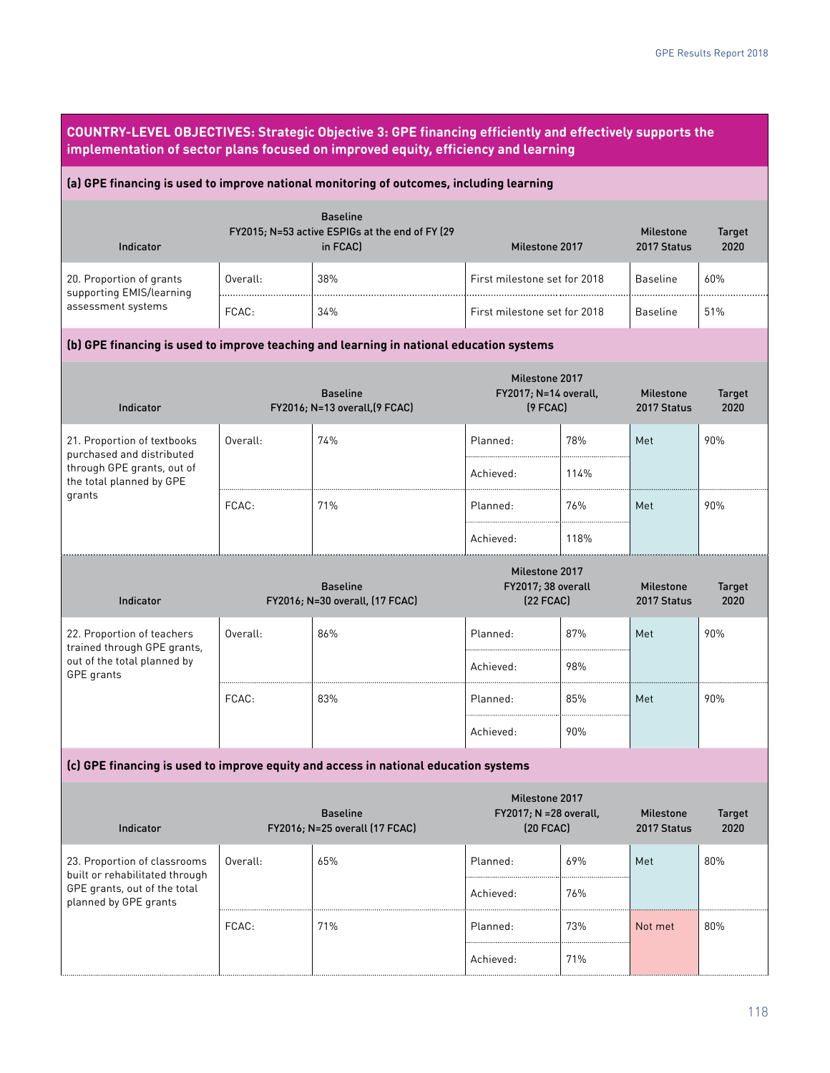| COUNTRY-LEVEL OBJECTIVES: Strategic Objective 3: GPE financing efficiently and effectively supports the<br>implementation of sector plans focused on improved equity, efficiency and learning |          |                                                                                |                                                             |      |                                 |                       |
|-----------------------------------------------------------------------------------------------------------------------------------------------------------------------------------------------|----------|--------------------------------------------------------------------------------|-------------------------------------------------------------|------|---------------------------------|-----------------------|
| (a) GPE financing is used to improve national monitoring of outcomes, including learning                                                                                                      |          |                                                                                |                                                             |      |                                 |                       |
| Indicator                                                                                                                                                                                     |          | <b>Baseline</b><br>FY2015; N=53 active ESPIGs at the end of FY (29<br>in FCAC) | Milestone 2017                                              |      | <b>Milestone</b><br>2017 Status | <b>Target</b><br>2020 |
| 20. Proportion of grants<br>supporting EMIS/learning                                                                                                                                          | Overall: | 38%                                                                            | First milestone set for 2018                                |      | <b>Baseline</b>                 | 60%                   |
| assessment systems                                                                                                                                                                            | FCAC:    | 34%                                                                            | First milestone set for 2018                                |      | <b>Baseline</b>                 | 51%                   |
| (b) GPE financing is used to improve teaching and learning in national education systems                                                                                                      |          |                                                                                |                                                             |      |                                 |                       |
| Indicator                                                                                                                                                                                     |          | <b>Baseline</b><br>FY2016; N=13 overall, [9 FCAC]                              | Milestone 2017<br>FY2017; N=14 overall,<br>$(9$ FCAC $)$    |      | <b>Milestone</b><br>2017 Status | <b>Target</b><br>2020 |
| 21. Proportion of textbooks<br>purchased and distributed                                                                                                                                      | Overall: | 74%                                                                            | Planned:                                                    | 78%  | Met                             | 90%                   |
| through GPE grants, out of<br>the total planned by GPE<br>grants                                                                                                                              |          |                                                                                | Achieved:                                                   | 114% |                                 |                       |
|                                                                                                                                                                                               | FCAC:    | 71%                                                                            | Planned:                                                    | 76%  | Met                             | 90%                   |
|                                                                                                                                                                                               |          |                                                                                | Achieved:                                                   | 118% |                                 |                       |
| Indicator                                                                                                                                                                                     |          | <b>Baseline</b><br>FY2016; N=30 overall, (17 FCAC)                             | Milestone 2017<br>FY2017; 38 overall<br>$(22$ FCAC)         |      | <b>Milestone</b><br>2017 Status | <b>Target</b><br>2020 |
| 22. Proportion of teachers<br>trained through GPE grants,                                                                                                                                     | Overall: | 86%                                                                            | Planned:                                                    | 87%  | Met                             | 90%                   |
| out of the total planned by<br>GPE grants                                                                                                                                                     |          |                                                                                | Achieved:                                                   | 98%  |                                 |                       |
|                                                                                                                                                                                               | FCAC:    | 83%                                                                            | Planned:                                                    | 85%  | Met                             | 90%                   |
|                                                                                                                                                                                               |          |                                                                                | Achieved:                                                   | 90%  |                                 |                       |
| (c) GPE financing is used to improve equity and access in national education systems                                                                                                          |          |                                                                                |                                                             |      |                                 |                       |
| Indicator                                                                                                                                                                                     |          | <b>Baseline</b><br>FY2016; N=25 overall (17 FCAC)                              | Milestone 2017<br>FY2017; N = 28 overall,<br>$(20$ FCAC $)$ |      | <b>Milestone</b><br>2017 Status | <b>Target</b><br>2020 |
| 23. Proportion of classrooms<br>built or rehabilitated through                                                                                                                                | Overall: | 65%                                                                            | Planned:                                                    | 69%  | Met                             | 80%                   |
| GPE grants, out of the total<br>planned by GPE grants                                                                                                                                         |          |                                                                                | Achieved:                                                   | 76%  |                                 |                       |
|                                                                                                                                                                                               | FCAC:    | 71%                                                                            | Planned:                                                    | 73%  | Not met                         | 80%                   |
|                                                                                                                                                                                               |          |                                                                                | Achieved:                                                   | 71%  |                                 |                       |

ſ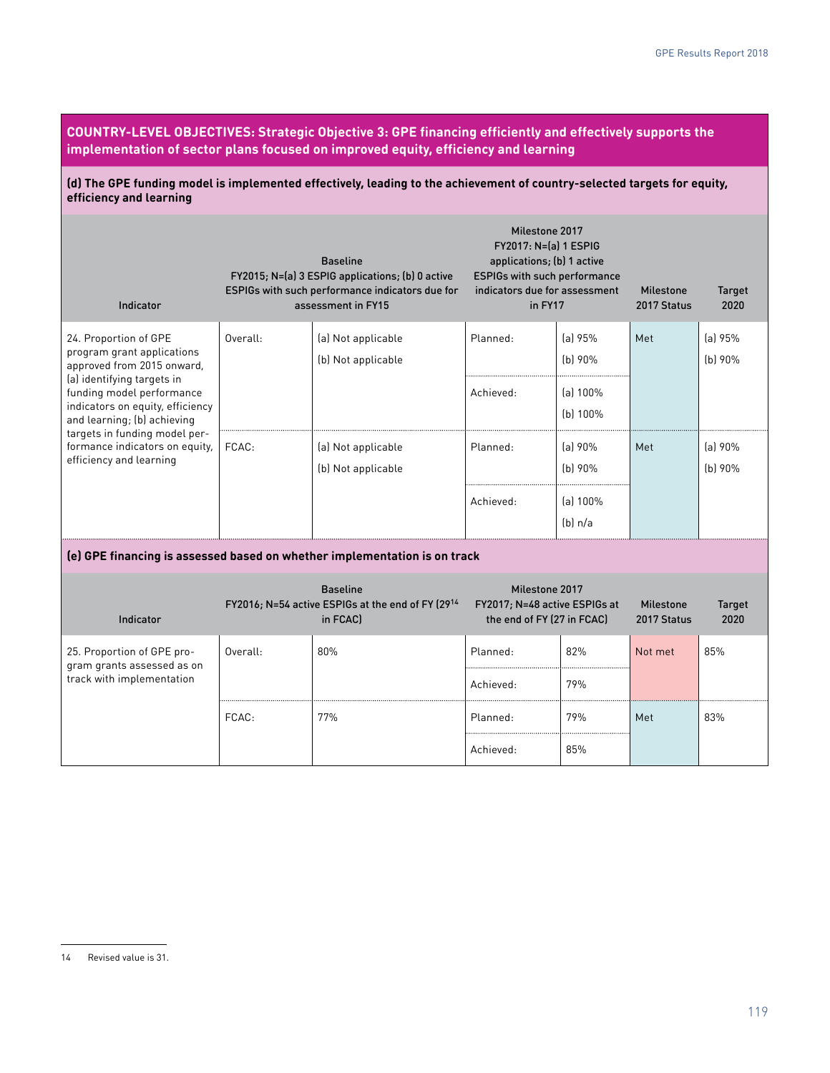**COUNTRY-LEVEL OBJECTIVES: Strategic Objective 3: GPE financing efficiently and effectively supports the implementation of sector plans focused on improved equity, efficiency and learning**

**(d) The GPE funding model is implemented effectively, leading to the achievement of country-selected targets for equity, efficiency and learning**

| Indicator                                                                                                                                                                                                                                                                                                     |          | <b>Baseline</b><br>FY2015; N=(a) 3 ESPIG applications; (b) 0 active<br>ESPIGs with such performance indicators due for<br>assessment in FY15 | Milestone 2017<br>FY2017: N=(a) 1 ESPIG<br>applications; (b) 1 active<br><b>ESPIGs with such performance</b><br>indicators due for assessment<br>in FY17 |                        | <b>Milestone</b><br>2017 Status | <b>Target</b><br>2020 |
|---------------------------------------------------------------------------------------------------------------------------------------------------------------------------------------------------------------------------------------------------------------------------------------------------------------|----------|----------------------------------------------------------------------------------------------------------------------------------------------|----------------------------------------------------------------------------------------------------------------------------------------------------------|------------------------|---------------------------------|-----------------------|
| 24. Proportion of GPE<br>program grant applications<br>approved from 2015 onward,<br>(a) identifying targets in<br>funding model performance<br>indicators on equity, efficiency<br>and learning; (b) achieving<br>targets in funding model per-<br>formance indicators on equity,<br>efficiency and learning | Overall: | (a) Not applicable<br>(b) Not applicable                                                                                                     | Planned:                                                                                                                                                 | $[a]$ 95%<br>$(b)$ 90% | Met                             | (a) 95%<br>$(b)$ 90%  |
|                                                                                                                                                                                                                                                                                                               |          |                                                                                                                                              | Achieved:                                                                                                                                                | (a) 100%<br>(b) 100%   |                                 |                       |
|                                                                                                                                                                                                                                                                                                               | FCAC:    | (a) Not applicable<br>(b) Not applicable                                                                                                     | Planned:                                                                                                                                                 | (a) 90%<br>(b)90%      | Met                             | (a) 90%<br>$(b)$ 90%  |
|                                                                                                                                                                                                                                                                                                               |          |                                                                                                                                              | Achieved:                                                                                                                                                | [a] 100%<br>(b) n/a    |                                 |                       |
|                                                                                                                                                                                                                                                                                                               |          | (e) GPE financing is assessed based on whether implementation is on track                                                                    |                                                                                                                                                          |                        |                                 |                       |
| Indicator                                                                                                                                                                                                                                                                                                     |          | <b>Baseline</b><br>FY2016; N=54 active ESPIGs at the end of FY (2914<br>in FCAC)                                                             | Milestone 2017<br>FY2017; N=48 active ESPIGs at<br>the end of FY (27 in FCAC)                                                                            |                        | <b>Milestone</b><br>2017 Status | <b>Target</b><br>2020 |
| 25. Proportion of GPE pro-<br>gram grants assessed as on                                                                                                                                                                                                                                                      | Overall: | 80%                                                                                                                                          | Planned:                                                                                                                                                 | 82%                    | Not met                         | 85%                   |
| track with implementation                                                                                                                                                                                                                                                                                     |          |                                                                                                                                              | Achieved:                                                                                                                                                | 79%                    |                                 |                       |
|                                                                                                                                                                                                                                                                                                               | FCAC:    | 77%                                                                                                                                          | Planned:                                                                                                                                                 | 79%                    | Met                             | 83%                   |
|                                                                                                                                                                                                                                                                                                               |          |                                                                                                                                              | Achieved:                                                                                                                                                | 85%                    |                                 |                       |

<sup>14</sup> Revised value is 31.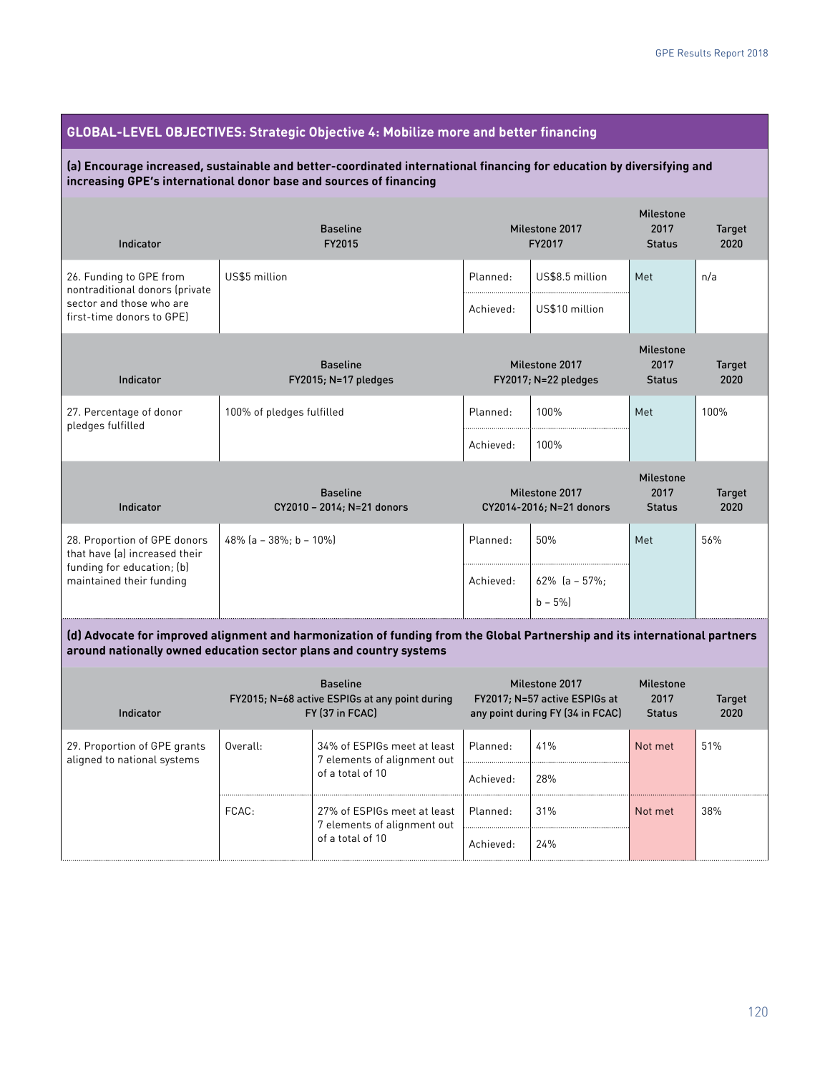# **GLOBAL-LEVEL OBJECTIVES: Strategic Objective 4: Mobilize more and better financing**

#### **(a) Encourage increased, sustainable and better-coordinated international financing for education by diversifying and increasing GPE's international donor base and sources of financing**

| Indicator                                                                                                                                                                                         | <b>Baseline</b><br>FY2015                     | Milestone 2017<br>FY2017                   |                                   | <b>Milestone</b><br>2017<br><b>Status</b> | <b>Target</b><br>2020 |  |
|---------------------------------------------------------------------------------------------------------------------------------------------------------------------------------------------------|-----------------------------------------------|--------------------------------------------|-----------------------------------|-------------------------------------------|-----------------------|--|
| 26. Funding to GPE from<br>nontraditional donors (private<br>sector and those who are<br>first-time donors to GPE)                                                                                | US\$5 million                                 | Planned:<br>Achieved:                      | US\$8.5 million<br>US\$10 million | Met                                       | n/a                   |  |
| Indicator                                                                                                                                                                                         | <b>Baseline</b><br>FY2015; N=17 pledges       | Milestone 2017<br>$FY2017; N=22$ pledges   |                                   | Milestone<br>2017<br><b>Status</b>        | <b>Target</b><br>2020 |  |
| 27. Percentage of donor<br>pledges fulfilled                                                                                                                                                      | 100% of pledges fulfilled                     | Planned:                                   | 100%                              | Met                                       | 100%                  |  |
|                                                                                                                                                                                                   |                                               | Achieved:                                  | 100%                              |                                           |                       |  |
| Indicator                                                                                                                                                                                         | <b>Baseline</b><br>CY2010 - 2014; N=21 donors | Milestone 2017<br>CY2014-2016; N=21 donors |                                   | Milestone<br>2017<br><b>Status</b>        | <b>Target</b><br>2020 |  |
| 28. Proportion of GPE donors<br>that have (a) increased their                                                                                                                                     | 48% $[a - 38\% : b - 10\%]$                   | Planned:                                   | 50%                               | Met                                       | 56%                   |  |
| funding for education; (b)<br>maintained their funding                                                                                                                                            |                                               | Achieved:                                  | $62\%$ [a - 57%:<br>$b - 5%$      |                                           |                       |  |
| (d) Advocate for improved alignment and harmonization of funding from the Global Partnership and its international partners<br>around nationally owned education sector plans and country systems |                                               |                                            |                                   |                                           |                       |  |

| Indicator                                                   | <b>Baseline</b><br>FY2015; N=68 active ESPIGs at any point during<br>FY (37 in FCAC) |                                                                                | Milestone 2017<br>FY2017; N=57 active ESPIGs at<br>any point during FY (34 in FCAC) |     | <b>Milestone</b><br>2017<br><b>Status</b> | <b>Target</b><br>2020 |
|-------------------------------------------------------------|--------------------------------------------------------------------------------------|--------------------------------------------------------------------------------|-------------------------------------------------------------------------------------|-----|-------------------------------------------|-----------------------|
| 29. Proportion of GPE grants<br>aligned to national systems | Overall:                                                                             | 34% of ESPIGs meet at least<br>7 elements of alignment out                     | Planned:                                                                            | 41% | Not met                                   | 51%                   |
|                                                             |                                                                                      | of a total of 10                                                               | Achieved:                                                                           | 28% |                                           |                       |
|                                                             | FCAC:                                                                                | 27% of ESPIGs meet at least<br>7 elements of alignment out<br>of a total of 10 | Planned:                                                                            | 31% | Not met                                   | 38%                   |
|                                                             |                                                                                      |                                                                                | Achieved:                                                                           | 24% |                                           |                       |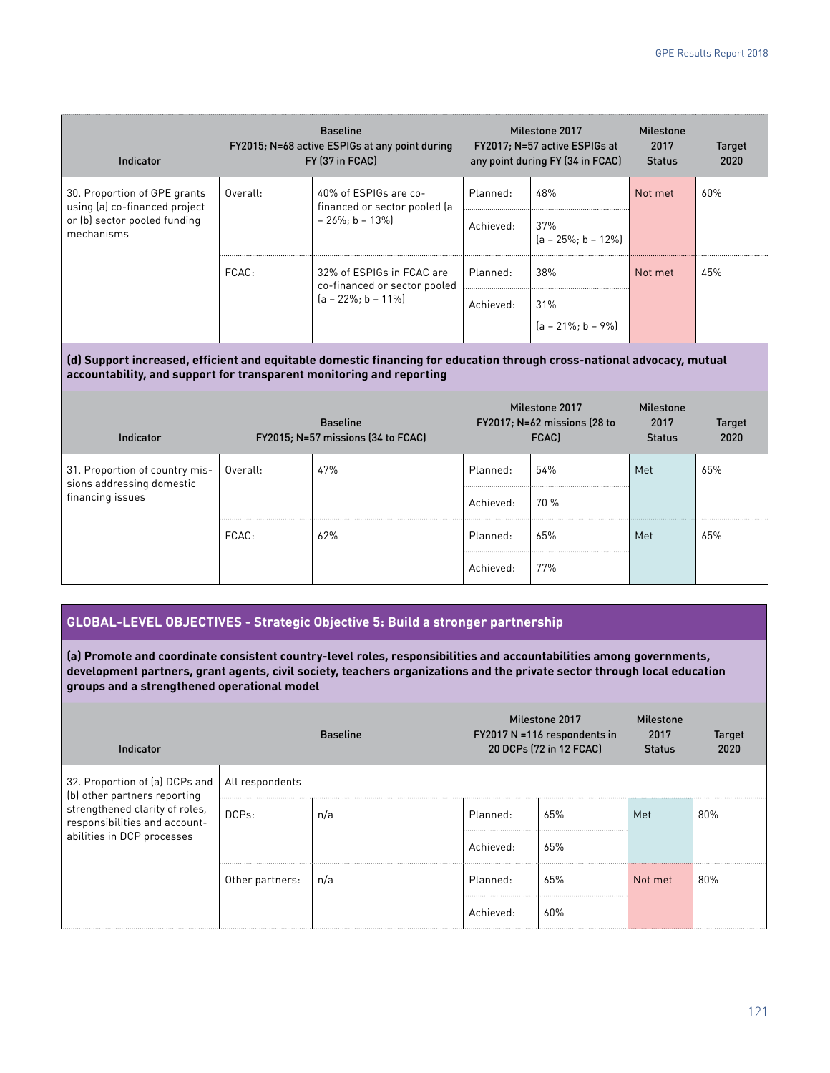| Indicator                                                                                                   |          | <b>Baseline</b><br>FY2015; N=68 active ESPIGs at any point during<br>FY (37 in FCAC) |           | Milestone 2017<br>FY2017; N=57 active ESPIGs at<br>any point during FY (34 in FCAC) | Milestone<br>2017<br><b>Status</b> | <b>Target</b><br>2020 |
|-------------------------------------------------------------------------------------------------------------|----------|--------------------------------------------------------------------------------------|-----------|-------------------------------------------------------------------------------------|------------------------------------|-----------------------|
| 30. Proportion of GPE grants<br>using (a) co-financed project<br>or (b) sector pooled funding<br>mechanisms | Overall: | 40% of ESPIGs are co-<br>financed or sector pooled (a<br>$-26\%$ : b - 13%           | Planned:  | 48%                                                                                 | Not met                            | 60%                   |
|                                                                                                             |          |                                                                                      | Achieved: | 37%<br>$[a - 25\% : b - 12\%]$                                                      |                                    |                       |
|                                                                                                             | FCAC:    | 32% of ESPIGs in FCAC are<br>co-financed or sector pooled<br>$[a - 22\% : b - 11\%]$ | Planned:  | 38%                                                                                 | Not met                            | 45%                   |
|                                                                                                             |          |                                                                                      | Achieved: | 31%                                                                                 |                                    |                       |
|                                                                                                             |          |                                                                                      |           | $[a - 21\% : b - 9\%]$                                                              |                                    |                       |

**(d) Support increased, efficient and equitable domestic financing for education through cross-national advocacy, mutual accountability, and support for transparent monitoring and reporting**

| Indicator                                                                       |          | <b>Baseline</b><br>FY2015; N=57 missions (34 to FCAC) |           | Milestone 2017<br>$FY2017; N=62$ missions (28 to<br>FCAC) | Milestone<br>2017<br><b>Status</b> | <b>Target</b><br>2020 |
|---------------------------------------------------------------------------------|----------|-------------------------------------------------------|-----------|-----------------------------------------------------------|------------------------------------|-----------------------|
| 31. Proportion of country mis-<br>sions addressing domestic<br>financing issues | Overall: | 47%                                                   | Planned:  | 54%                                                       | Met                                | 65%                   |
|                                                                                 |          |                                                       | Achieved: | 70 %                                                      |                                    |                       |
|                                                                                 | FCAC:    | 62%                                                   | Planned:  | 65%                                                       | Met                                | 65%                   |
|                                                                                 |          |                                                       | Achieved: | 77%                                                       |                                    |                       |

#### **GLOBAL-LEVEL OBJECTIVES - Strategic Objective 5: Build a stronger partnership**

**(a) Promote and coordinate consistent country-level roles, responsibilities and accountabilities among governments, development partners, grant agents, civil society, teachers organizations and the private sector through local education groups and a strengthened operational model**

| Indicator                                                                                     |                 | <b>Baseline</b> | Milestone 2017<br>$FY2017 N = 116$ respondents in<br>20 DCPs (72 in 12 FCAC) |     | <b>Milestone</b><br>2017<br><b>Status</b> | <b>Target</b><br>2020 |  |
|-----------------------------------------------------------------------------------------------|-----------------|-----------------|------------------------------------------------------------------------------|-----|-------------------------------------------|-----------------------|--|
| 32. Proportion of (a) DCPs and<br>(b) other partners reporting                                | All respondents |                 |                                                                              |     |                                           |                       |  |
| strengthened clarity of roles,<br>responsibilities and account-<br>abilities in DCP processes | DCPs:           | n/a             | Planned:                                                                     | 65% | Met                                       | 80%                   |  |
|                                                                                               |                 |                 | Achieved:                                                                    | 65% |                                           |                       |  |
|                                                                                               | Other partners: | n/a             | Planned:                                                                     | 65% | Not met                                   | 80%                   |  |
|                                                                                               |                 |                 | Achieved:                                                                    | 60% |                                           |                       |  |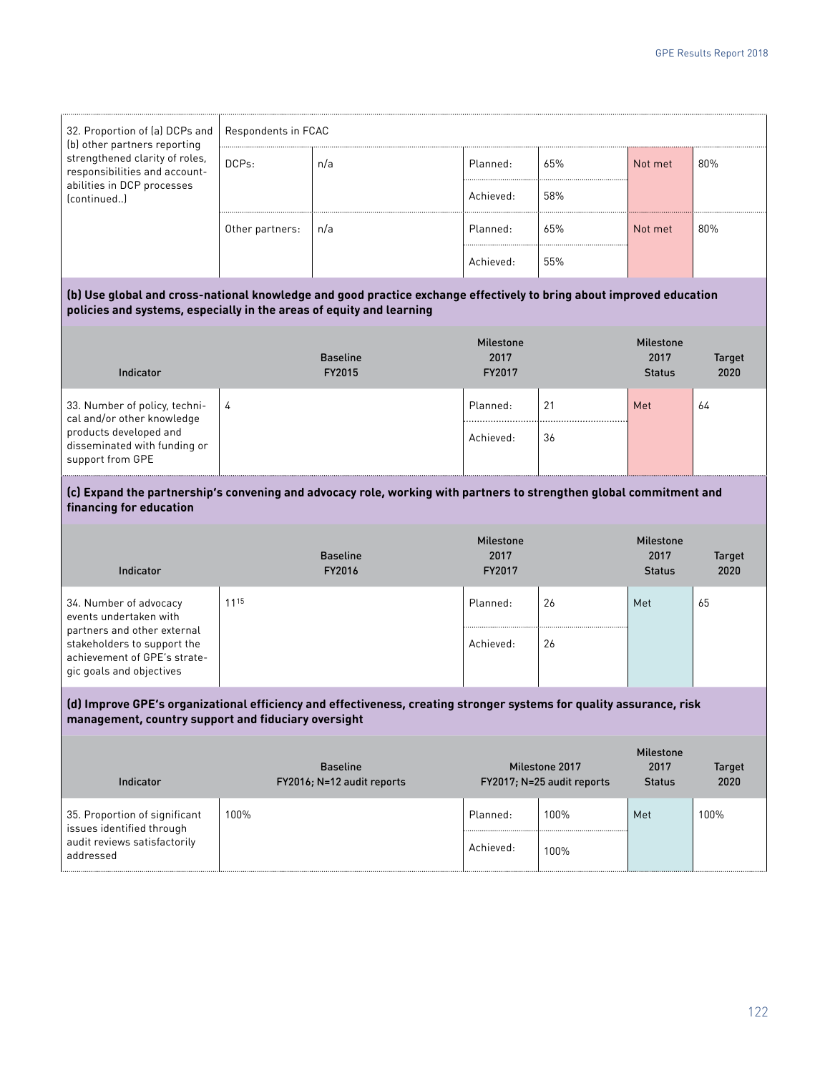| 32. Proportion of (a) DCPs and<br>(b) other partners reporting                                                                                                                               | Respondents in FCAC |                 |                          |     |                          |               |  |
|----------------------------------------------------------------------------------------------------------------------------------------------------------------------------------------------|---------------------|-----------------|--------------------------|-----|--------------------------|---------------|--|
| strengthened clarity of roles,<br>responsibilities and account-                                                                                                                              | DCPs:               | n/a             | Planned:                 | 65% | Not met                  | 80%           |  |
| abilities in DCP processes<br>(continued)                                                                                                                                                    |                     |                 | Achieved:                | 58% |                          |               |  |
|                                                                                                                                                                                              | Other partners:     | n/a             | Planned:                 | 65% | Not met                  | 80%           |  |
|                                                                                                                                                                                              |                     |                 | Achieved:                | 55% |                          |               |  |
| (b) Use global and cross-national knowledge and good practice exchange effectively to bring about improved education<br>policies and systems, especially in the areas of equity and learning |                     |                 |                          |     |                          |               |  |
|                                                                                                                                                                                              |                     | <b>Baseline</b> | <b>Milestone</b><br>2017 |     | <b>Milestone</b><br>2017 | <b>Target</b> |  |
| Indicator                                                                                                                                                                                    |                     | FY2015          | FY2017                   |     | <b>Status</b>            | 2020          |  |
| 33. Number of policy, techni-<br>cal and/or other knowledge<br>products developed and<br>disseminated with funding or<br>support from GPE                                                    | 4                   |                 | Planned:                 | 21  | Met                      | 64            |  |
|                                                                                                                                                                                              |                     |                 | Achieved:                | 36  |                          |               |  |

#### **(c) Expand the partnership's convening and advocacy role, working with partners to strengthen global commitment and financing for education**

| Indicator                                                                                                              | <b>Baseline</b><br>FY2016 | <b>Milestone</b><br>2017<br>FY2017 |    | <b>Milestone</b><br>2017<br><b>Status</b> | <b>Target</b><br>2020 |
|------------------------------------------------------------------------------------------------------------------------|---------------------------|------------------------------------|----|-------------------------------------------|-----------------------|
| 34. Number of advocacy<br>events undertaken with                                                                       | 1115                      | Planned:                           | 26 | Met                                       | 65                    |
| partners and other external<br>stakeholders to support the<br>achievement of GPE's strate-<br>gic goals and objectives |                           | Achieved:                          | 26 |                                           |                       |

#### **(d) Improve GPE's organizational efficiency and effectiveness, creating stronger systems for quality assurance, risk management, country support and fiduciary oversight**

| Indicator                                                  | <b>Baseline</b><br>FY2016; N=12 audit reports |           | Milestone 2017<br>FY2017; N=25 audit reports | <b>Milestone</b><br>2017<br><b>Status</b> | <b>Target</b><br>2020 |
|------------------------------------------------------------|-----------------------------------------------|-----------|----------------------------------------------|-------------------------------------------|-----------------------|
| 35. Proportion of significant<br>issues identified through | 100%                                          | Planned:  | 100%                                         | Met                                       | 100%                  |
| audit reviews satisfactorily<br>addressed                  |                                               | Achieved: | 100%                                         |                                           |                       |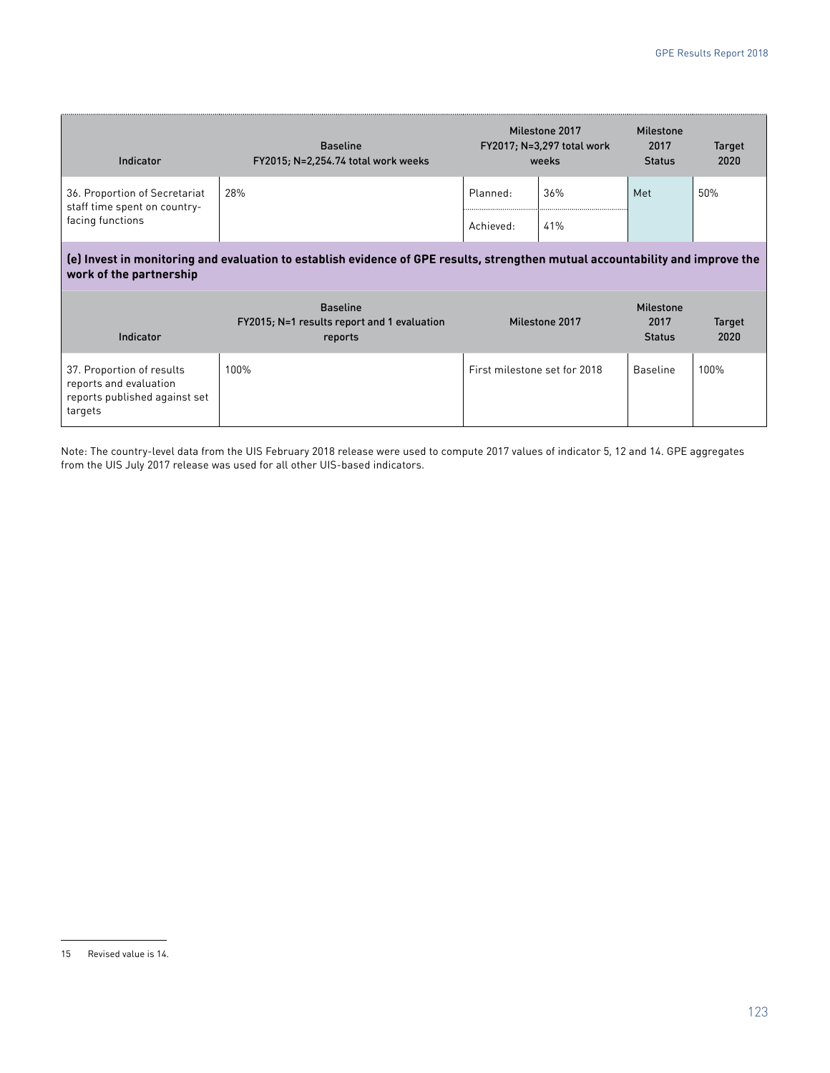| Indicator                                                     | <b>Baseline</b><br>FY2015; N=2,254.74 total work weeks |           | Milestone 2017<br>FY2017; N=3,297 total work<br>weeks | <b>Milestone</b><br>2017<br><b>Status</b> | <b>Target</b><br>2020 |
|---------------------------------------------------------------|--------------------------------------------------------|-----------|-------------------------------------------------------|-------------------------------------------|-----------------------|
| 36. Proportion of Secretariat<br>staff time spent on country- | 28%                                                    | Planned:  | 36%                                                   | Met                                       | 50%                   |
| facing functions                                              |                                                        | Achieved: | 41%                                                   |                                           |                       |

#### **(e) Invest in monitoring and evaluation to establish evidence of GPE results, strengthen mutual accountability and improve the work of the partnership**

| Indicator                                                                                       | <b>Baseline</b><br>FY2015; N=1 results report and 1 evaluation<br>reports | Milestone 2017               | <b>Milestone</b><br>2017<br><b>Status</b> | <b>Target</b><br>2020 |
|-------------------------------------------------------------------------------------------------|---------------------------------------------------------------------------|------------------------------|-------------------------------------------|-----------------------|
| 37. Proportion of results<br>reports and evaluation<br>reports published against set<br>targets | 100%                                                                      | First milestone set for 2018 | <b>Baseline</b>                           | 100%                  |

Note: The country-level data from the UIS February 2018 release were used to compute 2017 values of indicator 5, 12 and 14. GPE aggregates from the UIS July 2017 release was used for all other UIS-based indicators.

<sup>15</sup> Revised value is 14.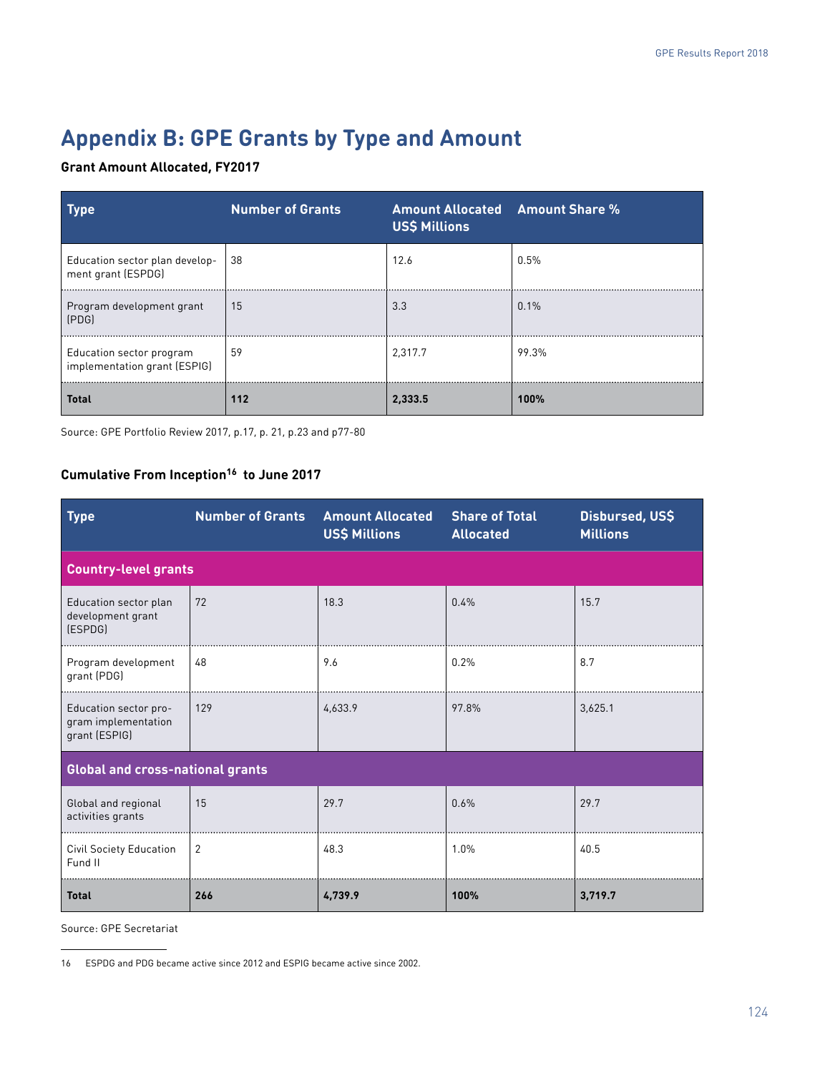# **Appendix B: GPE Grants by Type and Amount**

#### **Grant Amount Allocated, FY2017**

| <b>Type</b>                                              | <b>Number of Grants</b> | <b>Amount Allocated Amount Share %</b><br><b>US\$ Millions</b> |       |
|----------------------------------------------------------|-------------------------|----------------------------------------------------------------|-------|
| Education sector plan develop-<br>ment grant (ESPDG)     | 38                      | 12.6                                                           | 0.5%  |
| Program development grant<br>(PDG)                       | 15                      | 3.3                                                            | 0.1%  |
| Education sector program<br>implementation grant (ESPIG) | 59                      | 2.317.7                                                        | 99.3% |
| <b>Total</b>                                             | 112                     | 2,333.5                                                        | 100%  |

Source: GPE Portfolio Review 2017, p.17, p. 21, p.23 and p77-80

## **Cumulative From Inception16 to June 2017**

| <b>Type</b>                                                   | <b>Number of Grants</b> | <b>Amount Allocated</b><br><b>US\$ Millions</b> | <b>Share of Total</b><br><b>Allocated</b> | Disbursed, US\$<br><b>Millions</b> |
|---------------------------------------------------------------|-------------------------|-------------------------------------------------|-------------------------------------------|------------------------------------|
| <b>Country-level grants</b>                                   |                         |                                                 |                                           |                                    |
| Education sector plan<br>development grant<br>(ESPDG)         | 72                      | 18.3                                            | 0.4%                                      | 15.7                               |
| Program development<br>grant (PDG)                            | 48                      | 9.6                                             | 0.2%                                      | 8.7                                |
| Education sector pro-<br>gram implementation<br>grant (ESPIG) | 129                     | 4,633.9                                         | 97.8%                                     | 3,625.1                            |
| <b>Global and cross-national grants</b>                       |                         |                                                 |                                           |                                    |
| Global and regional<br>activities grants                      | 15                      | 29.7                                            | 0.6%                                      | 29.7                               |
| <b>Civil Society Education</b><br>Fund II                     | 2                       | 48.3                                            | 1.0%                                      | 40.5                               |
| <b>Total</b>                                                  | 266                     | 4,739.9                                         | 100%                                      | 3,719.7                            |

<sup>16</sup> ESPDG and PDG became active since 2012 and ESPIG became active since 2002.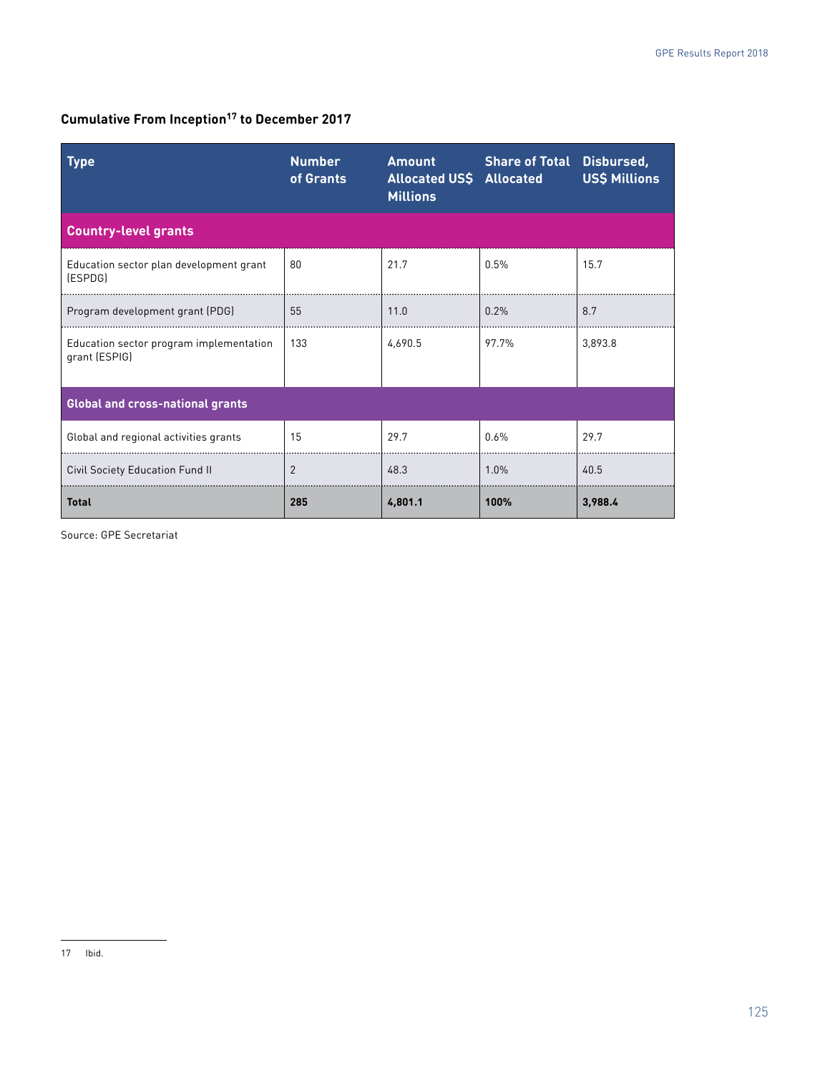# **Cumulative From Inception17 to December 2017**

| Type                                                     | <b>Number</b><br>of Grants | <b>Amount</b><br><b>Allocated US\$ Allocated</b><br><b>Millions</b> | <b>Share of Total Disbursed,</b> | <b>US\$ Millions</b> |
|----------------------------------------------------------|----------------------------|---------------------------------------------------------------------|----------------------------------|----------------------|
| <b>Country-level grants</b>                              |                            |                                                                     |                                  |                      |
| Education sector plan development grant<br>(ESPDG)       | 80                         | 21.7                                                                | 0.5%                             | 15.7                 |
| Program development grant (PDG)                          | 55                         | 11.0                                                                | 0.2%                             | 8.7                  |
| Education sector program implementation<br>grant (ESPIG) | 133                        | 4.690.5                                                             | 97.7%                            | 3,893.8              |
| <b>Global and cross-national grants</b>                  |                            |                                                                     |                                  |                      |
| Global and regional activities grants                    | 15                         | 29.7                                                                | 0.6%                             | 29.7                 |
| <b>Civil Society Education Fund II</b>                   | $\overline{2}$             | 48.3                                                                | 1.0%                             | 40.5                 |
| <b>Total</b>                                             | 285                        | 4,801.1                                                             | 100%                             | 3,988.4              |

<sup>17</sup> Ibid.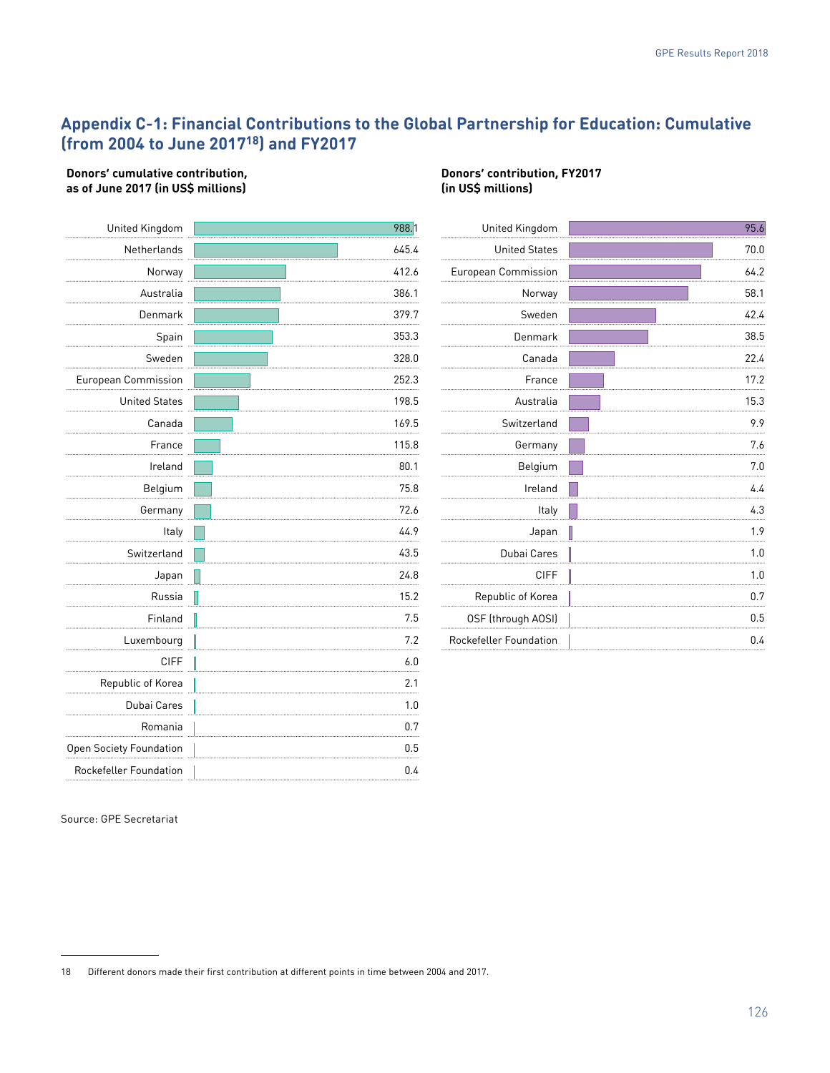# **Appendix C-1: Financial Contributions to the Global Partnership for Education: Cumulative (from 2004 to June 201718) and FY2017**

#### **Donors' cumulative contribution, as of June 2017 (in US\$ millions)**

| United Kingdom          | 988.1      |
|-------------------------|------------|
| Netherlands             | 645.4      |
| Norway                  | 412.6      |
| Australia               | 386.1      |
| Denmark                 | 379.7      |
| Spain                   | 353.3      |
| Sweden                  | 328.0<br>. |
| European Commission     | 252.3      |
| <b>United States</b>    | 198.5      |
| Canada                  | 169.5      |
| France                  | 115.8      |
| Ireland                 | 80.1       |
| Belgium                 | 75.8       |
| Germany                 | 72.6       |
| Italy                   | 44.9       |
| Switzerland             | 43.5       |
| Japan                   | 24.8       |
| Russia                  | 15.2       |
| Finland                 | 7.5        |
| Luxembourg              | 7.2        |
| <b>CIFF</b>             | 6.0        |
| Republic of Korea       | 2.1        |
| Dubai Cares             | 1.0        |
| Romania                 | 0.7        |
| Open Society Foundation | 0.5        |
| Rockefeller Foundation  | 0.4        |

#### **Donors' contribution, FY2017 (in US\$ millions)**

| United Kingdom                | 95.6 |
|-------------------------------|------|
| <b>United States</b>          | 70.0 |
| European Commission           | 64.2 |
| Norway                        | 58.1 |
| Sweden                        | 42.4 |
| Denmark                       | 38.5 |
| Canada                        | 22.4 |
| France                        | 17.2 |
| Australia                     | 15.3 |
| Switzerland                   | 9.9  |
| Germany                       | 7.6  |
| Belgium                       | 7.0  |
| Ireland                       | 4.4  |
| Italy                         | 4.3  |
| Japan                         | 1.9  |
| Dubai Cares                   | 1.0  |
| <b>CIFF</b>                   | 1.0  |
| Republic of Korea             | 0.7  |
| OSF (through AOSI)            | 0.5  |
| <b>Rockefeller Foundation</b> | 0.4  |
|                               |      |

<sup>18</sup> Different donors made their first contribution at different points in time between 2004 and 2017.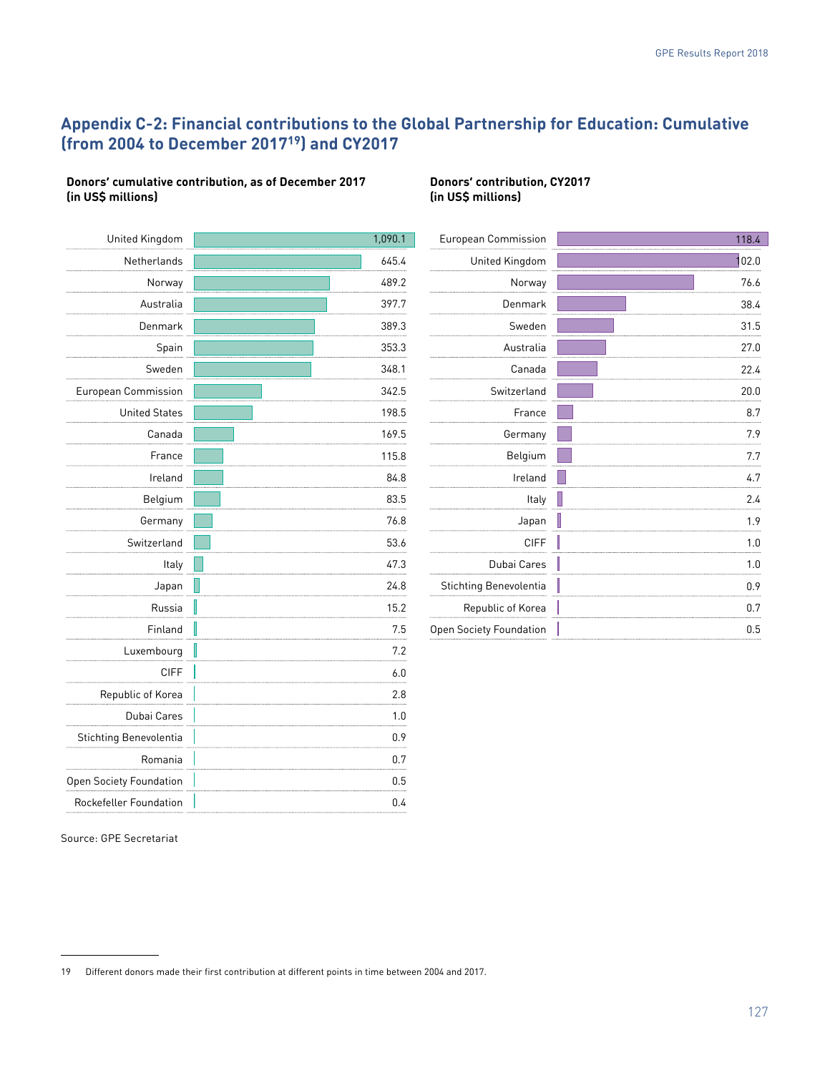# **Appendix C-2: Financial contributions to the Global Partnership for Education: Cumulative (from 2004 to December 201719) and CY2017**

#### **Donors' cumulative contribution, as of December 2017 (in US\$ millions)**

| United Kingdom                 |   | 1,090.1 |
|--------------------------------|---|---------|
| Netherlands                    |   | 645.4   |
| Norway                         |   | 489.2   |
| Australia                      |   | 397.7   |
| Denmark                        |   | 389.3   |
| Spain                          |   | 353.3   |
| Sweden                         |   | 348.1   |
| <b>European Commission</b>     |   | 342.5   |
| <b>United States</b>           |   | 198.5   |
| Canada                         |   | 169.5   |
| France                         |   | 115.8   |
| Ireland                        |   | 84.8    |
| Belgium                        |   | 83.5    |
| Germany                        |   | 76.8    |
| Switzerland                    |   | 53.6    |
| Italy                          |   | 47.3    |
| Japan                          |   | 24.8    |
| Russia                         | I | 15.2    |
| Finland                        | J | 7.5     |
| Luxembourg                     |   | 7.2     |
| <b>CIFF</b>                    |   | 6.0     |
| Republic of Korea              |   | 2.8     |
| Dubai Cares                    |   | 1.0     |
| Stichting Benevolentia         |   | 0.9     |
| Romania                        |   | 0.7     |
| <b>Open Society Foundation</b> |   | 0.5     |
| Rockefeller Foundation         |   | 0.4     |

#### **Donors' contribution, CY2017 (in US\$ millions)**

| European Commission     | 118.4    |
|-------------------------|----------|
| United Kingdom          | 102.0    |
| Norway                  | 76.6     |
| Denmark                 | 38.4     |
| Sweden                  | 31.5     |
| Australia               | 27.0     |
| Canada                  | 22.4     |
| Switzerland             | 20.0     |
| France                  | 8.7      |
| Germany                 | 7.9      |
| Belgium                 | 7.7      |
| Ireland                 | 4.7      |
| Italy                   | 2.4      |
| Japan                   | I<br>1.9 |
| <b>CIFF</b>             | I<br>1.0 |
| Dubai Cares             | I<br>1.0 |
| Stichting Benevolentia  | 0.9      |
| Republic of Korea       | 0.7      |
| Open Society Foundation | 0.5      |

<sup>19</sup> Different donors made their first contribution at different points in time between 2004 and 2017.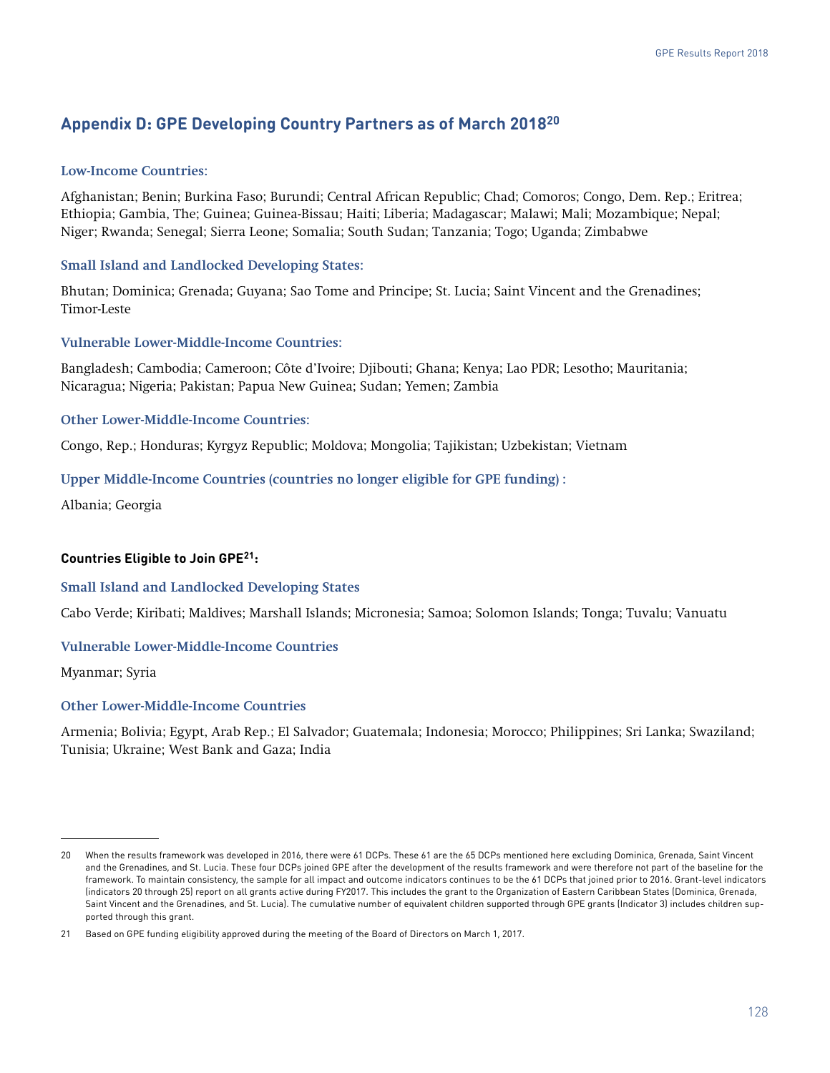# **Appendix D: GPE Developing Country Partners as of March 201820**

#### **Low-Income Countries:**

Afghanistan; Benin; Burkina Faso; Burundi; Central African Republic; Chad; Comoros; Congo, Dem. Rep.; Eritrea; Ethiopia; Gambia, The; Guinea; Guinea-Bissau; Haiti; Liberia; Madagascar; Malawi; Mali; Mozambique; Nepal; Niger; Rwanda; Senegal; Sierra Leone; Somalia; South Sudan; Tanzania; Togo; Uganda; Zimbabwe

#### **Small Island and Landlocked Developing States:**

Bhutan; Dominica; Grenada; Guyana; Sao Tome and Principe; St. Lucia; Saint Vincent and the Grenadines; Timor-Leste

#### **Vulnerable Lower-Middle-Income Countries:**

Bangladesh; Cambodia; Cameroon; Côte d'Ivoire; Djibouti; Ghana; Kenya; Lao PDR; Lesotho; Mauritania; Nicaragua; Nigeria; Pakistan; Papua New Guinea; Sudan; Yemen; Zambia

#### **Other Lower-Middle-Income Countries:**

Congo, Rep.; Honduras; Kyrgyz Republic; Moldova; Mongolia; Tajikistan; Uzbekistan; Vietnam

#### **Upper Middle-Income Countries (countries no longer eligible for GPE funding) :**

Albania; Georgia

#### **Countries Eligible to Join GPE21:**

#### **Small Island and Landlocked Developing States**

Cabo Verde; Kiribati; Maldives; Marshall Islands; Micronesia; Samoa; Solomon Islands; Tonga; Tuvalu; Vanuatu

#### **Vulnerable Lower-Middle-Income Countries**

Myanmar; Syria

#### **Other Lower-Middle-Income Countries**

Armenia; Bolivia; Egypt, Arab Rep.; El Salvador; Guatemala; Indonesia; Morocco; Philippines; Sri Lanka; Swaziland; Tunisia; Ukraine; West Bank and Gaza; India

<sup>20</sup> When the results framework was developed in 2016, there were 61 DCPs. These 61 are the 65 DCPs mentioned here excluding Dominica, Grenada, Saint Vincent and the Grenadines, and St. Lucia. These four DCPs joined GPE after the development of the results framework and were therefore not part of the baseline for the framework. To maintain consistency, the sample for all impact and outcome indicators continues to be the 61 DCPs that joined prior to 2016. Grant-level indicators (indicators 20 through 25) report on all grants active during FY2017. This includes the grant to the Organization of Eastern Caribbean States (Dominica, Grenada, Saint Vincent and the Grenadines, and St. Lucia). The cumulative number of equivalent children supported through GPE grants (Indicator 3) includes children supported through this grant.

<sup>21</sup> Based on GPE funding eligibility approved during the meeting of the Board of Directors on March 1, 2017.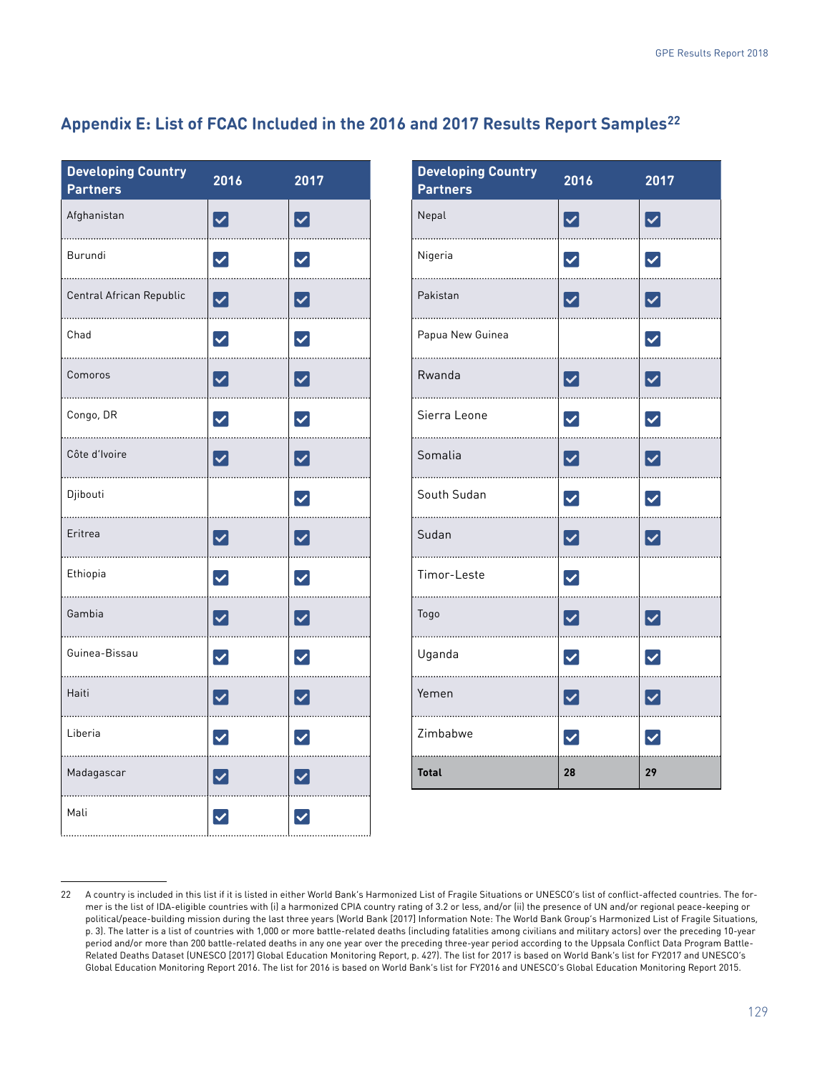# **Appendix E: List of FCAC Included in the 2016 and 2017 Results Report Samples22**

| <b>Developing Country</b><br><b>Partners</b> | 2016                 | 2017                 |
|----------------------------------------------|----------------------|----------------------|
| Afghanistan                                  | $\blacktriangledown$ | $\blacktriangledown$ |
| Burundi                                      | $\blacktriangledown$ | $\blacktriangledown$ |
| Central African Republic                     | $\blacktriangledown$ | $\blacktriangledown$ |
| Chad                                         | $\blacktriangledown$ | $\blacktriangledown$ |
| Comoros                                      | $\blacktriangledown$ | $\blacktriangledown$ |
| Congo, DR                                    | $\blacktriangledown$ | $\blacktriangledown$ |
| Côte d'Ivoire                                | $\blacktriangledown$ | $\blacktriangledown$ |
| Djibouti                                     |                      | $\blacktriangledown$ |
| Eritrea                                      | $\blacktriangledown$ | $\blacktriangledown$ |
| Ethiopia                                     | $\blacktriangledown$ | $\blacktriangledown$ |
| Gambia                                       | $\blacktriangledown$ | $\blacktriangledown$ |
| Guinea-Bissau                                | $\blacktriangledown$ | $\blacktriangledown$ |
| Haiti                                        | $\blacktriangledown$ | $\blacktriangledown$ |
| Liberia                                      | $\blacktriangledown$ | $\blacktriangledown$ |
| Madagascar                                   | $\blacktriangledown$ | $\blacktriangledown$ |
| Mali                                         | $\blacktriangledown$ | $\overline{\vee}$    |

| <b>Developing Country</b><br><b>Partners</b> | 2016                   | 2017                           |
|----------------------------------------------|------------------------|--------------------------------|
| Nepal                                        | $\blacktriangledown$   | $\blacktriangledown$           |
| Nigeria                                      | $\blacktriangledown$   | $\blacktriangledown$           |
| Pakistan                                     | $\boxed{\checkmark}$   | $\blacktriangleright$          |
| Papua New Guinea                             |                        | $\blacktriangledown$           |
| Rwanda                                       | $\blacktriangledown$   | $\blacktriangledown$           |
| Sierra Leone                                 | $\blacktriangledown$   | $\blacktriangledown$           |
| Somalia                                      | $\blacktriangledown$   | $\blacktriangledown$           |
| South Sudan<br>.                             | $\blacktriangledown$   | $\blacktriangledown$           |
| Sudan                                        | $\blacktriangledown$   | $\blacktriangledown$           |
| Timor-Leste                                  | $\blacktriangledown$   |                                |
| Togo                                         | $\blacktriangledown$   | $\blacktriangledown$           |
| Uganda                                       | $\blacktriangledown$   | $\blacktriangledown$           |
| Yemen                                        | $\boldsymbol{\lbrack}$ | $\boldsymbol{\mathsf{\omega}}$ |
| Zimbabwe                                     | $\blacktriangledown$   | $\blacktriangledown$           |
| <b>Total</b>                                 | 28                     | 29                             |

<sup>22</sup> A country is included in this list if it is listed in either World Bank's Harmonized List of Fragile Situations or UNESCO's list of conflict-affected countries. The former is the list of IDA-eligible countries with (i) a harmonized CPIA country rating of 3.2 or less, and/or (ii) the presence of UN and/or regional peace-keeping or political/peace-building mission during the last three years (World Bank [2017] Information Note: The World Bank Group's Harmonized List of Fragile Situations, p. 3). The latter is a list of countries with 1,000 or more battle-related deaths (including fatalities among civilians and military actors) over the preceding 10-year period and/or more than 200 battle-related deaths in any one year over the preceding three-year period according to the Uppsala Conflict Data Program Battle-Related Deaths Dataset (UNESCO [2017] Global Education Monitoring Report, p. 427). The list for 2017 is based on World Bank's list for FY2017 and UNESCO's Global Education Monitoring Report 2016. The list for 2016 is based on World Bank's list for FY2016 and UNESCO's Global Education Monitoring Report 2015.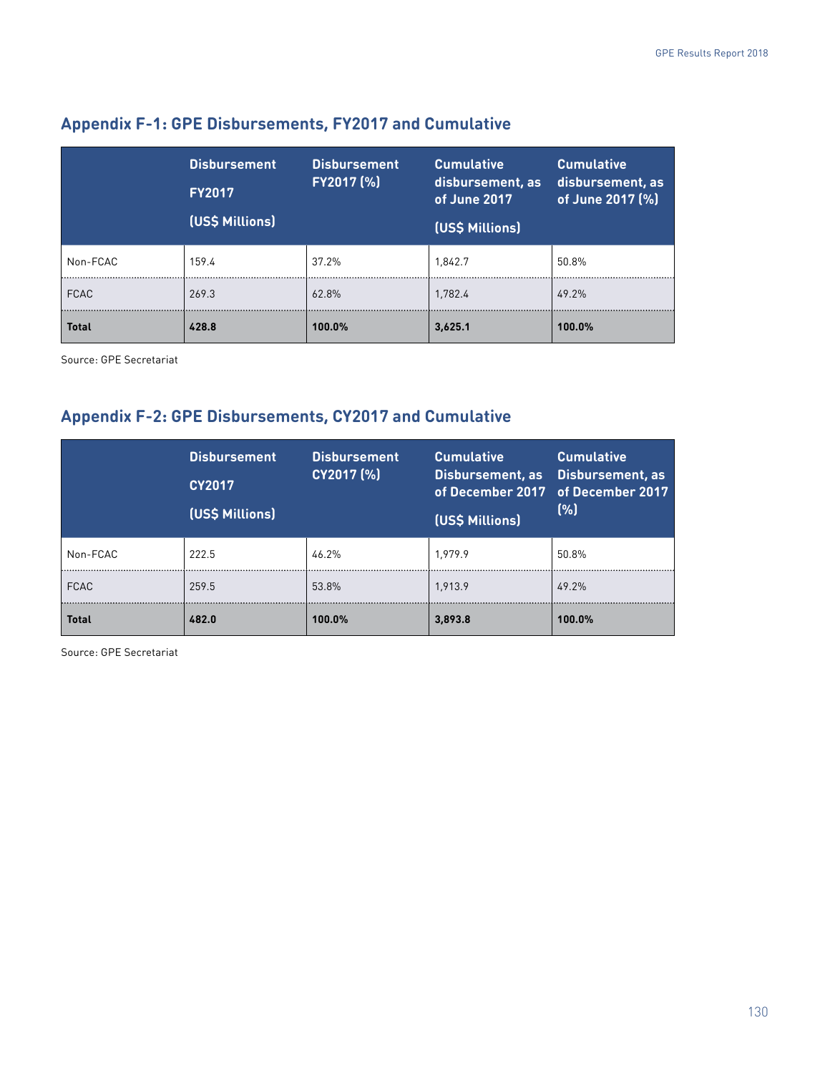|              | <b>Disbursement</b><br><b>FY2017</b><br>(US\$ Millions) | <b>Disbursement</b><br>FY2017 (%) | <b>Cumulative</b><br>disbursement, as<br>of June 2017<br>(US\$ Millions) | <b>Cumulative</b><br>disbursement, as<br>of June 2017 (%) |
|--------------|---------------------------------------------------------|-----------------------------------|--------------------------------------------------------------------------|-----------------------------------------------------------|
| Non-FCAC     | 159.4                                                   | 37.2%                             | 1.842.7                                                                  | 50.8%                                                     |
| <b>FCAC</b>  | 269.3                                                   | 62.8%                             | 1.782.4                                                                  | 49.2%                                                     |
| <b>Total</b> | 428.8                                                   | 100.0%                            | 3,625.1                                                                  | 100.0%                                                    |

# **Appendix F-1: GPE Disbursements, FY2017 and Cumulative**

Source: GPE Secretariat

# **Appendix F-2: GPE Disbursements, CY2017 and Cumulative**

|              | <b>Disbursement</b><br><b>CY2017</b><br>(US\$ Millions) | <b>Disbursement</b><br>CY2017 (%) | <b>Cumulative</b><br>Disbursement, as<br>(US\$ Millions) | <b>Cumulative</b><br>Disbursement, as<br>of December 2017 of December 2017<br>(%) |
|--------------|---------------------------------------------------------|-----------------------------------|----------------------------------------------------------|-----------------------------------------------------------------------------------|
| Non-FCAC     | 222.5                                                   | 46.2%                             | 1.979.9                                                  | 50.8%                                                                             |
| <b>FCAC</b>  | 259.5                                                   | 53.8%                             | 1.913.9                                                  | 49.2%                                                                             |
| <b>Total</b> | 482.0                                                   | 100.0%                            | 3,893.8                                                  | 100.0%                                                                            |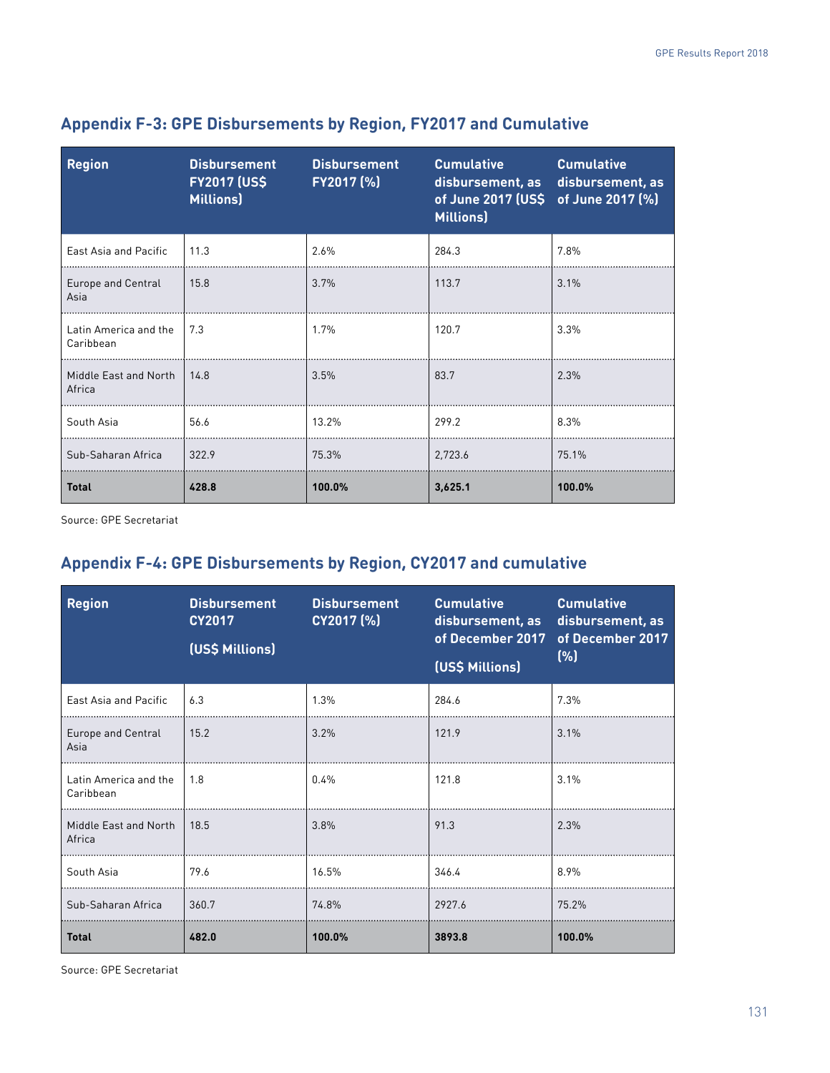| <b>Region</b>                          | <b>Disbursement</b><br><b>FY2017 (US\$</b><br>Millions) | <b>Disbursement</b><br>FY2017 (%) | <b>Cumulative</b><br>disbursement, as disbursement, as<br>of June 2017 (US\$ of June 2017 (%)<br><b>Millions</b> ) | <b>Cumulative</b> |
|----------------------------------------|---------------------------------------------------------|-----------------------------------|--------------------------------------------------------------------------------------------------------------------|-------------------|
| East Asia and Pacific                  | 11.3                                                    | 2.6%                              | 284.3                                                                                                              | 7.8%              |
| Europe and Central<br>Asia             | 15.8                                                    | 3.7%                              | 113.7                                                                                                              | 3.1%              |
| Latin America and the<br>Caribbean     | 7.3                                                     | 1.7%                              | 120.7                                                                                                              | 3.3%              |
| Middle East and North   14.8<br>Africa |                                                         | 3.5%                              | 83.7                                                                                                               | 2.3%              |
| South Asia                             | 56.6                                                    | 13.2%                             | 299.2                                                                                                              | 8.3%              |
| Sub-Saharan Africa                     | 322.9                                                   | 75.3%                             | 2.723.6                                                                                                            | 75.1%             |
| <b>Total</b>                           | 428.8                                                   | 100.0%                            | 3,625.1                                                                                                            | 100.0%            |

# **Appendix F-3: GPE Disbursements by Region, FY2017 and Cumulative**

Source: GPE Secretariat

# **Appendix F-4: GPE Disbursements by Region, CY2017 and cumulative**

| <b>Region</b>                      | <b>Disbursement</b><br><b>CY2017</b><br>(US\$ Millions) | <b>Disbursement</b><br>CY2017 (%) | <b>Cumulative</b><br>disbursement, as<br>of December 2017 of December 2017<br>(US\$ Millions) | <b>Cumulative</b><br>disbursement, as<br>(% ) |
|------------------------------------|---------------------------------------------------------|-----------------------------------|-----------------------------------------------------------------------------------------------|-----------------------------------------------|
| East Asia and Pacific              | 6.3                                                     | 1.3%                              | 284.6                                                                                         | 7.3%                                          |
| Europe and Central<br>Asia         | 15.2                                                    | 3.2%                              | 121.9                                                                                         | 3.1%                                          |
| Latin America and the<br>Caribbean | 1.8                                                     | $0.4\%$                           | 121.8                                                                                         | 3.1%                                          |
| Middle East and North<br>Africa    | 18.5                                                    | 3.8%                              | 91.3                                                                                          | 2.3%                                          |
| South Asia                         | 79.6                                                    | 16.5%                             | 346.4                                                                                         | 8.9%                                          |
| Sub-Saharan Africa                 | 360.7                                                   | 74.8%                             | 2927.6                                                                                        | 75.2%                                         |
| <b>Total</b>                       | 482.0                                                   | 100.0%                            | 3893.8                                                                                        | 100.0%                                        |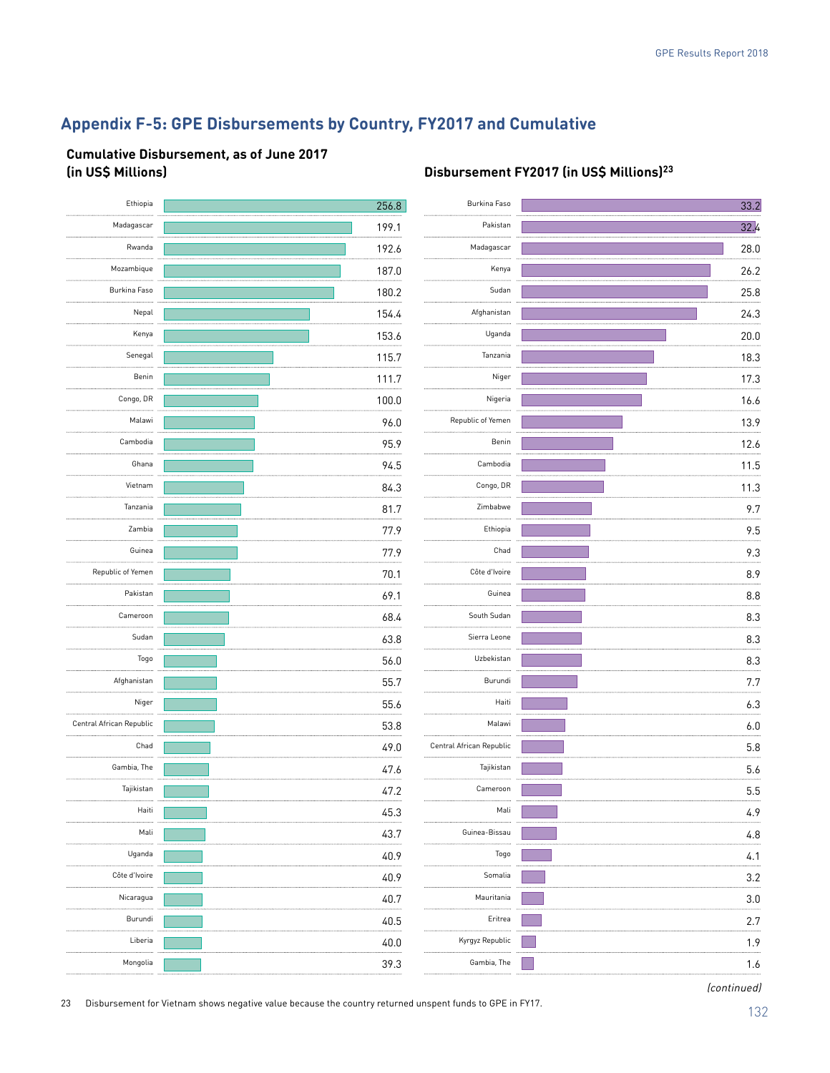# **Appendix F-5: GPE Disbursements by Country, FY2017 and Cumulative**

#### **Cumulative Disbursement, as of June 2017 (in US\$ Millions) Disbursement FY2017 (in US\$ Millions)23**

| Burkina Faso             | 256.8 | Ethiopia                 |
|--------------------------|-------|--------------------------|
| Pakistan                 | 199.1 | Madagascar               |
| Madagascar               | 192.6 | Rwanda                   |
| Kenya                    | 187.0 | Mozambique               |
| Sudan                    | 180.2 | Burkina Faso             |
| Afghanistan              | 154.4 | Nepal                    |
| Uganda                   | 153.6 | Kenya                    |
| Tanzania                 | 115.7 | Senegal                  |
| Niger                    | 111.7 | Benin                    |
| Nigeria                  | 100.0 | Congo, DR                |
| Republic of Yemen        | 96.0  | Malawi                   |
| Benin                    | 95.9  | Cambodia                 |
| Cambodia<br>.            | 94.5  | Ghana                    |
| Congo, DR                | 84.3  | Vietnam                  |
| Zimbabwe                 | 81.7  | Tanzania                 |
| Ethiopia                 | 77.9  | Zambia                   |
| Chad                     | 77.9  | Guinea                   |
| Côte d'Ivoire            | 70.1  | Republic of Yemen        |
| Guinea                   | 69.1  | Pakistan<br>.            |
| .<br>South Sudan         | 68.4  | Cameroon                 |
| Sierra Leone             | 63.8  | Sudan                    |
| Uzbekistan<br>.          | 56.0  | Togo                     |
| Burundi                  | 55.7  | Afghanistan              |
| Haiti                    | 55.6  | Niger                    |
| Malawi                   | 53.8  | Central African Republic |
| Central African Republic | 49.0  | Chad                     |
| Tajikistan               | 47.6  | Gambia, The              |
| Cameroon                 | 47.2  | Tajikistan               |
| Mali                     | 45.3  | Haiti                    |
| Guinea-Bissau            | 43.7  | Mali                     |
| Togo                     | 40.9  | Uganda                   |
| Somalia                  | 40.9  | Côte d'Ivoire            |
| Mauritania               | 40.7  | Nicaragua                |
| Eritrea                  | 40.5  | Burundi                  |
| Kyrgyz Republic          | 40.0  | Liberia                  |
| Gambia, The              | 39.3  | Mongolia                 |
|                          |       |                          |

| Burkina Faso             | 33.2 |
|--------------------------|------|
| Pakistan                 | 32.4 |
| Madagascar<br>           | 28.0 |
| Kenya<br>.               | 26.2 |
| Sudan                    | 25.8 |
| Afghanistan              | 24.3 |
| Uganda                   | 20.0 |
| Tanzania                 | 18.3 |
| Niger<br>                | 17.3 |
| Nigeria                  | 16.6 |
| Republic of Yemen        | 13.9 |
| Benin<br>.               | 12.6 |
| Cambodia                 | 11.5 |
| Congo, DR                | 11.3 |
| Zimbabwe                 | 9.7  |
| Ethiopia<br>.            | 9.5  |
| Chad                     | 9.3  |
| Côte d'Ivoire            | 8.9  |
| Guinea                   | 8.8  |
| South Sudan<br>.         | 8.3  |
| Sierra Leone<br>         | 8.3  |
| Uzbekistan               | 8.3  |
| Burundi                  | 7.7  |
| Haiti<br>.               | 6.3  |
| Malawi                   | 6.0  |
| Central African Republic | 5.8  |
| Tajikistan<br>.          | 5.6  |
| Cameroon                 | 5.5  |
| Mali                     | 4.9  |
| Guinea-Bissau<br>        | 4.8  |
| Togo                     | 4.1  |
| .<br>Somalia             | 3.2  |
| Mauritania<br>.          | 3.0  |
| Eritrea                  | 2.7  |
| Kyrgyz Republic<br>.     | 1.9  |
| Gambia, The              | 1.6  |
|                          |      |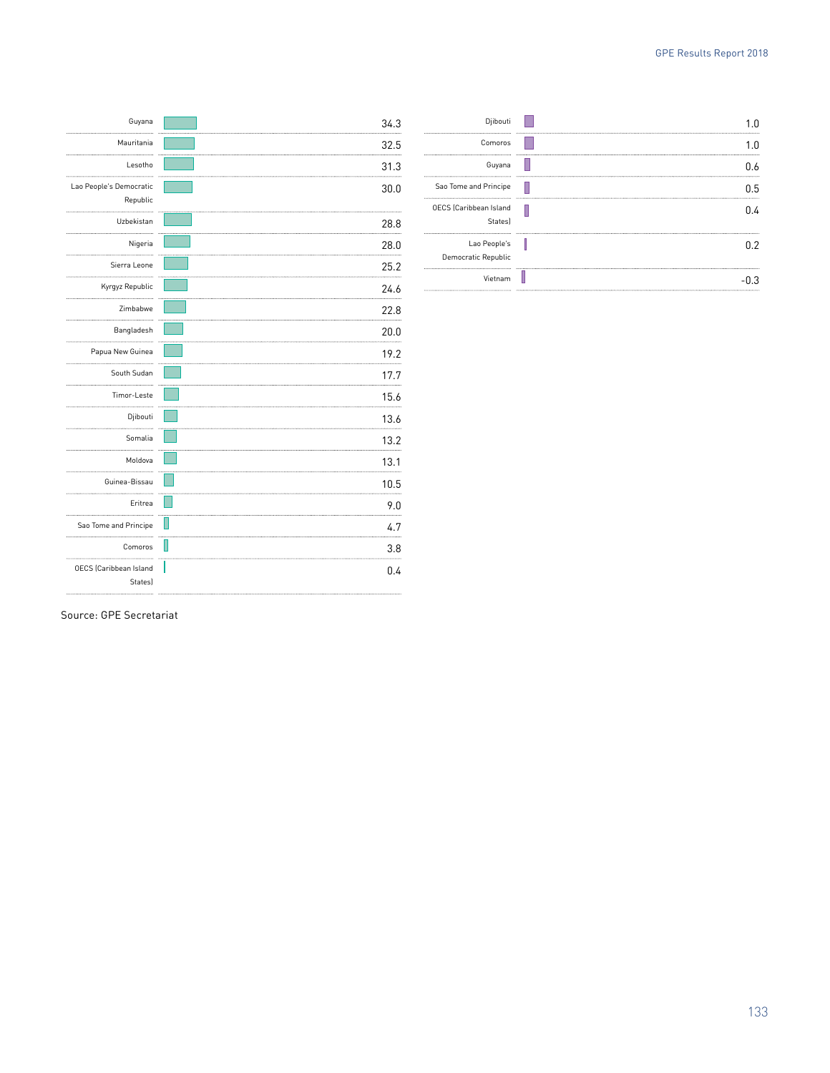| Guyana                                   | 34.3 |
|------------------------------------------|------|
| Mauritania                               | 32.5 |
| Lesotho                                  | 31.3 |
| Lao People's Democratic                  | 30.0 |
| Republic                                 |      |
| Uzbekistan                               | 28.8 |
| Nigeria                                  | 28.0 |
| Sierra Leone                             | 25.2 |
| Kyrgyz Republic                          | 24.6 |
| Zimbabwe                                 | 22.8 |
| Bangladesh                               | 20.0 |
| Papua New Guinea                         | 19.2 |
| South Sudan<br>.                         | 17.7 |
| Timor-Leste                              | 15.6 |
| Djibouti                                 | 13.6 |
| Somalia                                  | 13.2 |
| Moldova<br>                              | 13.1 |
| Guinea-Bissau                            | 10.5 |
| Eritrea                                  | 9.0  |
| Sao Tome and Principe                    | 4.7  |
| Comoros                                  | 3.8  |
| <b>OECS</b> (Caribbean Island<br>States) | 0.4  |
|                                          |      |

|       | Djibouti                                 |
|-------|------------------------------------------|
| n<br> | Comoros                                  |
| U.6   | Guyana                                   |
| 0.5   | Sao Tome and Principe                    |
| በ 4   | <b>OECS</b> (Caribbean Island<br>Statesl |
|       | Lao People's<br>Democratic Republic      |
|       | Vietnam                                  |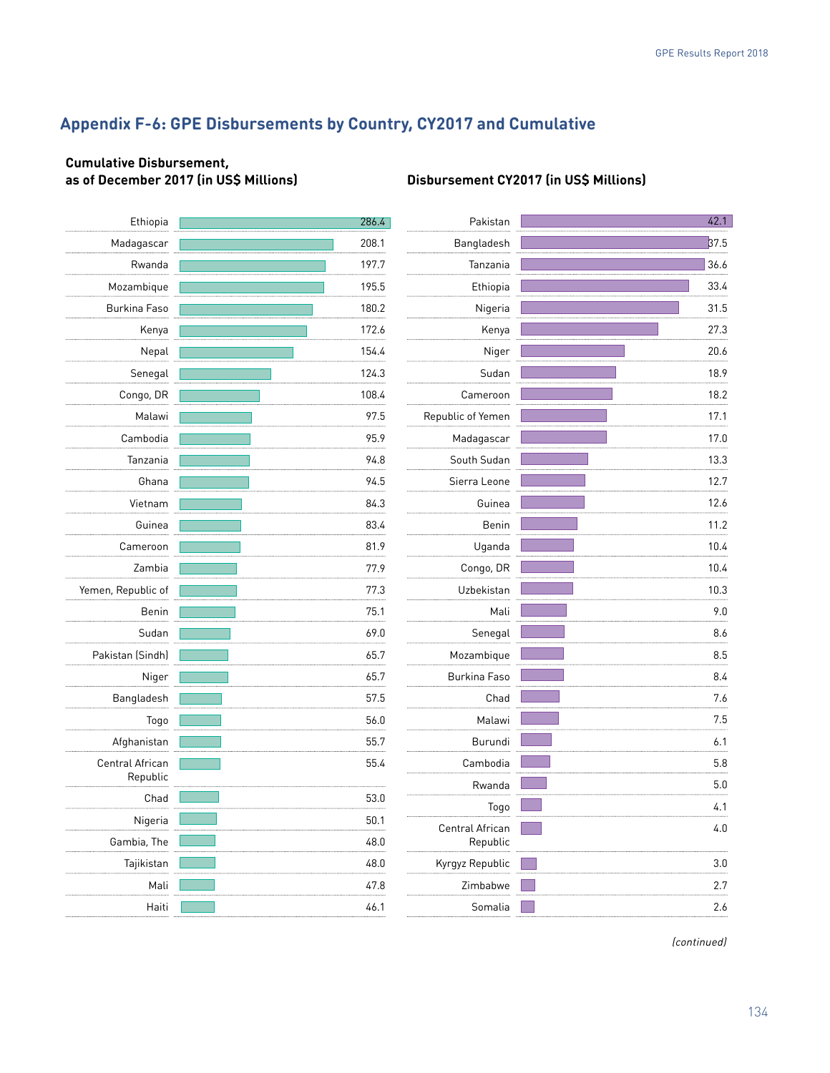# **Appendix F-6: GPE Disbursements by Country, CY2017 and Cumulative**

### **Cumulative Disbursement, as of December 2017 (in US\$ Millions) Disbursement CY2017 (in US\$ Millions)**

| Ethiopia           | 286.4 | Pakistan          | 42.1 |
|--------------------|-------|-------------------|------|
| Madagascar         | 208.1 | Bangladesh        | 37.5 |
| Rwanda             | 197.7 | Tanzania          | 36.6 |
| Mozambique         | 195.5 | Ethiopia          | 33.4 |
| Burkina Faso       | 180.2 | Nigeria           | 31.5 |
| Kenya              | 172.6 | Kenya             | 27.3 |
| Nepal              | 154.4 | Niger             | 20.6 |
| Senegal            | 124.3 | Sudan             | 18.9 |
| Congo, DR          | 108.4 | Cameroon          | 18.2 |
| Malawi             | 97.5  | Republic of Yemen | 17.1 |
| Cambodia           | 95.9  | Madagascar        | 17.0 |
| Tanzania           | 94.8  | South Sudan       | 13.3 |
| Ghana              | 94.5  | Sierra Leone      | 12.7 |
| Vietnam            | 84.3  | Guinea            | 12.6 |
| Guinea             | 83.4  | Benin             | 11.2 |
| Cameroon           | 81.9  | Uganda            | 10.4 |
| Zambia             | 77.9  | Congo, DR         | 10.4 |
| Yemen, Republic of | 77.3  | Uzbekistan        | 10.3 |
| Benin              | 75.1  | Mali              | 9.0  |
| Sudan              | 69.0  | Senegal           | 8.6  |
| Pakistan (Sindh)   | 65.7  | Mozambique        | 8.5  |
| Niger              | 65.7  | Burkina Faso      | 8.4  |
| Bangladesh         | 57.5  | Chad              | 7.6  |
| Togo               | 56.0  | Malawi            | 7.5  |
| Afghanistan        | 55.7  | Burundi           | 6.1  |
| Central African    | 55.4  | Cambodia          | 5.8  |
| Republic           |       | Rwanda            | 5.0  |
| Chad               | 53.0  | Togo              | 4.1  |
| Nigeria            | 50.1  | Central African   | 4.0  |
| Gambia, The        | 48.0  | Republic          |      |
| Tajikistan         | 48.0  | Kyrgyz Republic   | 3.0  |
| Mali               | 47.8  | Zimbabwe          | 2.7  |
| Haiti              | 46.1  | Somalia           | 2.6  |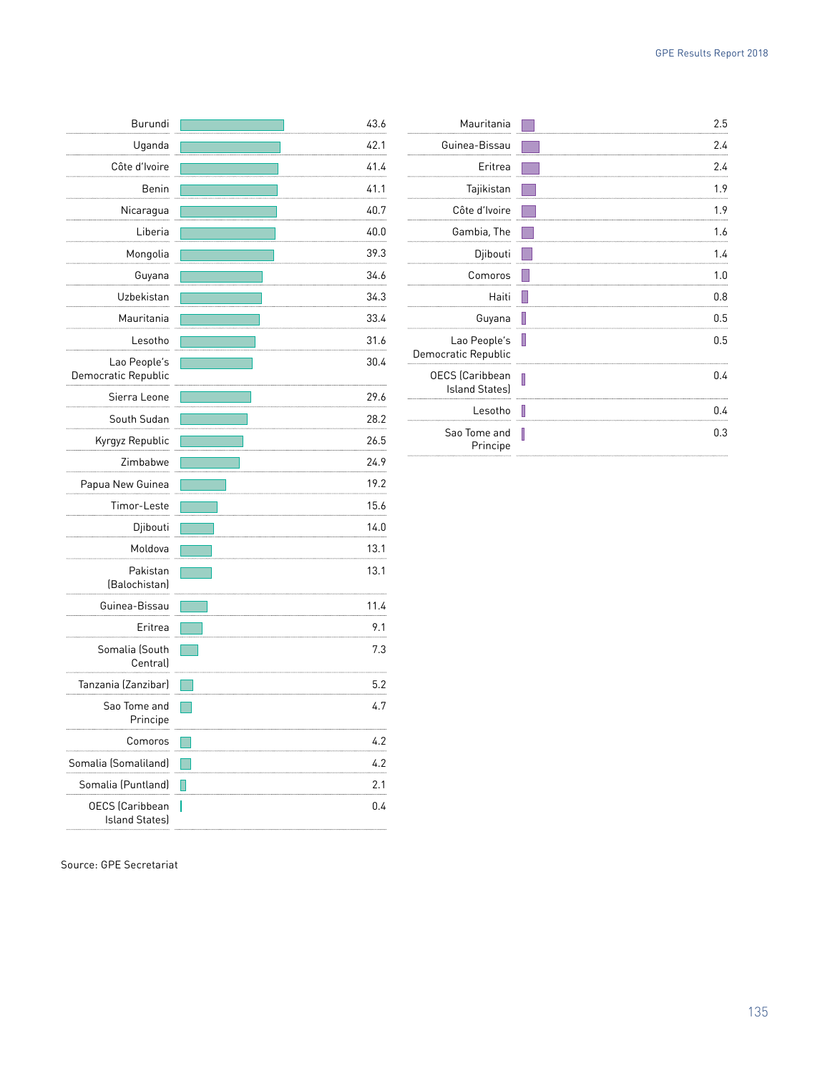| Burundi                                         | 43.6      |
|-------------------------------------------------|-----------|
| Uganda                                          | 42.1<br>  |
| Côte d'Ivoire                                   | 41.4      |
| Benin                                           | 41.1      |
| Nicaragua                                       | 40.7<br>  |
| Liberia                                         | 40.0      |
| Mongolia                                        | 39.3      |
| Guyana                                          | 34.6<br>  |
| Uzbekistan                                      | 34.3      |
| Mauritania                                      | 33.4<br>. |
| Lesotho                                         | 31.6      |
| Lao People's<br>Democratic Republic             | 30.4      |
| Sierra Leone                                    | 29.6<br>  |
| South Sudan                                     | 28.2      |
| Kyrgyz Republic                                 | 26.5      |
| Zimbabwe                                        | 24.9      |
| Papua New Guinea                                | 19.2      |
| Timor-Leste                                     | 15.6      |
| Djibouti                                        | 14.0      |
| Moldova                                         | 13.1      |
| Pakistan<br>(Balochistan)                       | 13.1      |
| Guinea-Bissau                                   | 11.4      |
| Eritrea                                         | 9.1       |
| Somalia (South<br>Central)                      | 7.3       |
| Tanzania (Zanzibar)                             | 5.2       |
| Sao Tome and<br>Principe                        | 4.7       |
| Comoros                                         | 4.2       |
| Somalia (Somaliland)                            | 4.2       |
| Somalia (Puntland)                              | 2.1       |
| <b>OECS</b> (Caribbean<br><b>Island States)</b> | 0.4       |

| Mauritania                                      |   | 2.5 |
|-------------------------------------------------|---|-----|
| Guinea-Bissau                                   |   | 2.4 |
| Eritrea                                         |   | 2.4 |
| Tajikistan                                      |   | 1.9 |
| Côte d'Ivoire                                   |   | 1.9 |
| Gambia, The                                     |   | 1.6 |
| Djibouti                                        |   | 1.4 |
| Comoros                                         |   | 1.0 |
| Haiti                                           |   | 0.8 |
| Guyana                                          | Ш | 0.5 |
| Lao People's<br>Democratic Republic             | Ш | 0.5 |
| <b>OECS</b> (Caribbean<br><b>Island States)</b> | Π | 0.4 |
| Lesotho                                         |   | 0.4 |
| Sao Tome and<br>Principe                        | I | 0.3 |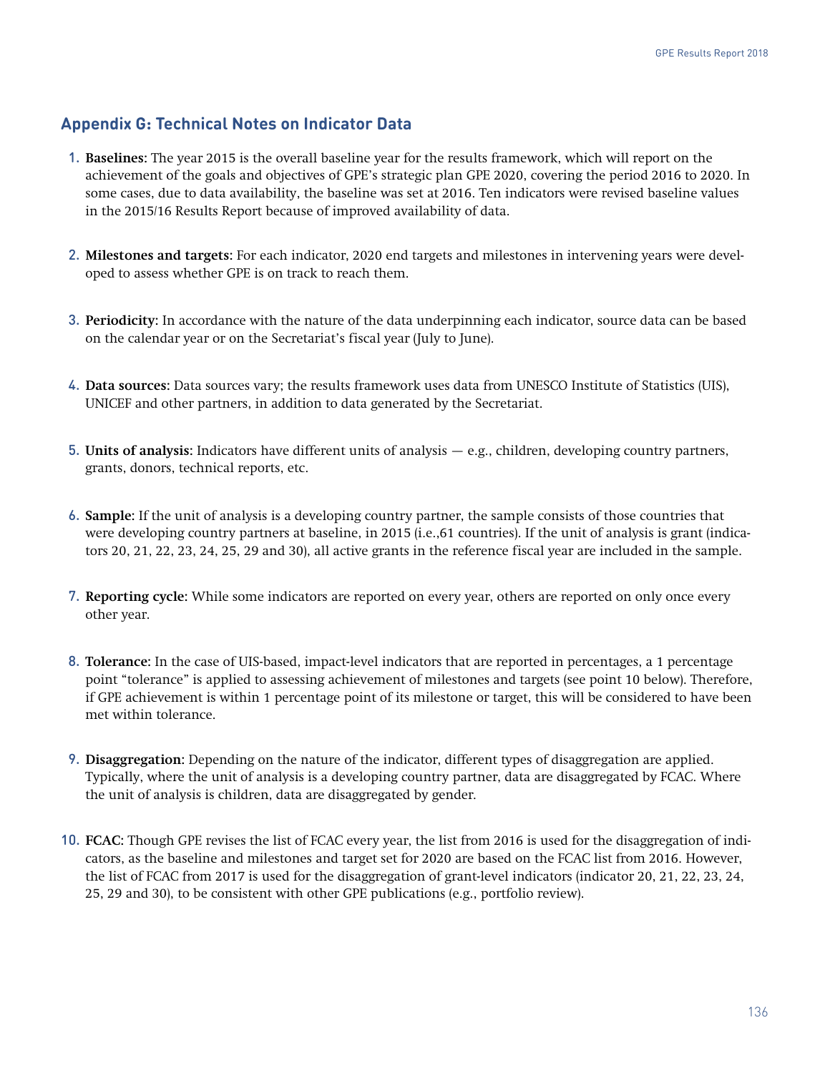## **Appendix G: Technical Notes on Indicator Data**

- 1. **Baselines:** The year 2015 is the overall baseline year for the results framework, which will report on the achievement of the goals and objectives of GPE's strategic plan GPE 2020, covering the period 2016 to 2020. In some cases, due to data availability, the baseline was set at 2016. Ten indicators were revised baseline values in the 2015/16 Results Report because of improved availability of data.
- 2. **Milestones and targets:** For each indicator, 2020 end targets and milestones in intervening years were developed to assess whether GPE is on track to reach them.
- 3. **Periodicity:** In accordance with the nature of the data underpinning each indicator, source data can be based on the calendar year or on the Secretariat's fiscal year (July to June).
- 4. **Data sources:** Data sources vary; the results framework uses data from UNESCO Institute of Statistics (UIS), UNICEF and other partners, in addition to data generated by the Secretariat.
- 5. **Units of analysis:** Indicators have different units of analysis e.g., children, developing country partners, grants, donors, technical reports, etc.
- 6. **Sample:** If the unit of analysis is a developing country partner, the sample consists of those countries that were developing country partners at baseline, in 2015 (i.e.,61 countries). If the unit of analysis is grant (indicators 20, 21, 22, 23, 24, 25, 29 and 30), all active grants in the reference fiscal year are included in the sample.
- 7. **Reporting cycle:** While some indicators are reported on every year, others are reported on only once every other year.
- 8. **Tolerance:** In the case of UIS-based, impact-level indicators that are reported in percentages, a 1 percentage point "tolerance" is applied to assessing achievement of milestones and targets (see point 10 below). Therefore, if GPE achievement is within 1 percentage point of its milestone or target, this will be considered to have been met within tolerance.
- 9. **Disaggregation:** Depending on the nature of the indicator, different types of disaggregation are applied. Typically, where the unit of analysis is a developing country partner, data are disaggregated by FCAC. Where the unit of analysis is children, data are disaggregated by gender.
- 10. **FCAC:** Though GPE revises the list of FCAC every year, the list from 2016 is used for the disaggregation of indicators, as the baseline and milestones and target set for 2020 are based on the FCAC list from 2016. However, the list of FCAC from 2017 is used for the disaggregation of grant-level indicators (indicator 20, 21, 22, 23, 24, 25, 29 and 30), to be consistent with other GPE publications (e.g., portfolio review).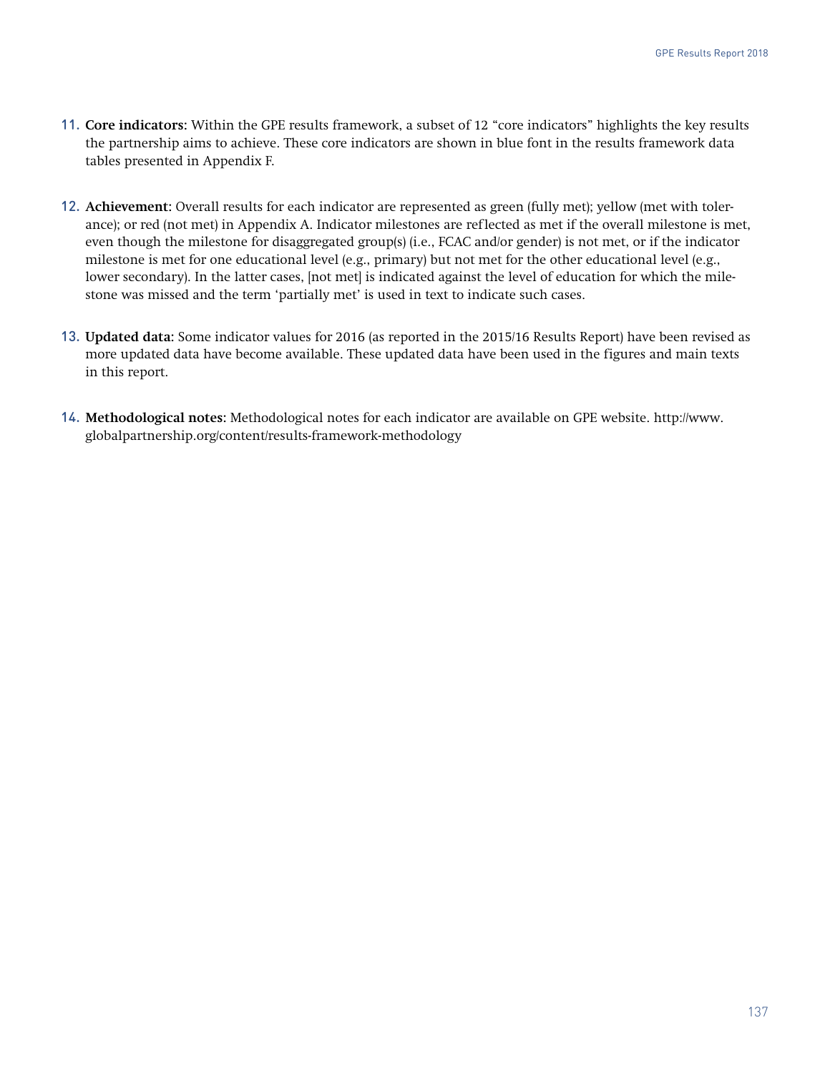- 11. **Core indicators:** Within the GPE results framework, a subset of 12 "core indicators" highlights the key results the partnership aims to achieve. These core indicators are shown in blue font in the results framework data tables presented in Appendix F.
- 12. **Achievement:** Overall results for each indicator are represented as green (fully met); yellow (met with tolerance); or red (not met) in Appendix A. Indicator milestones are reflected as met if the overall milestone is met, even though the milestone for disaggregated group(s) (i.e., FCAC and/or gender) is not met, or if the indicator milestone is met for one educational level (e.g., primary) but not met for the other educational level (e.g., lower secondary). In the latter cases, [not met] is indicated against the level of education for which the milestone was missed and the term 'partially met' is used in text to indicate such cases.
- 13. **Updated data:** Some indicator values for 2016 (as reported in the 2015/16 Results Report) have been revised as more updated data have become available. These updated data have been used in the figures and main texts in this report.
- 14. **Methodological notes:** Methodological notes for each indicator are available on GPE website. [http://www.](http://www.globalpartnership.org/content/results-framework-methodology) [globalpartnership.org/content/results-framework-methodology](http://www.globalpartnership.org/content/results-framework-methodology)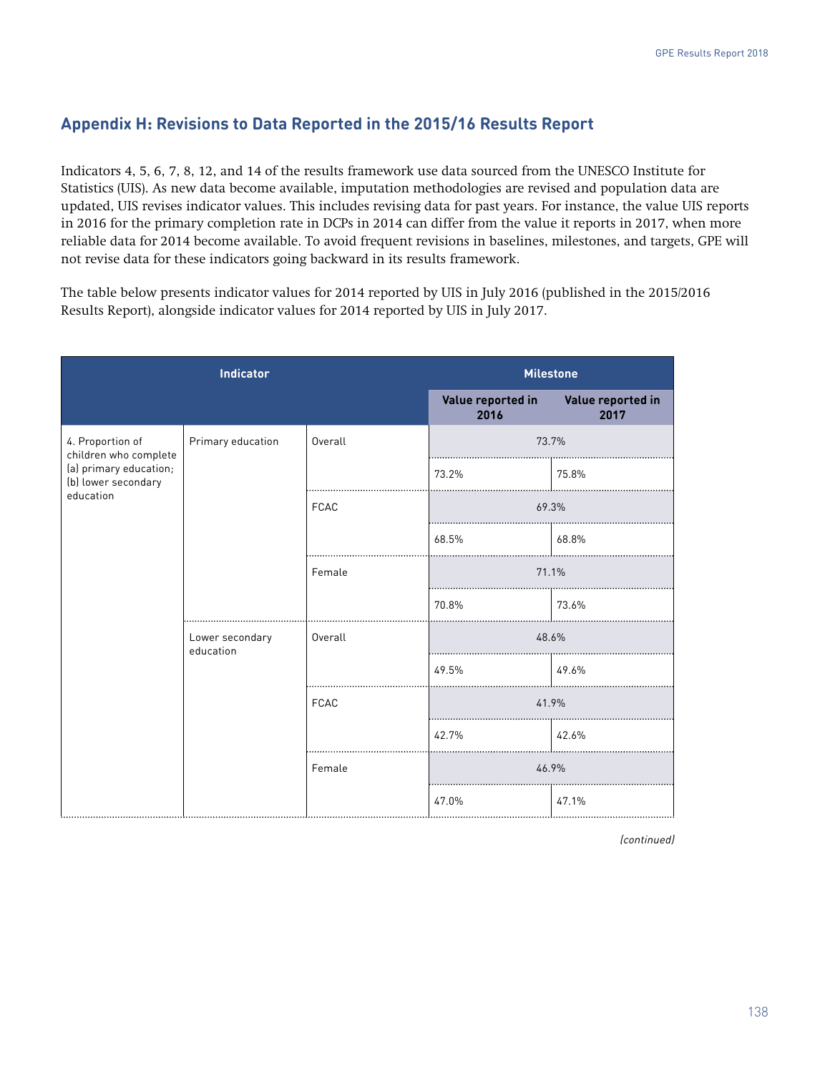# **Appendix H: Revisions to Data Reported in the 2015/16 Results Report**

Indicators 4, 5, 6, 7, 8, 12, and 14 of the results framework use data sourced from the UNESCO Institute for Statistics (UIS). As new data become available, imputation methodologies are revised and population data are updated, UIS revises indicator values. This includes revising data for past years. For instance, the value UIS reports in 2016 for the primary completion rate in DCPs in 2014 can differ from the value it reports in 2017, when more reliable data for 2014 become available. To avoid frequent revisions in baselines, milestones, and targets, GPE will not revise data for these indicators going backward in its results framework.

The table below presents indicator values for 2014 reported by UIS in July 2016 (published in the 2015/2016 Results Report), alongside indicator values for 2014 reported by UIS in July 2017.

| <b>Indicator</b>                              |                              | <b>Milestone</b>          |                           |       |
|-----------------------------------------------|------------------------------|---------------------------|---------------------------|-------|
|                                               |                              | Value reported in<br>2016 | Value reported in<br>2017 |       |
| 4. Proportion of<br>children who complete     | Primary education            | Overall                   | 73.7%                     |       |
| (a) primary education;<br>(b) lower secondary |                              |                           | 73.2%                     | 75.8% |
| education                                     |                              | <b>FCAC</b>               | 69.3%                     |       |
|                                               |                              |                           | 68.5%                     | 68.8% |
|                                               |                              | Female                    | 71.1%                     |       |
|                                               |                              |                           | 70.8%                     | 73.6% |
|                                               | Lower secondary<br>education | Overall                   | 48.6%                     |       |
|                                               |                              |                           | 49.5%<br>49.6%            |       |
|                                               |                              | FCAC                      | 41.9%                     |       |
|                                               |                              |                           | 42.7%                     | 42.6% |
|                                               |                              | Female                    | 46.9%                     |       |
|                                               |                              |                           | 47.0%                     | 47.1% |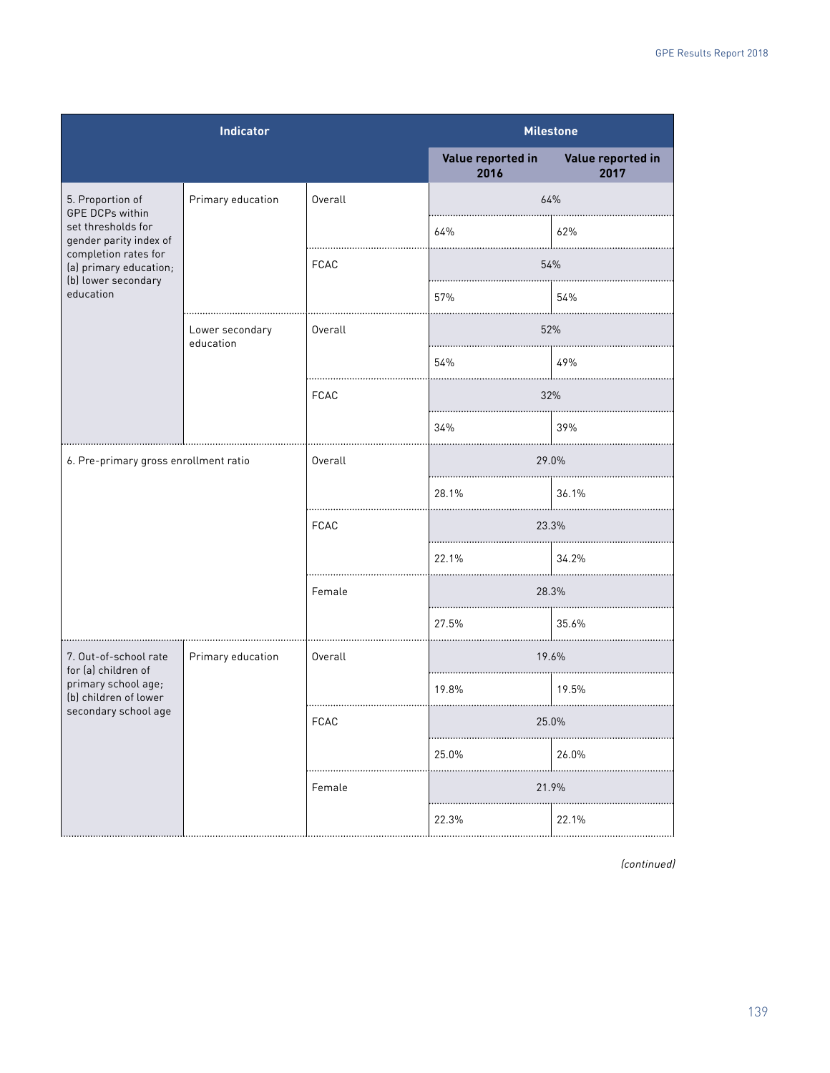| <b>Indicator</b>                                                                                                                                                                 |                              |             | <b>Milestone</b>          |                           |
|----------------------------------------------------------------------------------------------------------------------------------------------------------------------------------|------------------------------|-------------|---------------------------|---------------------------|
|                                                                                                                                                                                  |                              |             | Value reported in<br>2016 | Value reported in<br>2017 |
| 5. Proportion of<br><b>GPE DCPs within</b><br>set thresholds for<br>gender parity index of<br>completion rates for<br>(a) primary education;<br>(b) lower secondary<br>education | Primary education            | Overall     | 64%                       |                           |
|                                                                                                                                                                                  |                              |             | 64%                       | 62%                       |
|                                                                                                                                                                                  |                              | <b>FCAC</b> | 54%                       |                           |
|                                                                                                                                                                                  |                              |             | 57%                       | 54%                       |
|                                                                                                                                                                                  | Lower secondary<br>education | Overall     | 52%                       |                           |
|                                                                                                                                                                                  |                              |             | 54%                       | 49%                       |
|                                                                                                                                                                                  |                              | FCAC        | 32%                       |                           |
|                                                                                                                                                                                  |                              |             | 34%                       | 39%                       |
| 6. Pre-primary gross enrollment ratio                                                                                                                                            |                              | Overall     | 29.0%                     |                           |
|                                                                                                                                                                                  |                              |             | 28.1%                     | 36.1%                     |
|                                                                                                                                                                                  |                              | FCAC        | 23.3%                     |                           |
|                                                                                                                                                                                  |                              |             | 22.1%                     | 34.2%                     |
|                                                                                                                                                                                  |                              | Female      | 28.3%                     |                           |
|                                                                                                                                                                                  |                              |             | 27.5%                     | 35.6%                     |
| 7. Out-of-school rate<br>for (a) children of<br>primary school age;<br>(b) children of lower<br>secondary school age                                                             | Primary education            | Overall     | 19.6%                     |                           |
|                                                                                                                                                                                  |                              |             | 19.8%                     | 19.5%                     |
|                                                                                                                                                                                  |                              | <b>FUAU</b> | 25.U%                     |                           |
|                                                                                                                                                                                  |                              |             | 25.0%                     | 26.0%                     |
|                                                                                                                                                                                  |                              | Female      | 21.9%                     |                           |
|                                                                                                                                                                                  |                              |             | 22.3%                     | 22.1%                     |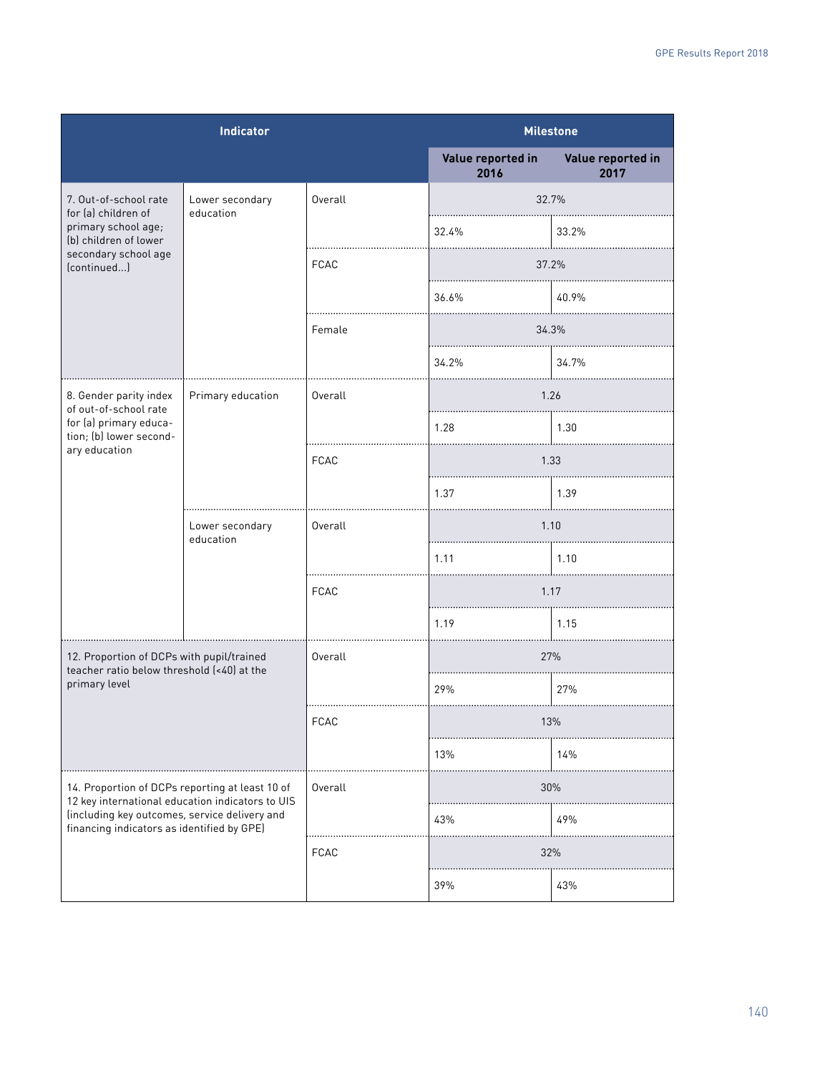| <b>Indicator</b>                                                                                                                                                                                   |                              |             | <b>Milestone</b>          |                           |
|----------------------------------------------------------------------------------------------------------------------------------------------------------------------------------------------------|------------------------------|-------------|---------------------------|---------------------------|
|                                                                                                                                                                                                    |                              |             | Value reported in<br>2016 | Value reported in<br>2017 |
| 7. Out-of-school rate<br>for [a] children of<br>primary school age;<br>(b) children of lower<br>secondary school age<br>(continued)                                                                | Lower secondary<br>education | Overall     | 32.7%                     |                           |
|                                                                                                                                                                                                    |                              |             | 32.4%                     | 33.2%                     |
|                                                                                                                                                                                                    |                              | <b>FCAC</b> | 37.2%                     |                           |
|                                                                                                                                                                                                    |                              |             | 36.6%                     | 40.9%                     |
|                                                                                                                                                                                                    |                              | Female      | 34.3%                     |                           |
|                                                                                                                                                                                                    |                              |             | 34.2%                     | 34.7%                     |
| 8. Gender parity index<br>of out-of-school rate<br>for (a) primary educa-<br>tion; (b) lower second-                                                                                               | Primary education            | Overall     | 1.26                      |                           |
|                                                                                                                                                                                                    |                              |             | 1.28                      | 1.30                      |
| ary education                                                                                                                                                                                      |                              | <b>FCAC</b> | 1.33                      |                           |
|                                                                                                                                                                                                    |                              |             | 1.37                      | 1.39                      |
|                                                                                                                                                                                                    | Lower secondary<br>education | Overall     | 1.10                      |                           |
|                                                                                                                                                                                                    |                              |             | 1.11                      | 1.10                      |
|                                                                                                                                                                                                    |                              | <b>FCAC</b> |                           | 1.17                      |
|                                                                                                                                                                                                    |                              |             | 1.19                      | 1.15                      |
| 12. Proportion of DCPs with pupil/trained<br>teacher ratio below threshold (<40) at the<br>primary level                                                                                           |                              | Overall     | 27%                       |                           |
|                                                                                                                                                                                                    |                              |             | 29%                       | 27%                       |
|                                                                                                                                                                                                    |                              | <b>FCAC</b> | 13%                       |                           |
|                                                                                                                                                                                                    |                              |             | 13%                       | 14%                       |
| 14. Proportion of DCPs reporting at least 10 of<br>12 key international education indicators to UIS<br>(including key outcomes, service delivery and<br>financing indicators as identified by GPE) |                              | Overall     | 30%                       |                           |
|                                                                                                                                                                                                    |                              |             | 43%                       | 49%                       |
|                                                                                                                                                                                                    |                              | FCAC        | 32%                       |                           |
|                                                                                                                                                                                                    |                              |             | 39%                       | 43%                       |